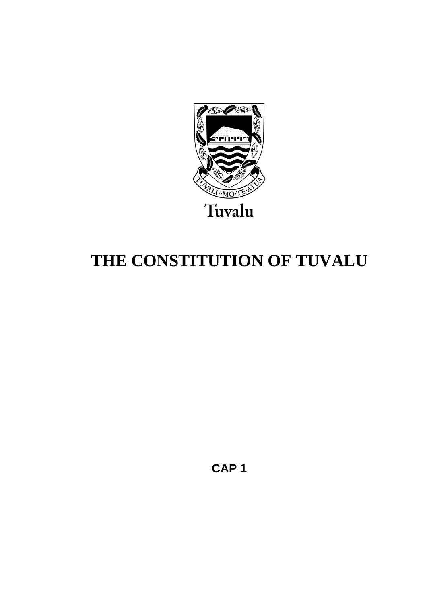

# **THE CONSTITUTION OF TUVALU**

**CAP 1**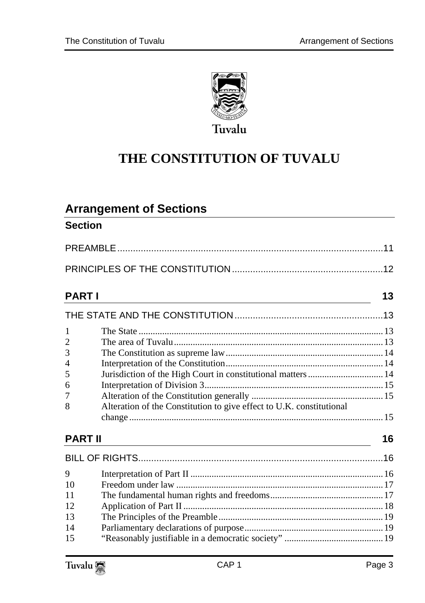

## **THE CONSTITUTION OF TUVALU**

### **Arrangement of Sections**

| <b>Section</b> |
|----------------|
|----------------|

| <b>PARTI</b>   |                                                                      | 13 |
|----------------|----------------------------------------------------------------------|----|
|                |                                                                      |    |
| $\mathbf{1}$   |                                                                      |    |
| $\overline{2}$ |                                                                      |    |
| 3              |                                                                      |    |
| $\overline{4}$ |                                                                      |    |
| 5              | Jurisdiction of the High Court in constitutional matters  14         |    |
| 6              |                                                                      |    |
| 7              |                                                                      |    |
| 8              | Alteration of the Constitution to give effect to U.K. constitutional |    |
|                |                                                                      |    |
| <b>PART II</b> |                                                                      | 16 |
|                |                                                                      |    |
| 9              |                                                                      |    |
| 10             |                                                                      |    |
| 11             |                                                                      |    |
| 12             |                                                                      |    |
| 13             |                                                                      |    |
| 14             |                                                                      |    |
| 15             |                                                                      |    |
|                |                                                                      |    |

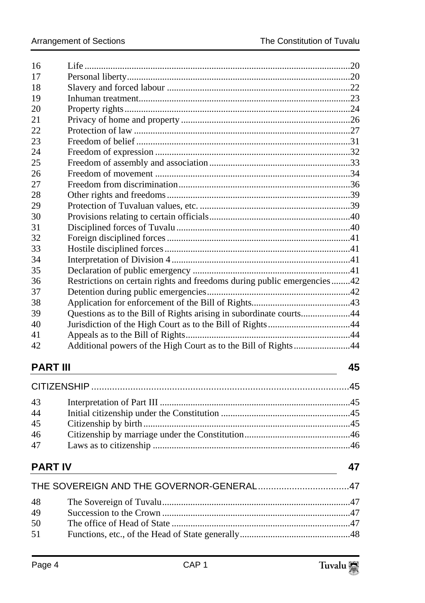| 16              |                                                                                                                  |    |
|-----------------|------------------------------------------------------------------------------------------------------------------|----|
| 17              |                                                                                                                  |    |
| 18              |                                                                                                                  |    |
| 19              |                                                                                                                  |    |
| 20              |                                                                                                                  |    |
| 21              |                                                                                                                  |    |
| 22              |                                                                                                                  |    |
| 23              |                                                                                                                  |    |
| 24              |                                                                                                                  |    |
| 25              |                                                                                                                  |    |
| 26              |                                                                                                                  |    |
| 27              |                                                                                                                  |    |
| 28              |                                                                                                                  |    |
| 29              |                                                                                                                  |    |
| 30              |                                                                                                                  |    |
| 31              |                                                                                                                  |    |
| 32              |                                                                                                                  |    |
| 33              |                                                                                                                  |    |
| 34              |                                                                                                                  |    |
| 35              |                                                                                                                  |    |
| 36              | Restrictions on certain rights and freedoms during public emergencies42                                          |    |
| 37              |                                                                                                                  |    |
| 38              |                                                                                                                  |    |
| 39              | Questions as to the Bill of Rights arising in subordinate courts44                                               |    |
| 40              |                                                                                                                  |    |
| 41              |                                                                                                                  |    |
| 42              | Additional powers of the High Court as to the Bill of Rights44                                                   |    |
| <b>PART III</b> | and the control of the control of the control of the control of the control of the control of the control of the | 45 |
|                 |                                                                                                                  |    |
| 43              |                                                                                                                  |    |
| 44              |                                                                                                                  |    |
| 45              |                                                                                                                  |    |
| 46              |                                                                                                                  |    |
| 47              |                                                                                                                  |    |
| <b>PART IV</b>  |                                                                                                                  | 47 |
|                 |                                                                                                                  |    |
| 48              |                                                                                                                  |    |
| 49              |                                                                                                                  |    |
| 50              |                                                                                                                  |    |
| 51              |                                                                                                                  |    |
|                 |                                                                                                                  |    |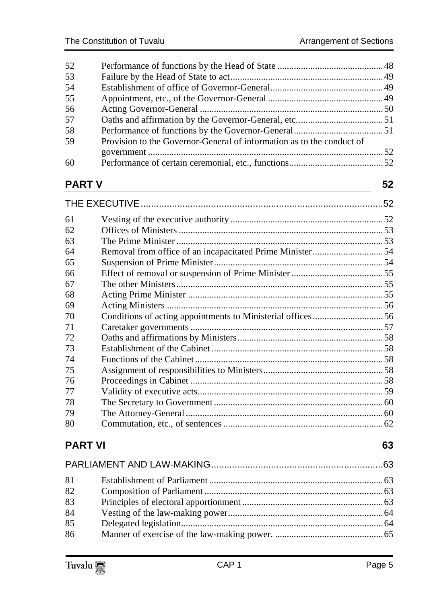| 52 |                                                                       |  |
|----|-----------------------------------------------------------------------|--|
| 53 |                                                                       |  |
| 54 |                                                                       |  |
| 55 |                                                                       |  |
| 56 |                                                                       |  |
| 57 |                                                                       |  |
| 58 |                                                                       |  |
| 59 | Provision to the Governor-General of information as to the conduct of |  |
|    |                                                                       |  |
| 60 |                                                                       |  |
|    |                                                                       |  |

### **PART V** 52

| 61 |  |
|----|--|
| 62 |  |
| 63 |  |
| 64 |  |
| 65 |  |
| 66 |  |
| 67 |  |
| 68 |  |
| 69 |  |
| 70 |  |
| 71 |  |
| 72 |  |
| 73 |  |
| 74 |  |
| 75 |  |
| 76 |  |
| 77 |  |
| 78 |  |
| 79 |  |
| 80 |  |

### **PART VI** 63

| 81 |  |
|----|--|
| 82 |  |
| 83 |  |
| 84 |  |
| 85 |  |
| 86 |  |

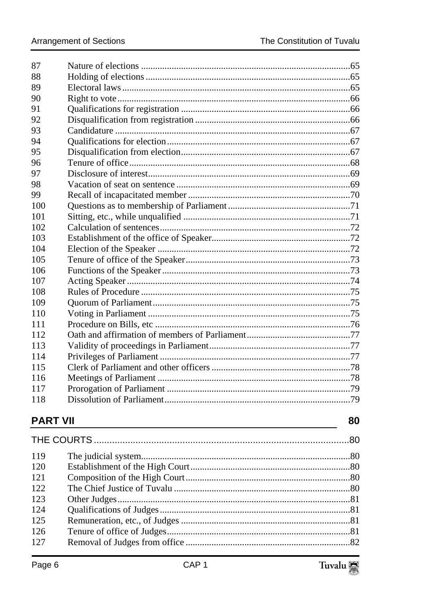| 87  |  |
|-----|--|
| 88  |  |
| 89  |  |
| 90  |  |
| 91  |  |
| 92  |  |
| 93  |  |
| 94  |  |
| 95  |  |
| 96  |  |
| 97  |  |
| 98  |  |
| 99  |  |
| 100 |  |
| 101 |  |
| 102 |  |
| 103 |  |
| 104 |  |
| 105 |  |
| 106 |  |
| 107 |  |
| 108 |  |
| 109 |  |
| 110 |  |
| 111 |  |
| 112 |  |
| 113 |  |
| 114 |  |
| 115 |  |
| 116 |  |
| 117 |  |
| 118 |  |
|     |  |

### **PART VII**

80

| 119 |  |
|-----|--|
| 120 |  |
| 121 |  |
| 122 |  |
| 123 |  |
| 124 |  |
| 125 |  |
| 126 |  |
| 127 |  |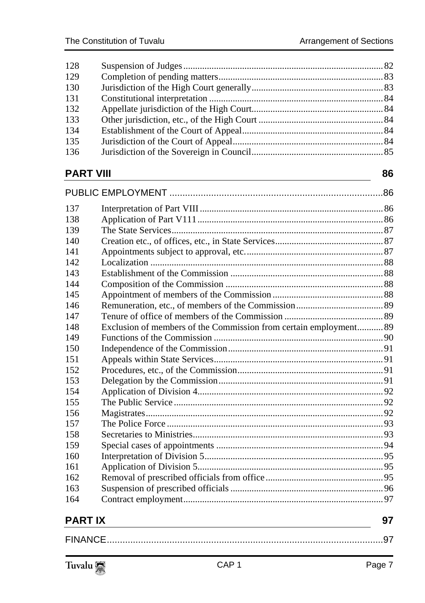| 128 |  |
|-----|--|
| 129 |  |
| 130 |  |
| 131 |  |
| 132 |  |
| 133 |  |
| 134 |  |
| 135 |  |
| 136 |  |
|     |  |

### **PART VIII** 86

| 137             |                                                                  |     |
|-----------------|------------------------------------------------------------------|-----|
| 138             |                                                                  |     |
| 139             |                                                                  |     |
| 140             |                                                                  |     |
| 141             |                                                                  |     |
| 142             |                                                                  |     |
| 143             |                                                                  |     |
| 144             |                                                                  |     |
| 145             |                                                                  |     |
| 146             |                                                                  |     |
| 147             |                                                                  |     |
| 148             | Exclusion of members of the Commission from certain employment89 |     |
| 149             |                                                                  |     |
| 150             |                                                                  |     |
| 151             |                                                                  |     |
| 152             |                                                                  |     |
| 153             |                                                                  |     |
| 154             |                                                                  |     |
| 155             |                                                                  |     |
| 156             |                                                                  |     |
| 157             |                                                                  |     |
| 158             |                                                                  |     |
| 159             |                                                                  |     |
| 160             |                                                                  |     |
| 161             |                                                                  |     |
| 162             |                                                                  |     |
| 163             |                                                                  |     |
| 164             |                                                                  |     |
|                 |                                                                  |     |
| <b>PARTIX</b>   |                                                                  | 97  |
| <b>FINANCE.</b> |                                                                  | .97 |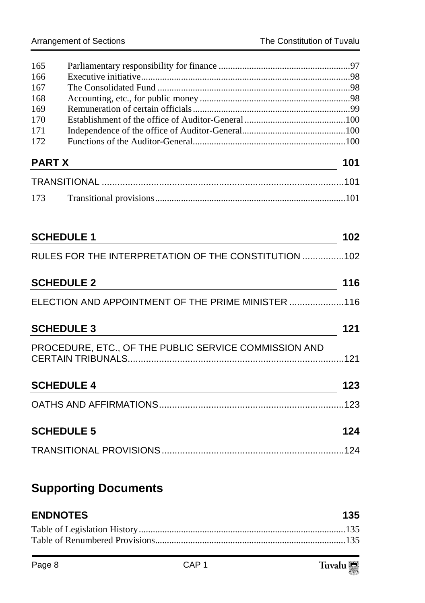| 166           |                                                              |     |
|---------------|--------------------------------------------------------------|-----|
|               |                                                              |     |
| 167           |                                                              |     |
| 168           |                                                              |     |
| 169           |                                                              |     |
| 170           |                                                              |     |
| 171           |                                                              |     |
| 172           |                                                              |     |
| <b>PART X</b> | <u> 1989 - Johann Stoff, Amerikaansk politiker (d. 1989)</u> | 101 |
|               |                                                              |     |
| 173           |                                                              |     |
|               |                                                              |     |
|               | <b>SCHEDULE 1</b>                                            | 102 |
|               | RULES FOR THE INTERPRETATION OF THE CONSTITUTION 102         |     |
|               |                                                              |     |
|               |                                                              |     |
|               | <b>SCHEDULE 2</b>                                            |     |
|               | ELECTION AND APPOINTMENT OF THE PRIME MINISTER 116           |     |
|               | <b>SCHEDULE 3</b>                                            | 121 |
|               |                                                              | 116 |
|               | PROCEDURE, ETC., OF THE PUBLIC SERVICE COMMISSION AND        |     |
|               | <b>SCHEDULE 4</b>                                            |     |
|               | <u> 1980 - Johann Barbara, martxa amerikan personal (</u>    |     |
|               |                                                              | 123 |
|               | <b>SCHEDULE 5</b>                                            | 124 |
|               |                                                              |     |

## **Supporting Documents**

| 135 |
|-----|
|     |
|     |
|     |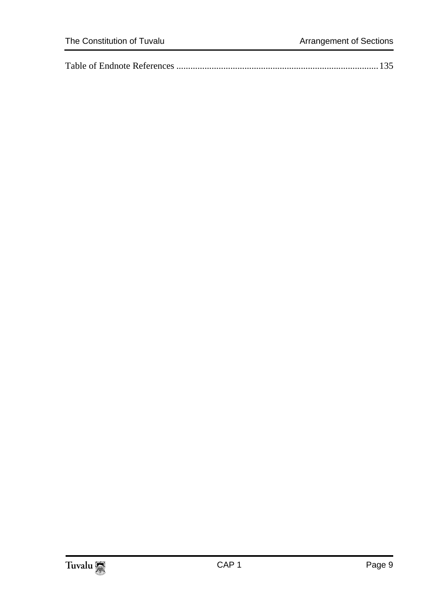|--|--|

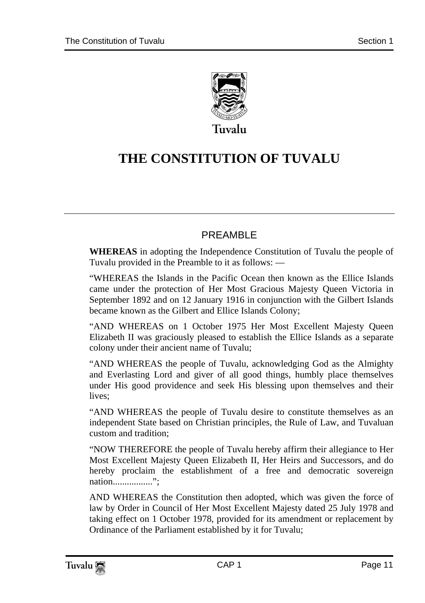

## **THE CONSTITUTION OF TUVALU**

### PRFAMBL<sub>F</sub>

**WHEREAS** in adopting the Independence Constitution of Tuvalu the people of Tuvalu provided in the Preamble to it as follows: —

"WHEREAS the Islands in the Pacific Ocean then known as the Ellice Islands came under the protection of Her Most Gracious Majesty Queen Victoria in September 1892 and on 12 January 1916 in conjunction with the Gilbert Islands became known as the Gilbert and Ellice Islands Colony;

"AND WHEREAS on 1 October 1975 Her Most Excellent Majesty Queen Elizabeth II was graciously pleased to establish the Ellice Islands as a separate colony under their ancient name of Tuvalu;

"AND WHEREAS the people of Tuvalu, acknowledging God as the Almighty and Everlasting Lord and giver of all good things, humbly place themselves under His good providence and seek His blessing upon themselves and their lives<sup>.</sup>

"AND WHEREAS the people of Tuvalu desire to constitute themselves as an independent State based on Christian principles, the Rule of Law, and Tuvaluan custom and tradition;

"NOW THEREFORE the people of Tuvalu hereby affirm their allegiance to Her Most Excellent Majesty Queen Elizabeth II, Her Heirs and Successors, and do hereby proclaim the establishment of a free and democratic sovereign nation.................";

AND WHEREAS the Constitution then adopted, which was given the force of law by Order in Council of Her Most Excellent Majesty dated 25 July 1978 and taking effect on 1 October 1978, provided for its amendment or replacement by Ordinance of the Parliament established by it for Tuvalu;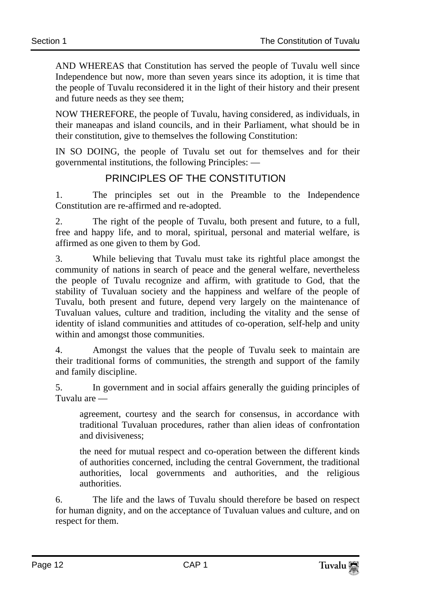AND WHEREAS that Constitution has served the people of Tuvalu well since Independence but now, more than seven years since its adoption, it is time that the people of Tuvalu reconsidered it in the light of their history and their present and future needs as they see them;

NOW THEREFORE, the people of Tuvalu, having considered, as individuals, in their maneapas and island councils, and in their Parliament, what should be in their constitution, give to themselves the following Constitution:

IN SO DOING, the people of Tuvalu set out for themselves and for their governmental institutions, the following Principles: —

### PRINCIPLES OF THE CONSTITUTION

1. The principles set out in the Preamble to the Independence Constitution are re-affirmed and re-adopted.

2. The right of the people of Tuvalu, both present and future, to a full, free and happy life, and to moral, spiritual, personal and material welfare, is affirmed as one given to them by God.

3. While believing that Tuvalu must take its rightful place amongst the community of nations in search of peace and the general welfare, nevertheless the people of Tuvalu recognize and affirm, with gratitude to God, that the stability of Tuvaluan society and the happiness and welfare of the people of Tuvalu, both present and future, depend very largely on the maintenance of Tuvaluan values, culture and tradition, including the vitality and the sense of identity of island communities and attitudes of co-operation, self-help and unity within and amongst those communities.

4. Amongst the values that the people of Tuvalu seek to maintain are their traditional forms of communities, the strength and support of the family and family discipline.

5. In government and in social affairs generally the guiding principles of Tuvalu are —

agreement, courtesy and the search for consensus, in accordance with traditional Tuvaluan procedures, rather than alien ideas of confrontation and divisiveness;

the need for mutual respect and co-operation between the different kinds of authorities concerned, including the central Government, the traditional authorities, local governments and authorities, and the religious authorities.

6. The life and the laws of Tuvalu should therefore be based on respect for human dignity, and on the acceptance of Tuvaluan values and culture, and on respect for them.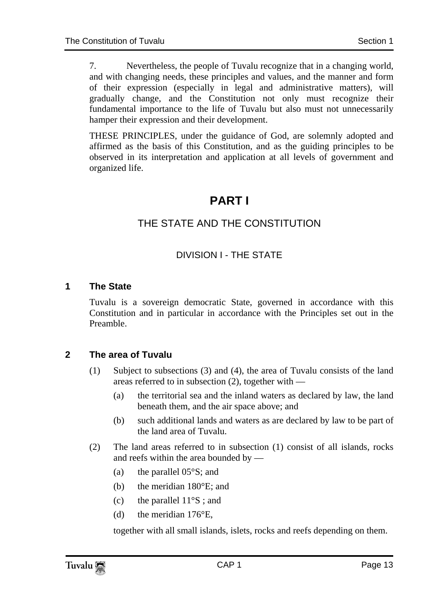7. Nevertheless, the people of Tuvalu recognize that in a changing world, and with changing needs, these principles and values, and the manner and form of their expression (especially in legal and administrative matters), will gradually change, and the Constitution not only must recognize their fundamental importance to the life of Tuvalu but also must not unnecessarily hamper their expression and their development.

THESE PRINCIPLES, under the guidance of God, are solemnly adopted and affirmed as the basis of this Constitution, and as the guiding principles to be observed in its interpretation and application at all levels of government and organized life.

### **PART I**

### THE STATE AND THE CONSTITUTION

### DIVISION I - THE STATE

### **1 The State**

Tuvalu is a sovereign democratic State, governed in accordance with this Constitution and in particular in accordance with the Principles set out in the Preamble.

### **2 The area of Tuvalu**

- (1) Subject to subsections (3) and (4), the area of Tuvalu consists of the land areas referred to in subsection (2), together with —
	- (a) the territorial sea and the inland waters as declared by law, the land beneath them, and the air space above; and
	- (b) such additional lands and waters as are declared by law to be part of the land area of Tuvalu.
- (2) The land areas referred to in subsection (1) consist of all islands, rocks and reefs within the area bounded by —
	- (a) the parallel 05°S; and
	- (b) the meridian 180°E; and
	- (c) the parallel  $11^{\circ}$ S; and
	- (d) the meridian 176°E,

together with all small islands, islets, rocks and reefs depending on them.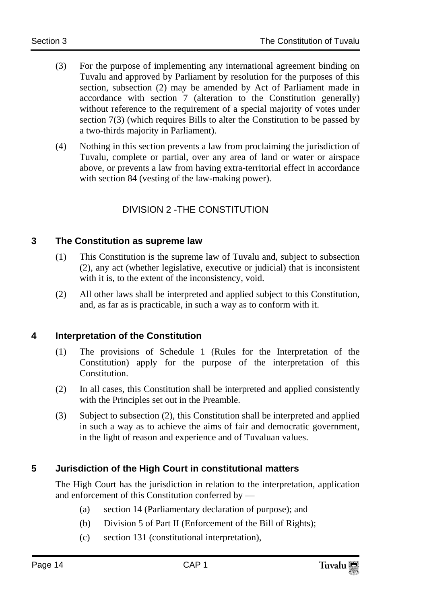- (3) For the purpose of implementing any international agreement binding on Tuvalu and approved by Parliament by resolution for the purposes of this section, subsection (2) may be amended by Act of Parliament made in accordance with section 7 (alteration to the Constitution generally) without reference to the requirement of a special majority of votes under section 7(3) (which requires Bills to alter the Constitution to be passed by a two-thirds majority in Parliament).
- (4) Nothing in this section prevents a law from proclaiming the jurisdiction of Tuvalu, complete or partial, over any area of land or water or airspace above, or prevents a law from having extra-territorial effect in accordance with section 84 (vesting of the law-making power).

### DIVISION 2 -THE CONSTITUTION

### **3 The Constitution as supreme law**

- (1) This Constitution is the supreme law of Tuvalu and, subject to subsection (2), any act (whether legislative, executive or judicial) that is inconsistent with it is, to the extent of the inconsistency, void.
- (2) All other laws shall be interpreted and applied subject to this Constitution, and, as far as is practicable, in such a way as to conform with it.

### **4 Interpretation of the Constitution**

- (1) The provisions of Schedule 1 (Rules for the Interpretation of the Constitution) apply for the purpose of the interpretation of this Constitution.
- (2) In all cases, this Constitution shall be interpreted and applied consistently with the Principles set out in the Preamble.
- (3) Subject to subsection (2), this Constitution shall be interpreted and applied in such a way as to achieve the aims of fair and democratic government, in the light of reason and experience and of Tuvaluan values.

### **5 Jurisdiction of the High Court in constitutional matters**

The High Court has the jurisdiction in relation to the interpretation, application and enforcement of this Constitution conferred by —

- (a) section 14 (Parliamentary declaration of purpose); and
- (b) Division 5 of Part II (Enforcement of the Bill of Rights);
- (c) section 131 (constitutional interpretation),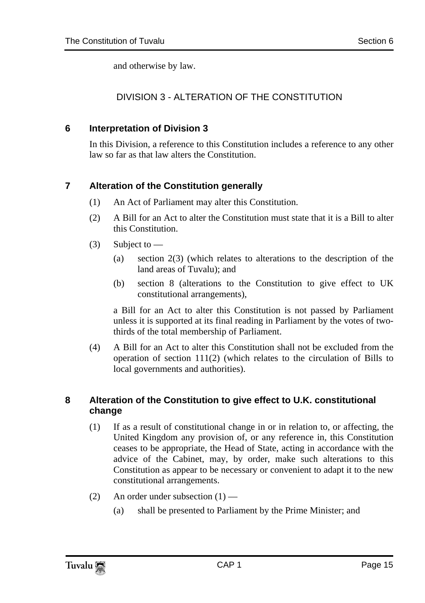and otherwise by law.

### DIVISION 3 - ALTERATION OF THE CONSTITUTION

### **6 Interpretation of Division 3**

In this Division, a reference to this Constitution includes a reference to any other law so far as that law alters the Constitution.

### **7 Alteration of the Constitution generally**

- (1) An Act of Parliament may alter this Constitution.
- (2) A Bill for an Act to alter the Constitution must state that it is a Bill to alter this Constitution.
- (3) Subject to  $-$ 
	- (a) section 2(3) (which relates to alterations to the description of the land areas of Tuvalu); and
	- (b) section 8 (alterations to the Constitution to give effect to UK constitutional arrangements),

a Bill for an Act to alter this Constitution is not passed by Parliament unless it is supported at its final reading in Parliament by the votes of twothirds of the total membership of Parliament.

(4) A Bill for an Act to alter this Constitution shall not be excluded from the operation of section 111(2) (which relates to the circulation of Bills to local governments and authorities).

### **8 Alteration of the Constitution to give effect to U.K. constitutional change**

- (1) If as a result of constitutional change in or in relation to, or affecting, the United Kingdom any provision of, or any reference in, this Constitution ceases to be appropriate, the Head of State, acting in accordance with the advice of the Cabinet, may, by order, make such alterations to this Constitution as appear to be necessary or convenient to adapt it to the new constitutional arrangements.
- (2) An order under subsection  $(1)$ 
	- (a) shall be presented to Parliament by the Prime Minister; and

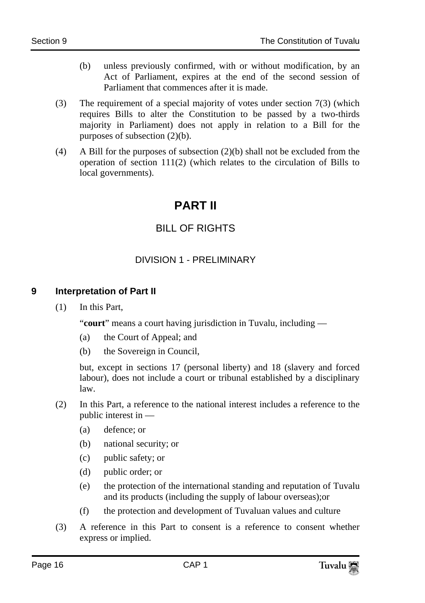- (b) unless previously confirmed, with or without modification, by an Act of Parliament, expires at the end of the second session of Parliament that commences after it is made.
- (3) The requirement of a special majority of votes under section 7(3) (which requires Bills to alter the Constitution to be passed by a two-thirds majority in Parliament) does not apply in relation to a Bill for the purposes of subsection (2)(b).
- (4) A Bill for the purposes of subsection (2)(b) shall not be excluded from the operation of section 111(2) (which relates to the circulation of Bills to local governments).

### **PART II**

### BILL OF RIGHTS

### DIVISION 1 - PRELIMINARY

### **9 Interpretation of Part II**

(1) In this Part,

"**court**" means a court having jurisdiction in Tuvalu, including —

- (a) the Court of Appeal; and
- (b) the Sovereign in Council,

but, except in sections 17 (personal liberty) and 18 (slavery and forced labour), does not include a court or tribunal established by a disciplinary law.

- (2) In this Part, a reference to the national interest includes a reference to the public interest in —
	- (a) defence; or
	- (b) national security; or
	- (c) public safety; or
	- (d) public order; or
	- (e) the protection of the international standing and reputation of Tuvalu and its products (including the supply of labour overseas);or
	- (f) the protection and development of Tuvaluan values and culture
- (3) A reference in this Part to consent is a reference to consent whether express or implied.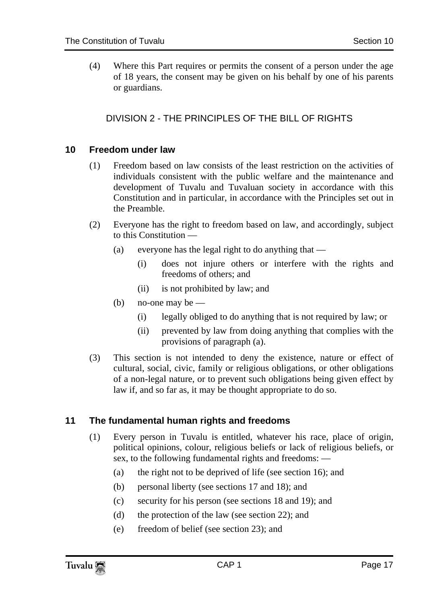(4) Where this Part requires or permits the consent of a person under the age of 18 years, the consent may be given on his behalf by one of his parents or guardians.

### DIVISION 2 - THE PRINCIPLES OF THE BILL OF RIGHTS

### **10 Freedom under law**

- (1) Freedom based on law consists of the least restriction on the activities of individuals consistent with the public welfare and the maintenance and development of Tuvalu and Tuvaluan society in accordance with this Constitution and in particular, in accordance with the Principles set out in the Preamble.
- (2) Everyone has the right to freedom based on law, and accordingly, subject to this Constitution —
	- (a) everyone has the legal right to do anything that  $-$ 
		- (i) does not injure others or interfere with the rights and freedoms of others; and
		- (ii) is not prohibited by law; and
	- (b) no-one may be  $-$ 
		- (i) legally obliged to do anything that is not required by law; or
		- (ii) prevented by law from doing anything that complies with the provisions of paragraph (a).
- (3) This section is not intended to deny the existence, nature or effect of cultural, social, civic, family or religious obligations, or other obligations of a non-legal nature, or to prevent such obligations being given effect by law if, and so far as, it may be thought appropriate to do so.

### **11 The fundamental human rights and freedoms**

- (1) Every person in Tuvalu is entitled, whatever his race, place of origin, political opinions, colour, religious beliefs or lack of religious beliefs, or sex, to the following fundamental rights and freedoms: —
	- (a) the right not to be deprived of life (see section 16); and
	- (b) personal liberty (see sections 17 and 18); and
	- (c) security for his person (see sections 18 and 19); and
	- (d) the protection of the law (see section 22); and
	- (e) freedom of belief (see section 23); and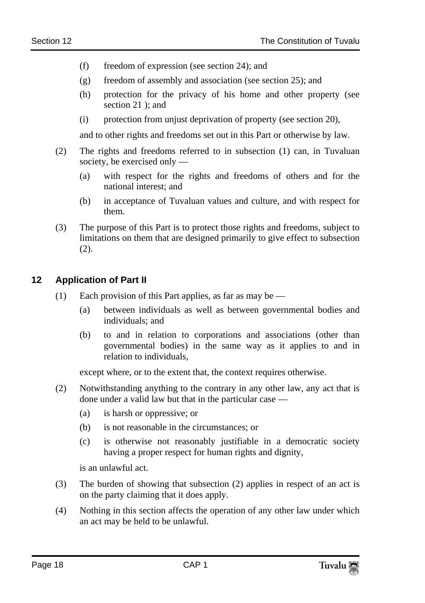- (f) freedom of expression (see section 24); and
- (g) freedom of assembly and association (see section 25); and
- (h) protection for the privacy of his home and other property (see section 21 ); and
- (i) protection from unjust deprivation of property (see section 20),

and to other rights and freedoms set out in this Part or otherwise by law.

- (2) The rights and freedoms referred to in subsection (1) can, in Tuvaluan society, be exercised only —
	- (a) with respect for the rights and freedoms of others and for the national interest; and
	- (b) in acceptance of Tuvaluan values and culture, and with respect for them.
- (3) The purpose of this Part is to protect those rights and freedoms, subject to limitations on them that are designed primarily to give effect to subsection (2).

### **12 Application of Part II**

- (1) Each provision of this Part applies, as far as may be  $-$ 
	- (a) between individuals as well as between governmental bodies and individuals; and
	- (b) to and in relation to corporations and associations (other than governmental bodies) in the same way as it applies to and in relation to individuals,

except where, or to the extent that, the context requires otherwise.

- (2) Notwithstanding anything to the contrary in any other law, any act that is done under a valid law but that in the particular case —
	- (a) is harsh or oppressive; or
	- (b) is not reasonable in the circumstances; or
	- (c) is otherwise not reasonably justifiable in a democratic society having a proper respect for human rights and dignity,

is an unlawful act.

- (3) The burden of showing that subsection (2) applies in respect of an act is on the party claiming that it does apply.
- (4) Nothing in this section affects the operation of any other law under which an act may be held to be unlawful.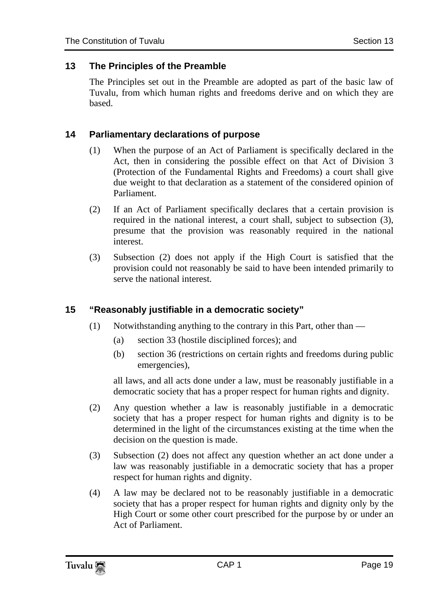The Principles set out in the Preamble are adopted as part of the basic law of Tuvalu, from which human rights and freedoms derive and on which they are based.

### **14 Parliamentary declarations of purpose**

- (1) When the purpose of an Act of Parliament is specifically declared in the Act, then in considering the possible effect on that Act of Division 3 (Protection of the Fundamental Rights and Freedoms) a court shall give due weight to that declaration as a statement of the considered opinion of Parliament.
- (2) If an Act of Parliament specifically declares that a certain provision is required in the national interest, a court shall, subject to subsection (3), presume that the provision was reasonably required in the national interest.
- (3) Subsection (2) does not apply if the High Court is satisfied that the provision could not reasonably be said to have been intended primarily to serve the national interest.

### **15 "Reasonably justifiable in a democratic society"**

- (1) Notwithstanding anything to the contrary in this Part, other than
	- (a) section 33 (hostile disciplined forces); and
	- (b) section 36 (restrictions on certain rights and freedoms during public emergencies),

all laws, and all acts done under a law, must be reasonably justifiable in a democratic society that has a proper respect for human rights and dignity.

- (2) Any question whether a law is reasonably justifiable in a democratic society that has a proper respect for human rights and dignity is to be determined in the light of the circumstances existing at the time when the decision on the question is made.
- (3) Subsection (2) does not affect any question whether an act done under a law was reasonably justifiable in a democratic society that has a proper respect for human rights and dignity.
- (4) A law may be declared not to be reasonably justifiable in a democratic society that has a proper respect for human rights and dignity only by the High Court or some other court prescribed for the purpose by or under an Act of Parliament.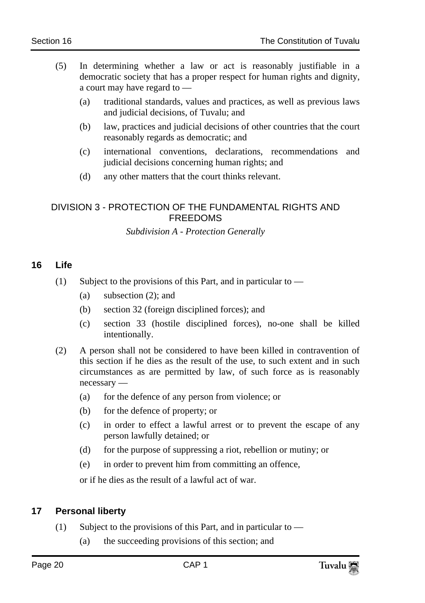- (5) In determining whether a law or act is reasonably justifiable in a democratic society that has a proper respect for human rights and dignity, a court may have regard to —
	- (a) traditional standards, values and practices, as well as previous laws and judicial decisions, of Tuvalu; and
	- (b) law, practices and judicial decisions of other countries that the court reasonably regards as democratic; and
	- (c) international conventions, declarations, recommendations and judicial decisions concerning human rights; and
	- (d) any other matters that the court thinks relevant.

### DIVISION 3 - PROTECTION OF THE FUNDAMENTAL RIGHTS AND FREEDOMS

#### *Subdivision A - Protection Generally*

### **16 Life**

- (1) Subject to the provisions of this Part, and in particular to
	- (a) subsection (2); and
	- (b) section 32 (foreign disciplined forces); and
	- (c) section 33 (hostile disciplined forces), no-one shall be killed intentionally.
- (2) A person shall not be considered to have been killed in contravention of this section if he dies as the result of the use, to such extent and in such circumstances as are permitted by law, of such force as is reasonably necessary —
	- (a) for the defence of any person from violence; or
	- (b) for the defence of property; or
	- (c) in order to effect a lawful arrest or to prevent the escape of any person lawfully detained; or
	- (d) for the purpose of suppressing a riot, rebellion or mutiny; or
	- (e) in order to prevent him from committing an offence,

or if he dies as the result of a lawful act of war.

### **17 Personal liberty**

- (1) Subject to the provisions of this Part, and in particular to
	- (a) the succeeding provisions of this section; and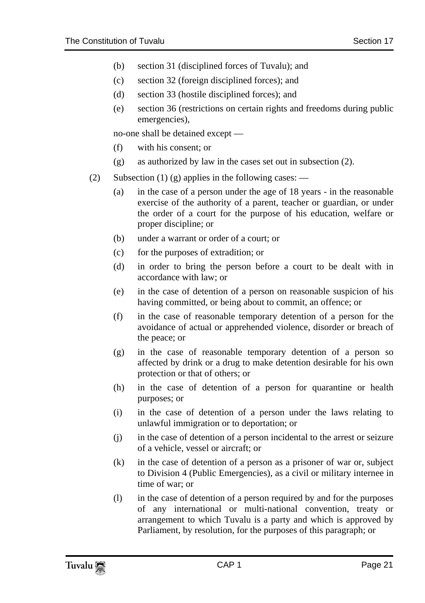- (b) section 31 (disciplined forces of Tuvalu); and
- (c) section 32 (foreign disciplined forces); and
- (d) section 33 (hostile disciplined forces); and
- (e) section 36 (restrictions on certain rights and freedoms during public emergencies),

no-one shall be detained except —

- (f) with his consent; or
- (g) as authorized by law in the cases set out in subsection (2).
- (2) Subsection (1) (g) applies in the following cases:  $-$ 
	- (a) in the case of a person under the age of 18 years in the reasonable exercise of the authority of a parent, teacher or guardian, or under the order of a court for the purpose of his education, welfare or proper discipline; or
	- (b) under a warrant or order of a court; or
	- (c) for the purposes of extradition; or
	- (d) in order to bring the person before a court to be dealt with in accordance with law; or
	- (e) in the case of detention of a person on reasonable suspicion of his having committed, or being about to commit, an offence; or
	- (f) in the case of reasonable temporary detention of a person for the avoidance of actual or apprehended violence, disorder or breach of the peace; or
	- (g) in the case of reasonable temporary detention of a person so affected by drink or a drug to make detention desirable for his own protection or that of others; or
	- (h) in the case of detention of a person for quarantine or health purposes; or
	- (i) in the case of detention of a person under the laws relating to unlawful immigration or to deportation; or
	- (j) in the case of detention of a person incidental to the arrest or seizure of a vehicle, vessel or aircraft; or
	- (k) in the case of detention of a person as a prisoner of war or, subject to Division 4 (Public Emergencies), as a civil or military internee in time of war; or
	- (l) in the case of detention of a person required by and for the purposes of any international or multi-national convention, treaty or arrangement to which Tuvalu is a party and which is approved by Parliament, by resolution, for the purposes of this paragraph; or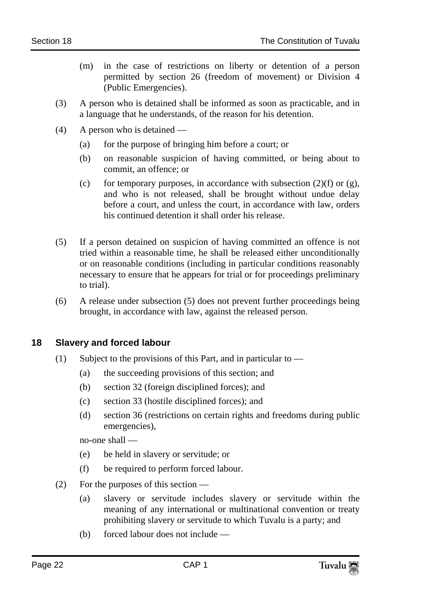- (m) in the case of restrictions on liberty or detention of a person permitted by section 26 (freedom of movement) or Division 4 (Public Emergencies).
- (3) A person who is detained shall be informed as soon as practicable, and in a language that he understands, of the reason for his detention.
- (4) A person who is detained
	- (a) for the purpose of bringing him before a court; or
	- (b) on reasonable suspicion of having committed, or being about to commit, an offence; or
	- (c) for temporary purposes, in accordance with subsection  $(2)(f)$  or  $(g)$ , and who is not released, shall be brought without undue delay before a court, and unless the court, in accordance with law, orders his continued detention it shall order his release.
- (5) If a person detained on suspicion of having committed an offence is not tried within a reasonable time, he shall be released either unconditionally or on reasonable conditions (including in particular conditions reasonably necessary to ensure that he appears for trial or for proceedings preliminary to trial).
- (6) A release under subsection (5) does not prevent further proceedings being brought, in accordance with law, against the released person.

### **18 Slavery and forced labour**

- (1) Subject to the provisions of this Part, and in particular to  $-$ 
	- (a) the succeeding provisions of this section; and
	- (b) section 32 (foreign disciplined forces); and
	- (c) section 33 (hostile disciplined forces); and
	- (d) section 36 (restrictions on certain rights and freedoms during public emergencies),

no-one shall —

- (e) be held in slavery or servitude; or
- (f) be required to perform forced labour.
- (2) For the purposes of this section
	- (a) slavery or servitude includes slavery or servitude within the meaning of any international or multinational convention or treaty prohibiting slavery or servitude to which Tuvalu is a party; and
	- (b) forced labour does not include —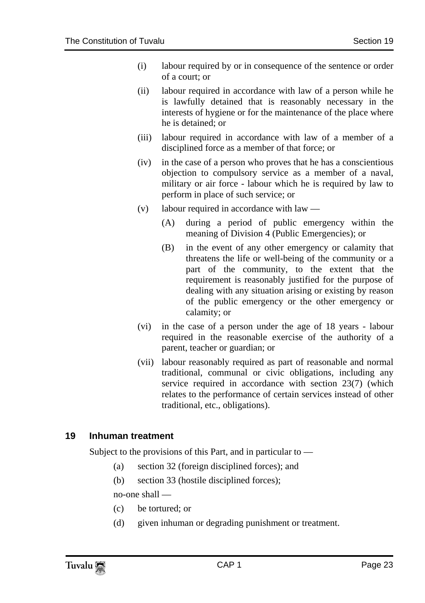- (i) labour required by or in consequence of the sentence or order of a court; or
- (ii) labour required in accordance with law of a person while he is lawfully detained that is reasonably necessary in the interests of hygiene or for the maintenance of the place where he is detained; or
- (iii) labour required in accordance with law of a member of a disciplined force as a member of that force; or
- (iv) in the case of a person who proves that he has a conscientious objection to compulsory service as a member of a naval, military or air force - labour which he is required by law to perform in place of such service; or
- (v) labour required in accordance with law
	- (A) during a period of public emergency within the meaning of Division 4 (Public Emergencies); or
	- (B) in the event of any other emergency or calamity that threatens the life or well-being of the community or a part of the community, to the extent that the requirement is reasonably justified for the purpose of dealing with any situation arising or existing by reason of the public emergency or the other emergency or calamity; or
- (vi) in the case of a person under the age of 18 years labour required in the reasonable exercise of the authority of a parent, teacher or guardian; or
- (vii) labour reasonably required as part of reasonable and normal traditional, communal or civic obligations, including any service required in accordance with section 23(7) (which relates to the performance of certain services instead of other traditional, etc., obligations).

### **19 Inhuman treatment**

Subject to the provisions of this Part, and in particular to —

- (a) section 32 (foreign disciplined forces); and
- (b) section 33 (hostile disciplined forces);

no-one shall —

- (c) be tortured; or
- (d) given inhuman or degrading punishment or treatment.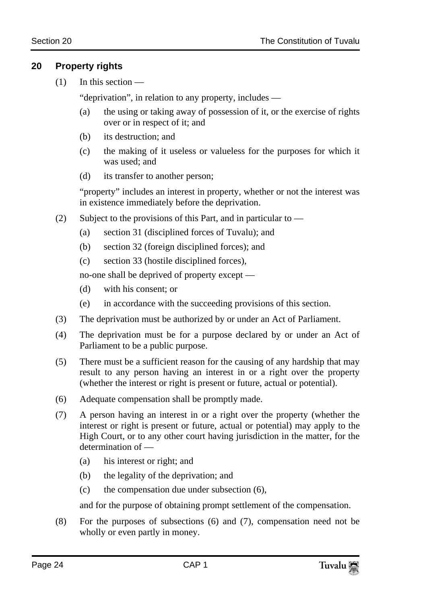### **20 Property rights**

(1) In this section —

"deprivation", in relation to any property, includes —

- (a) the using or taking away of possession of it, or the exercise of rights over or in respect of it; and
- (b) its destruction; and
- (c) the making of it useless or valueless for the purposes for which it was used; and
- (d) its transfer to another person;

"property" includes an interest in property, whether or not the interest was in existence immediately before the deprivation.

- (2) Subject to the provisions of this Part, and in particular to
	- (a) section 31 (disciplined forces of Tuvalu); and
	- (b) section 32 (foreign disciplined forces); and
	- (c) section 33 (hostile disciplined forces),

no-one shall be deprived of property except —

- (d) with his consent; or
- (e) in accordance with the succeeding provisions of this section.
- (3) The deprivation must be authorized by or under an Act of Parliament.
- (4) The deprivation must be for a purpose declared by or under an Act of Parliament to be a public purpose.
- (5) There must be a sufficient reason for the causing of any hardship that may result to any person having an interest in or a right over the property (whether the interest or right is present or future, actual or potential).
- (6) Adequate compensation shall be promptly made.
- (7) A person having an interest in or a right over the property (whether the interest or right is present or future, actual or potential) may apply to the High Court, or to any other court having jurisdiction in the matter, for the determination of —
	- (a) his interest or right; and
	- (b) the legality of the deprivation; and
	- (c) the compensation due under subsection (6),

and for the purpose of obtaining prompt settlement of the compensation.

(8) For the purposes of subsections (6) and (7), compensation need not be wholly or even partly in money.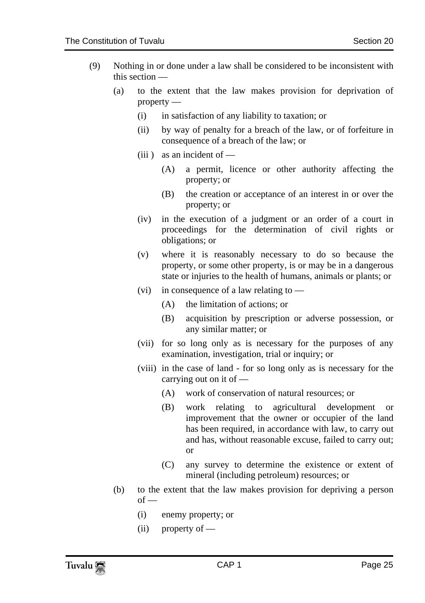- (9) Nothing in or done under a law shall be considered to be inconsistent with this section —
	- (a) to the extent that the law makes provision for deprivation of property —
		- (i) in satisfaction of any liability to taxation; or
		- (ii) by way of penalty for a breach of the law, or of forfeiture in consequence of a breach of the law; or
		- $(iii)$  as an incident of
			- (A) a permit, licence or other authority affecting the property; or
			- (B) the creation or acceptance of an interest in or over the property; or
		- (iv) in the execution of a judgment or an order of a court in proceedings for the determination of civil rights or obligations; or
		- (v) where it is reasonably necessary to do so because the property, or some other property, is or may be in a dangerous state or injuries to the health of humans, animals or plants; or
		- (vi) in consequence of a law relating to  $-$ 
			- (A) the limitation of actions; or
			- (B) acquisition by prescription or adverse possession, or any similar matter; or
		- (vii) for so long only as is necessary for the purposes of any examination, investigation, trial or inquiry; or
		- (viii) in the case of land for so long only as is necessary for the carrying out on it of —
			- (A) work of conservation of natural resources; or
			- (B) work relating to agricultural development or improvement that the owner or occupier of the land has been required, in accordance with law, to carry out and has, without reasonable excuse, failed to carry out; or
			- (C) any survey to determine the existence or extent of mineral (including petroleum) resources; or
	- (b) to the extent that the law makes provision for depriving a person  $of$  —
		- (i) enemy property; or
		- (ii) property of —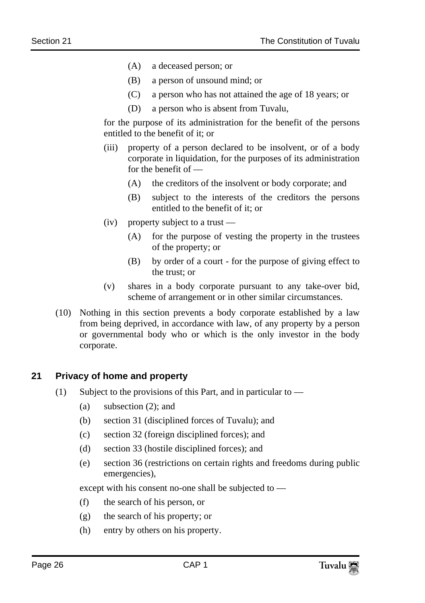- (A) a deceased person; or
- (B) a person of unsound mind; or
- (C) a person who has not attained the age of 18 years; or
- (D) a person who is absent from Tuvalu,

for the purpose of its administration for the benefit of the persons entitled to the benefit of it; or

- (iii) property of a person declared to be insolvent, or of a body corporate in liquidation, for the purposes of its administration for the benefit of —
	- (A) the creditors of the insolvent or body corporate; and
	- (B) subject to the interests of the creditors the persons entitled to the benefit of it; or
- (iv) property subject to a trust
	- (A) for the purpose of vesting the property in the trustees of the property; or
	- (B) by order of a court for the purpose of giving effect to the trust; or
- (v) shares in a body corporate pursuant to any take-over bid, scheme of arrangement or in other similar circumstances.
- (10) Nothing in this section prevents a body corporate established by a law from being deprived, in accordance with law, of any property by a person or governmental body who or which is the only investor in the body corporate.

### **21 Privacy of home and property**

- (1) Subject to the provisions of this Part, and in particular to
	- (a) subsection (2); and
	- (b) section 31 (disciplined forces of Tuvalu); and
	- (c) section 32 (foreign disciplined forces); and
	- (d) section 33 (hostile disciplined forces); and
	- (e) section 36 (restrictions on certain rights and freedoms during public emergencies),

except with his consent no-one shall be subjected to —

- (f) the search of his person, or
- (g) the search of his property; or
- (h) entry by others on his property.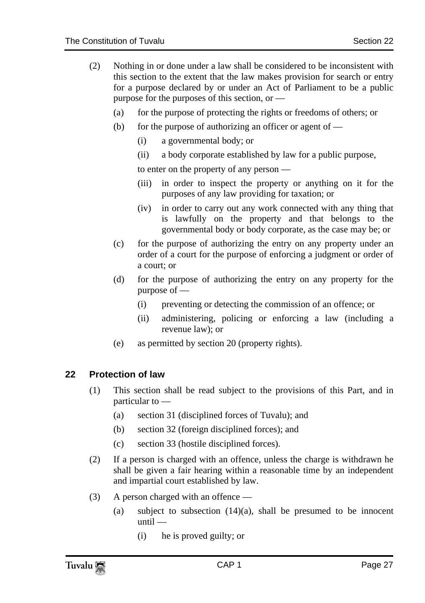- (2) Nothing in or done under a law shall be considered to be inconsistent with this section to the extent that the law makes provision for search or entry for a purpose declared by or under an Act of Parliament to be a public purpose for the purposes of this section, or —
	- (a) for the purpose of protecting the rights or freedoms of others; or
	- (b) for the purpose of authorizing an officer or agent of  $-$ 
		- (i) a governmental body; or
		- (ii) a body corporate established by law for a public purpose,

to enter on the property of any person —

- (iii) in order to inspect the property or anything on it for the purposes of any law providing for taxation; or
- (iv) in order to carry out any work connected with any thing that is lawfully on the property and that belongs to the governmental body or body corporate, as the case may be; or
- (c) for the purpose of authorizing the entry on any property under an order of a court for the purpose of enforcing a judgment or order of a court; or
- (d) for the purpose of authorizing the entry on any property for the purpose of —
	- (i) preventing or detecting the commission of an offence; or
	- (ii) administering, policing or enforcing a law (including a revenue law); or
- (e) as permitted by section 20 (property rights).

### **22 Protection of law**

- (1) This section shall be read subject to the provisions of this Part, and in particular to —
	- (a) section 31 (disciplined forces of Tuvalu); and
	- (b) section 32 (foreign disciplined forces); and
	- (c) section 33 (hostile disciplined forces).
- (2) If a person is charged with an offence, unless the charge is withdrawn he shall be given a fair hearing within a reasonable time by an independent and impartial court established by law.
- (3) A person charged with an offence
	- (a) subject to subsection  $(14)(a)$ , shall be presumed to be innocent until —
		- (i) he is proved guilty; or

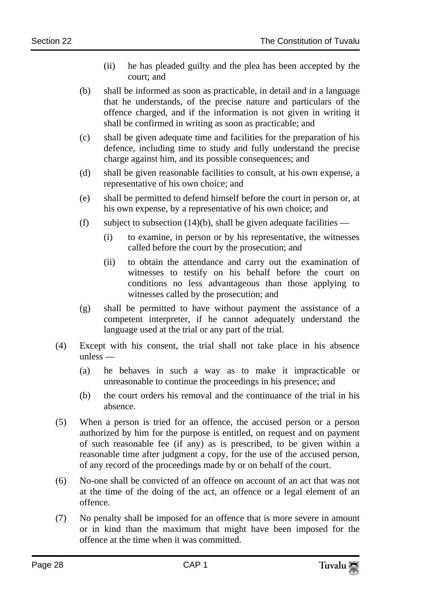- (ii) he has pleaded guilty and the plea has been accepted by the court; and
- (b) shall be informed as soon as practicable, in detail and in a language that he understands, of the precise nature and particulars of the offence charged, and if the information is not given in writing it shall be confirmed in writing as soon as practicable; and
- (c) shall be given adequate time and facilities for the preparation of his defence, including time to study and fully understand the precise charge against him, and its possible consequences; and
- (d) shall be given reasonable facilities to consult, at his own expense, a representative of his own choice; and
- (e) shall be permitted to defend himself before the court in person or, at his own expense, by a representative of his own choice; and
- (f) subject to subsection  $(14)(b)$ , shall be given adequate facilities
	- (i) to examine, in person or by his representative, the witnesses called before the court by the prosecution; and
	- (ii) to obtain the attendance and carry out the examination of witnesses to testify on his behalf before the court on conditions no less advantageous than those applying to witnesses called by the prosecution; and
- (g) shall be permitted to have without payment the assistance of a competent interpreter, if he cannot adequately understand the language used at the trial or any part of the trial.
- (4) Except with his consent, the trial shall not take place in his absence unless —
	- (a) he behaves in such a way as to make it impracticable or unreasonable to continue the proceedings in his presence; and
	- (b) the court orders his removal and the continuance of the trial in his absence.
- (5) When a person is tried for an offence, the accused person or a person authorized by him for the purpose is entitled, on request and on payment of such reasonable fee (if any) as is prescribed, to be given within a reasonable time after judgment a copy, for the use of the accused person, of any record of the proceedings made by or on behalf of the court.
- (6) No-one shall be convicted of an offence on account of an act that was not at the time of the doing of the act, an offence or a legal element of an offence.
- (7) No penalty shall be imposed for an offence that is more severe in amount or in kind than the maximum that might have been imposed for the offence at the time when it was committed.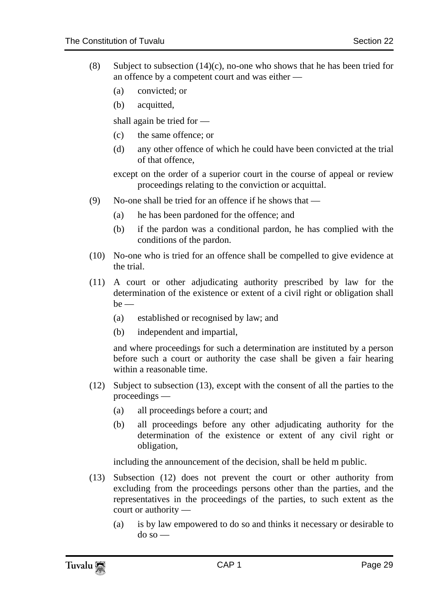- (8) Subject to subsection (14)(c), no-one who shows that he has been tried for an offence by a competent court and was either —
	- (a) convicted; or
	- (b) acquitted,

shall again be tried for —

- (c) the same offence; or
- (d) any other offence of which he could have been convicted at the trial of that offence,

except on the order of a superior court in the course of appeal or review proceedings relating to the conviction or acquittal.

- (9) No-one shall be tried for an offence if he shows that
	- (a) he has been pardoned for the offence; and
	- (b) if the pardon was a conditional pardon, he has complied with the conditions of the pardon.
- (10) No-one who is tried for an offence shall be compelled to give evidence at the trial.
- (11) A court or other adjudicating authority prescribed by law for the determination of the existence or extent of a civil right or obligation shall  $he$  —
	- (a) established or recognised by law; and
	- (b) independent and impartial,

and where proceedings for such a determination are instituted by a person before such a court or authority the case shall be given a fair hearing within a reasonable time.

- (12) Subject to subsection (13), except with the consent of all the parties to the proceedings —
	- (a) all proceedings before a court; and
	- (b) all proceedings before any other adjudicating authority for the determination of the existence or extent of any civil right or obligation,

including the announcement of the decision, shall be held m public.

- (13) Subsection (12) does not prevent the court or other authority from excluding from the proceedings persons other than the parties, and the representatives in the proceedings of the parties, to such extent as the court or authority —
	- (a) is by law empowered to do so and thinks it necessary or desirable to do so —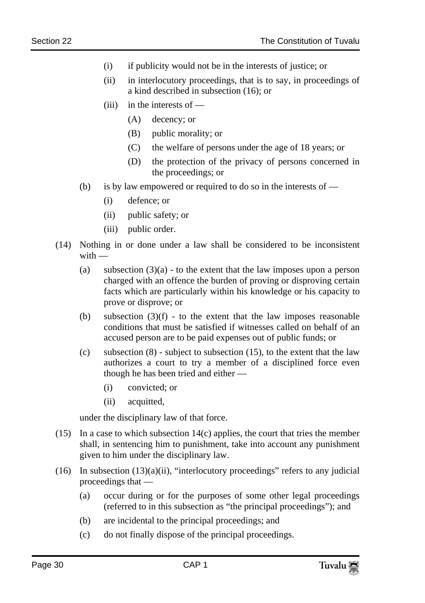- (i) if publicity would not be in the interests of justice; or
- (ii) in interlocutory proceedings, that is to say, in proceedings of a kind described in subsection (16); or
- $(iii)$  in the interests of  $-$ 
	- (A) decency; or
	- (B) public morality; or
	- (C) the welfare of persons under the age of 18 years; or
	- (D) the protection of the privacy of persons concerned in the proceedings; or
- (b) is by law empowered or required to do so in the interests of
	- (i) defence; or
	- (ii) public safety; or
	- (iii) public order.
- (14) Nothing in or done under a law shall be considered to be inconsistent with —
	- (a) subsection  $(3)(a)$  to the extent that the law imposes upon a person charged with an offence the burden of proving or disproving certain facts which are particularly within his knowledge or his capacity to prove or disprove; or
	- (b) subsection  $(3)(f)$  to the extent that the law imposes reasonable conditions that must be satisfied if witnesses called on behalf of an accused person are to be paid expenses out of public funds; or
	- (c) subsection  $(8)$  subject to subsection  $(15)$ , to the extent that the law authorizes a court to try a member of a disciplined force even though he has been tried and either —
		- (i) convicted; or
		- (ii) acquitted,

under the disciplinary law of that force.

- (15) In a case to which subsection 14(c) applies, the court that tries the member shall, in sentencing him to punishment, take into account any punishment given to him under the disciplinary law.
- $(16)$  In subsection  $(13)(a)(ii)$ , "interlocutory proceedings" refers to any judicial proceedings that —
	- (a) occur during or for the purposes of some other legal proceedings (referred to in this subsection as "the principal proceedings"); and
	- (b) are incidental to the principal proceedings; and
	- (c) do not finally dispose of the principal proceedings.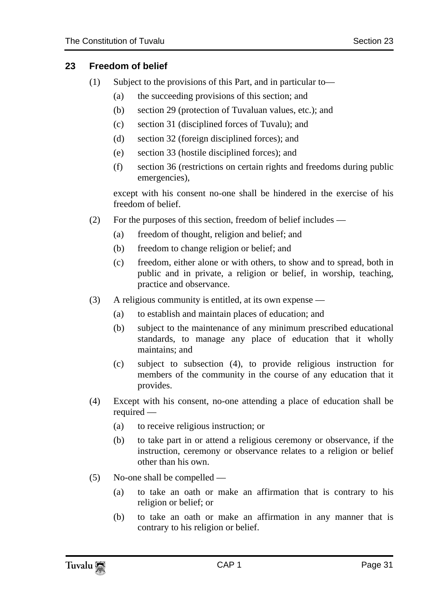### **23 Freedom of belief**

- (1) Subject to the provisions of this Part, and in particular to—
	- (a) the succeeding provisions of this section; and
	- (b) section 29 (protection of Tuvaluan values, etc.); and
	- (c) section 31 (disciplined forces of Tuvalu); and
	- (d) section 32 (foreign disciplined forces); and
	- (e) section 33 (hostile disciplined forces); and
	- (f) section 36 (restrictions on certain rights and freedoms during public emergencies),

except with his consent no-one shall be hindered in the exercise of his freedom of belief.

- (2) For the purposes of this section, freedom of belief includes
	- (a) freedom of thought, religion and belief; and
	- (b) freedom to change religion or belief; and
	- (c) freedom, either alone or with others, to show and to spread, both in public and in private, a religion or belief, in worship, teaching, practice and observance.
- (3) A religious community is entitled, at its own expense
	- (a) to establish and maintain places of education; and
	- (b) subject to the maintenance of any minimum prescribed educational standards, to manage any place of education that it wholly maintains; and
	- (c) subject to subsection (4), to provide religious instruction for members of the community in the course of any education that it provides.
- (4) Except with his consent, no-one attending a place of education shall be required —
	- (a) to receive religious instruction; or
	- (b) to take part in or attend a religious ceremony or observance, if the instruction, ceremony or observance relates to a religion or belief other than his own.
- (5) No-one shall be compelled
	- (a) to take an oath or make an affirmation that is contrary to his religion or belief; or
	- (b) to take an oath or make an affirmation in any manner that is contrary to his religion or belief.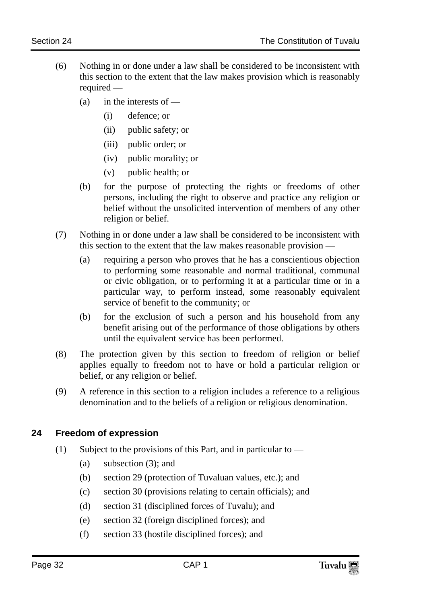- (6) Nothing in or done under a law shall be considered to be inconsistent with this section to the extent that the law makes provision which is reasonably required —
	- (a) in the interests of  $-$ 
		- (i) defence; or
		- (ii) public safety; or
		- (iii) public order; or
		- (iv) public morality; or
		- (v) public health; or
	- (b) for the purpose of protecting the rights or freedoms of other persons, including the right to observe and practice any religion or belief without the unsolicited intervention of members of any other religion or belief.
- (7) Nothing in or done under a law shall be considered to be inconsistent with this section to the extent that the law makes reasonable provision —
	- (a) requiring a person who proves that he has a conscientious objection to performing some reasonable and normal traditional, communal or civic obligation, or to performing it at a particular time or in a particular way, to perform instead, some reasonably equivalent service of benefit to the community; or
	- (b) for the exclusion of such a person and his household from any benefit arising out of the performance of those obligations by others until the equivalent service has been performed.
- (8) The protection given by this section to freedom of religion or belief applies equally to freedom not to have or hold a particular religion or belief, or any religion or belief.
- (9) A reference in this section to a religion includes a reference to a religious denomination and to the beliefs of a religion or religious denomination.

### **24 Freedom of expression**

- (1) Subject to the provisions of this Part, and in particular to  $-$ 
	- (a) subsection (3); and
	- (b) section 29 (protection of Tuvaluan values, etc.); and
	- (c) section 30 (provisions relating to certain officials); and
	- (d) section 31 (disciplined forces of Tuvalu); and
	- (e) section 32 (foreign disciplined forces); and
	- (f) section 33 (hostile disciplined forces); and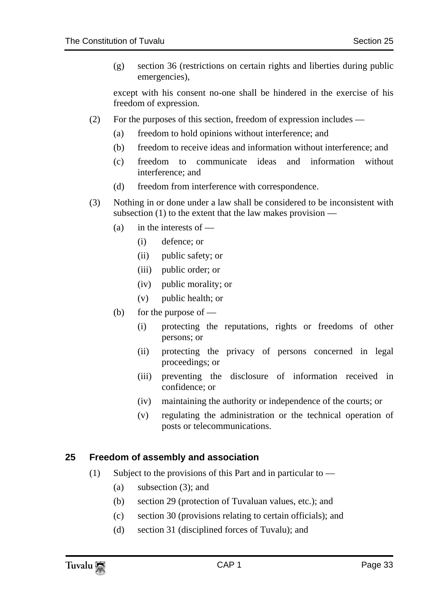(g) section 36 (restrictions on certain rights and liberties during public emergencies),

except with his consent no-one shall be hindered in the exercise of his freedom of expression.

- (2) For the purposes of this section, freedom of expression includes
	- (a) freedom to hold opinions without interference; and
	- (b) freedom to receive ideas and information without interference; and
	- (c) freedom to communicate ideas and information without interference; and
	- (d) freedom from interference with correspondence.
- (3) Nothing in or done under a law shall be considered to be inconsistent with subsection (1) to the extent that the law makes provision —
	- $(a)$  in the interests of
		- (i) defence; or
		- (ii) public safety; or
		- (iii) public order; or
		- (iv) public morality; or
		- (v) public health; or
	- (b) for the purpose of  $-$ 
		- (i) protecting the reputations, rights or freedoms of other persons; or
		- (ii) protecting the privacy of persons concerned in legal proceedings; or
		- (iii) preventing the disclosure of information received in confidence; or
		- (iv) maintaining the authority or independence of the courts; or
		- (v) regulating the administration or the technical operation of posts or telecommunications.

### **25 Freedom of assembly and association**

- (1) Subject to the provisions of this Part and in particular to
	- (a) subsection (3); and
	- (b) section 29 (protection of Tuvaluan values, etc.); and
	- (c) section 30 (provisions relating to certain officials); and
	- (d) section 31 (disciplined forces of Tuvalu); and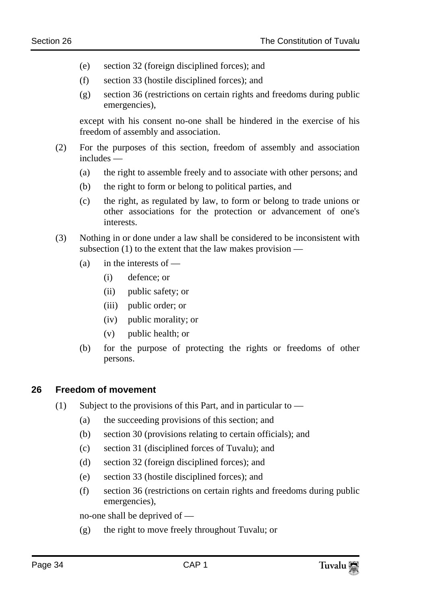- (e) section 32 (foreign disciplined forces); and
- (f) section 33 (hostile disciplined forces); and
- (g) section 36 (restrictions on certain rights and freedoms during public emergencies),

except with his consent no-one shall be hindered in the exercise of his freedom of assembly and association.

- (2) For the purposes of this section, freedom of assembly and association includes —
	- (a) the right to assemble freely and to associate with other persons; and
	- (b) the right to form or belong to political parties, and
	- (c) the right, as regulated by law, to form or belong to trade unions or other associations for the protection or advancement of one's interests.
- (3) Nothing in or done under a law shall be considered to be inconsistent with subsection (1) to the extent that the law makes provision —
	- $(a)$  in the interests of
		- (i) defence; or
		- (ii) public safety; or
		- (iii) public order; or
		- (iv) public morality; or
		- (v) public health; or
	- (b) for the purpose of protecting the rights or freedoms of other persons.

#### **26 Freedom of movement**

- (1) Subject to the provisions of this Part, and in particular to
	- (a) the succeeding provisions of this section; and
	- (b) section 30 (provisions relating to certain officials); and
	- (c) section 31 (disciplined forces of Tuvalu); and
	- (d) section 32 (foreign disciplined forces); and
	- (e) section 33 (hostile disciplined forces); and
	- (f) section 36 (restrictions on certain rights and freedoms during public emergencies),

no-one shall be deprived of —

(g) the right to move freely throughout Tuvalu; or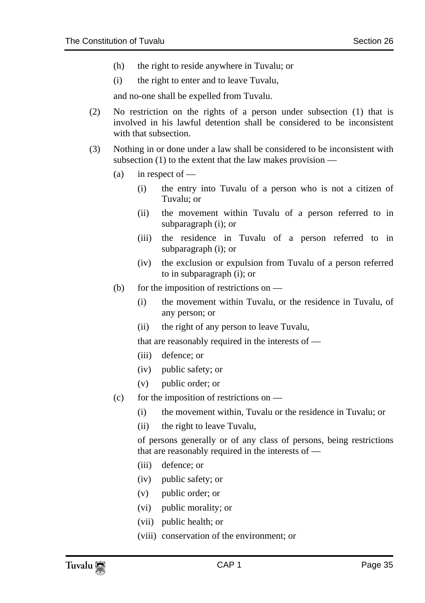- (h) the right to reside anywhere in Tuvalu; or
- (i) the right to enter and to leave Tuvalu,

and no-one shall be expelled from Tuvalu.

- (2) No restriction on the rights of a person under subsection (1) that is involved in his lawful detention shall be considered to be inconsistent with that subsection
- (3) Nothing in or done under a law shall be considered to be inconsistent with subsection (1) to the extent that the law makes provision —
	- (a) in respect of  $-$ 
		- (i) the entry into Tuvalu of a person who is not a citizen of Tuvalu; or
		- (ii) the movement within Tuvalu of a person referred to in subparagraph (i); or
		- (iii) the residence in Tuvalu of a person referred to in subparagraph (i); or
		- (iv) the exclusion or expulsion from Tuvalu of a person referred to in subparagraph (i); or
	- (b) for the imposition of restrictions on  $-$ 
		- (i) the movement within Tuvalu, or the residence in Tuvalu, of any person; or
		- (ii) the right of any person to leave Tuvalu,

that are reasonably required in the interests of —

- (iii) defence; or
- (iv) public safety; or
- (v) public order; or
- $(c)$  for the imposition of restrictions on
	- (i) the movement within, Tuvalu or the residence in Tuvalu; or
	- (ii) the right to leave Tuvalu,

of persons generally or of any class of persons, being restrictions that are reasonably required in the interests of —

- (iii) defence; or
- (iv) public safety; or
- (v) public order; or
- (vi) public morality; or
- (vii) public health; or
- (viii) conservation of the environment; or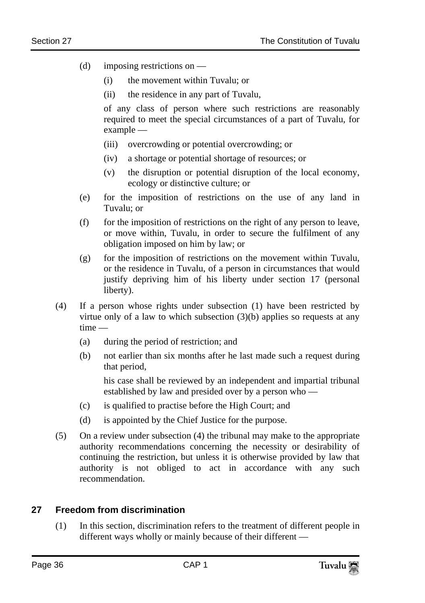- (d) imposing restrictions on
	- (i) the movement within Tuvalu; or
	- (ii) the residence in any part of Tuvalu,

of any class of person where such restrictions are reasonably required to meet the special circumstances of a part of Tuvalu, for example —

- (iii) overcrowding or potential overcrowding; or
- (iv) a shortage or potential shortage of resources; or
- (v) the disruption or potential disruption of the local economy, ecology or distinctive culture; or
- (e) for the imposition of restrictions on the use of any land in Tuvalu; or
- (f) for the imposition of restrictions on the right of any person to leave, or move within, Tuvalu, in order to secure the fulfilment of any obligation imposed on him by law; or
- (g) for the imposition of restrictions on the movement within Tuvalu, or the residence in Tuvalu, of a person in circumstances that would justify depriving him of his liberty under section 17 (personal liberty).
- (4) If a person whose rights under subsection (1) have been restricted by virtue only of a law to which subsection (3)(b) applies so requests at any  $time -$ 
	- (a) during the period of restriction; and
	- (b) not earlier than six months after he last made such a request during that period,

his case shall be reviewed by an independent and impartial tribunal established by law and presided over by a person who —

- (c) is qualified to practise before the High Court; and
- (d) is appointed by the Chief Justice for the purpose.
- (5) On a review under subsection (4) the tribunal may make to the appropriate authority recommendations concerning the necessity or desirability of continuing the restriction, but unless it is otherwise provided by law that authority is not obliged to act in accordance with any such recommendation.

### **27 Freedom from discrimination**

(1) In this section, discrimination refers to the treatment of different people in different ways wholly or mainly because of their different —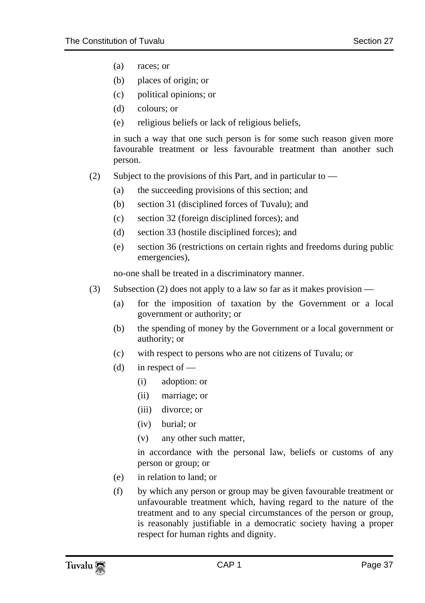- (a) races; or
- (b) places of origin; or
- (c) political opinions; or
- (d) colours; or
- (e) religious beliefs or lack of religious beliefs,

in such a way that one such person is for some such reason given more favourable treatment or less favourable treatment than another such person.

- (2) Subject to the provisions of this Part, and in particular to
	- (a) the succeeding provisions of this section; and
	- (b) section 31 (disciplined forces of Tuvalu); and
	- (c) section 32 (foreign disciplined forces); and
	- (d) section 33 (hostile disciplined forces); and
	- (e) section 36 (restrictions on certain rights and freedoms during public emergencies),

no-one shall be treated in a discriminatory manner.

- (3) Subsection (2) does not apply to a law so far as it makes provision
	- (a) for the imposition of taxation by the Government or a local government or authority; or
	- (b) the spending of money by the Government or a local government or authority; or
	- (c) with respect to persons who are not citizens of Tuvalu; or
	- (d) in respect of  $-$ 
		- (i) adoption: or
		- (ii) marriage; or
		- (iii) divorce; or
		- (iv) burial; or
		- (v) any other such matter,

in accordance with the personal law, beliefs or customs of any person or group; or

- (e) in relation to land; or
- (f) by which any person or group may be given favourable treatment or unfavourable treatment which, having regard to the nature of the treatment and to any special circumstances of the person or group, is reasonably justifiable in a democratic society having a proper respect for human rights and dignity.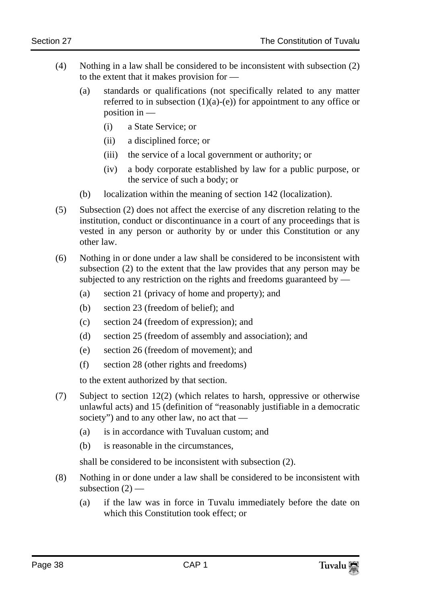- (4) Nothing in a law shall be considered to be inconsistent with subsection (2) to the extent that it makes provision for —
	- (a) standards or qualifications (not specifically related to any matter referred to in subsection  $(1)(a)-(e)$  for appointment to any office or position in —
		- (i) a State Service; or
		- (ii) a disciplined force; or
		- (iii) the service of a local government or authority; or
		- (iv) a body corporate established by law for a public purpose, or the service of such a body; or
	- (b) localization within the meaning of section 142 (localization).
- (5) Subsection (2) does not affect the exercise of any discretion relating to the institution, conduct or discontinuance in a court of any proceedings that is vested in any person or authority by or under this Constitution or any other law.
- (6) Nothing in or done under a law shall be considered to be inconsistent with subsection (2) to the extent that the law provides that any person may be subjected to any restriction on the rights and freedoms guaranteed by —
	- (a) section 21 (privacy of home and property); and
	- (b) section 23 (freedom of belief); and
	- (c) section 24 (freedom of expression); and
	- (d) section 25 (freedom of assembly and association); and
	- (e) section 26 (freedom of movement); and
	- (f) section 28 (other rights and freedoms)

to the extent authorized by that section.

- (7) Subject to section 12(2) (which relates to harsh, oppressive or otherwise unlawful acts) and 15 (definition of "reasonably justifiable in a democratic society") and to any other law, no act that —
	- (a) is in accordance with Tuvaluan custom; and
	- (b) is reasonable in the circumstances,

shall be considered to be inconsistent with subsection (2).

- (8) Nothing in or done under a law shall be considered to be inconsistent with subsection  $(2)$  —
	- (a) if the law was in force in Tuvalu immediately before the date on which this Constitution took effect; or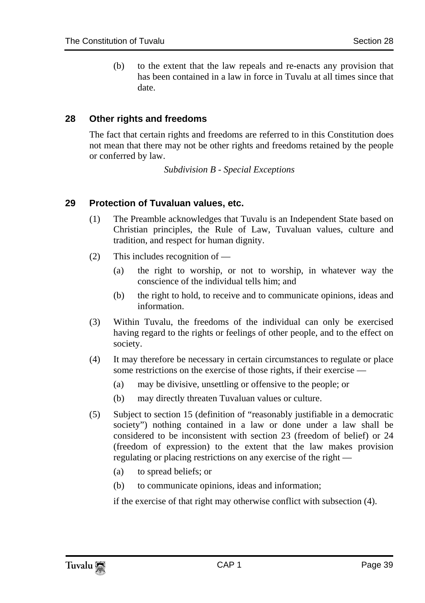(b) to the extent that the law repeals and re-enacts any provision that has been contained in a law in force in Tuvalu at all times since that date.

#### **28 Other rights and freedoms**

The fact that certain rights and freedoms are referred to in this Constitution does not mean that there may not be other rights and freedoms retained by the people or conferred by law.

*Subdivision B - Special Exceptions* 

#### **29 Protection of Tuvaluan values, etc.**

- (1) The Preamble acknowledges that Tuvalu is an Independent State based on Christian principles, the Rule of Law, Tuvaluan values, culture and tradition, and respect for human dignity.
- (2) This includes recognition of
	- (a) the right to worship, or not to worship, in whatever way the conscience of the individual tells him; and
	- (b) the right to hold, to receive and to communicate opinions, ideas and information.
- (3) Within Tuvalu, the freedoms of the individual can only be exercised having regard to the rights or feelings of other people, and to the effect on society.
- (4) It may therefore be necessary in certain circumstances to regulate or place some restrictions on the exercise of those rights, if their exercise —
	- (a) may be divisive, unsettling or offensive to the people; or
	- (b) may directly threaten Tuvaluan values or culture.
- (5) Subject to section 15 (definition of "reasonably justifiable in a democratic society") nothing contained in a law or done under a law shall be considered to be inconsistent with section 23 (freedom of belief) or 24 (freedom of expression) to the extent that the law makes provision regulating or placing restrictions on any exercise of the right —
	- (a) to spread beliefs; or
	- (b) to communicate opinions, ideas and information;

if the exercise of that right may otherwise conflict with subsection (4).

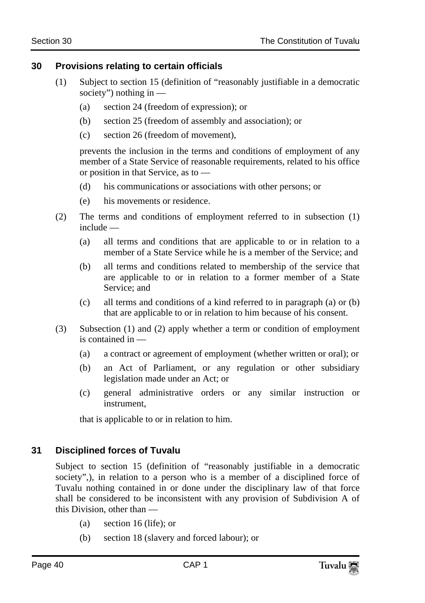#### **30 Provisions relating to certain officials**

- (1) Subject to section 15 (definition of "reasonably justifiable in a democratic society") nothing in —
	- (a) section 24 (freedom of expression); or
	- (b) section 25 (freedom of assembly and association); or
	- (c) section 26 (freedom of movement),

prevents the inclusion in the terms and conditions of employment of any member of a State Service of reasonable requirements, related to his office or position in that Service, as to —

- (d) his communications or associations with other persons; or
- (e) his movements or residence.
- (2) The terms and conditions of employment referred to in subsection (1) include —
	- (a) all terms and conditions that are applicable to or in relation to a member of a State Service while he is a member of the Service; and
	- (b) all terms and conditions related to membership of the service that are applicable to or in relation to a former member of a State Service; and
	- (c) all terms and conditions of a kind referred to in paragraph (a) or (b) that are applicable to or in relation to him because of his consent.
- (3) Subsection (1) and (2) apply whether a term or condition of employment is contained in —
	- (a) a contract or agreement of employment (whether written or oral); or
	- (b) an Act of Parliament, or any regulation or other subsidiary legislation made under an Act; or
	- (c) general administrative orders or any similar instruction or instrument,

that is applicable to or in relation to him.

#### **31 Disciplined forces of Tuvalu**

Subject to section 15 (definition of "reasonably justifiable in a democratic society",), in relation to a person who is a member of a disciplined force of Tuvalu nothing contained in or done under the disciplinary law of that force shall be considered to be inconsistent with any provision of Subdivision A of this Division, other than —

- (a) section 16 (life); or
- (b) section 18 (slavery and forced labour); or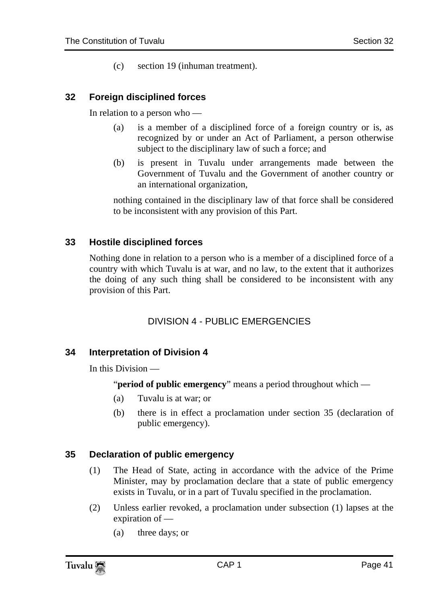(c) section 19 (inhuman treatment).

#### **32 Foreign disciplined forces**

In relation to a person who —

- (a) is a member of a disciplined force of a foreign country or is, as recognized by or under an Act of Parliament, a person otherwise subject to the disciplinary law of such a force; and
- (b) is present in Tuvalu under arrangements made between the Government of Tuvalu and the Government of another country or an international organization,

nothing contained in the disciplinary law of that force shall be considered to be inconsistent with any provision of this Part.

#### **33 Hostile disciplined forces**

Nothing done in relation to a person who is a member of a disciplined force of a country with which Tuvalu is at war, and no law, to the extent that it authorizes the doing of any such thing shall be considered to be inconsistent with any provision of this Part.

## DIVISION 4 - PUBLIC EMERGENCIES

#### **34 Interpretation of Division 4**

In this Division —

"**period of public emergency**" means a period throughout which —

- (a) Tuvalu is at war; or
- (b) there is in effect a proclamation under section 35 (declaration of public emergency).

## **35 Declaration of public emergency**

- (1) The Head of State, acting in accordance with the advice of the Prime Minister, may by proclamation declare that a state of public emergency exists in Tuvalu, or in a part of Tuvalu specified in the proclamation.
- (2) Unless earlier revoked, a proclamation under subsection (1) lapses at the expiration of —
	- (a) three days; or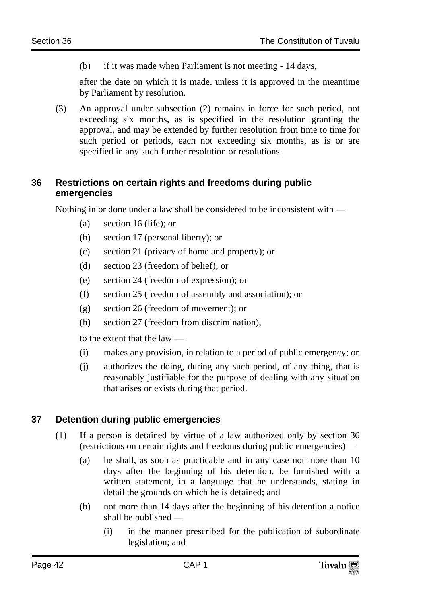(b) if it was made when Parliament is not meeting - 14 days,

after the date on which it is made, unless it is approved in the meantime by Parliament by resolution.

(3) An approval under subsection (2) remains in force for such period, not exceeding six months, as is specified in the resolution granting the approval, and may be extended by further resolution from time to time for such period or periods, each not exceeding six months, as is or are specified in any such further resolution or resolutions.

#### **36 Restrictions on certain rights and freedoms during public emergencies**

Nothing in or done under a law shall be considered to be inconsistent with —

- (a) section 16 (life); or
- (b) section 17 (personal liberty); or
- (c) section 21 (privacy of home and property); or
- (d) section 23 (freedom of belief); or
- (e) section 24 (freedom of expression); or
- (f) section 25 (freedom of assembly and association); or
- (g) section 26 (freedom of movement); or
- (h) section 27 (freedom from discrimination),

to the extent that the law —

- (i) makes any provision, in relation to a period of public emergency; or
- (j) authorizes the doing, during any such period, of any thing, that is reasonably justifiable for the purpose of dealing with any situation that arises or exists during that period.

#### **37 Detention during public emergencies**

- (1) If a person is detained by virtue of a law authorized only by section 36 (restrictions on certain rights and freedoms during public emergencies) —
	- (a) he shall, as soon as practicable and in any case not more than 10 days after the beginning of his detention, be furnished with a written statement, in a language that he understands, stating in detail the grounds on which he is detained; and
	- (b) not more than 14 days after the beginning of his detention a notice shall be published —
		- (i) in the manner prescribed for the publication of subordinate legislation; and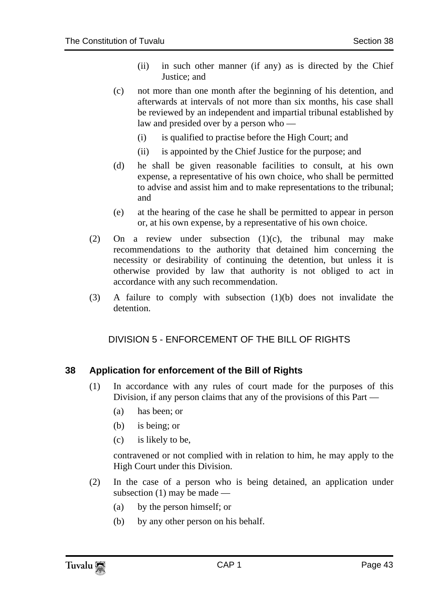- (ii) in such other manner (if any) as is directed by the Chief Justice; and
- (c) not more than one month after the beginning of his detention, and afterwards at intervals of not more than six months, his case shall be reviewed by an independent and impartial tribunal established by law and presided over by a person who —
	- (i) is qualified to practise before the High Court; and
	- (ii) is appointed by the Chief Justice for the purpose; and
- (d) he shall be given reasonable facilities to consult, at his own expense, a representative of his own choice, who shall be permitted to advise and assist him and to make representations to the tribunal; and
- (e) at the hearing of the case he shall be permitted to appear in person or, at his own expense, by a representative of his own choice.
- (2) On a review under subsection  $(1)(c)$ , the tribunal may make recommendations to the authority that detained him concerning the necessity or desirability of continuing the detention, but unless it is otherwise provided by law that authority is not obliged to act in accordance with any such recommendation.
- (3) A failure to comply with subsection (1)(b) does not invalidate the detention.

## DIVISION 5 - ENFORCEMENT OF THE BILL OF RIGHTS

#### **38 Application for enforcement of the Bill of Rights**

- (1) In accordance with any rules of court made for the purposes of this Division, if any person claims that any of the provisions of this Part —
	- (a) has been; or
	- (b) is being; or
	- (c) is likely to be,

contravened or not complied with in relation to him, he may apply to the High Court under this Division.

- (2) In the case of a person who is being detained, an application under subsection  $(1)$  may be made —
	- (a) by the person himself; or
	- (b) by any other person on his behalf.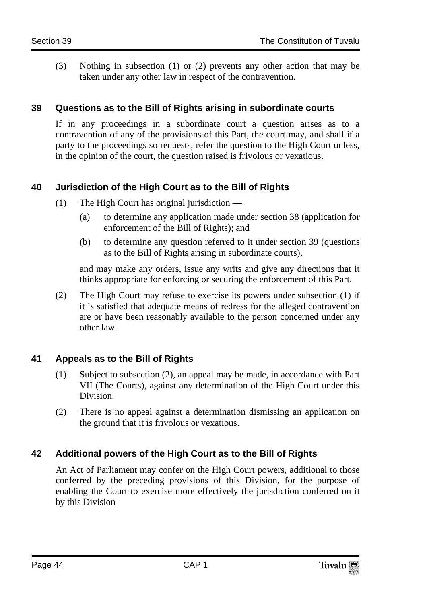(3) Nothing in subsection (1) or (2) prevents any other action that may be taken under any other law in respect of the contravention.

#### **39 Questions as to the Bill of Rights arising in subordinate courts**

If in any proceedings in a subordinate court a question arises as to a contravention of any of the provisions of this Part, the court may, and shall if a party to the proceedings so requests, refer the question to the High Court unless, in the opinion of the court, the question raised is frivolous or vexatious.

#### **40 Jurisdiction of the High Court as to the Bill of Rights**

- (1) The High Court has original jurisdiction
	- (a) to determine any application made under section 38 (application for enforcement of the Bill of Rights); and
	- (b) to determine any question referred to it under section 39 (questions as to the Bill of Rights arising in subordinate courts),

and may make any orders, issue any writs and give any directions that it thinks appropriate for enforcing or securing the enforcement of this Part.

(2) The High Court may refuse to exercise its powers under subsection (1) if it is satisfied that adequate means of redress for the alleged contravention are or have been reasonably available to the person concerned under any other law.

#### **41 Appeals as to the Bill of Rights**

- (1) Subject to subsection (2), an appeal may be made, in accordance with Part VII (The Courts), against any determination of the High Court under this Division.
- (2) There is no appeal against a determination dismissing an application on the ground that it is frivolous or vexatious.

## **42 Additional powers of the High Court as to the Bill of Rights**

An Act of Parliament may confer on the High Court powers, additional to those conferred by the preceding provisions of this Division, for the purpose of enabling the Court to exercise more effectively the jurisdiction conferred on it by this Division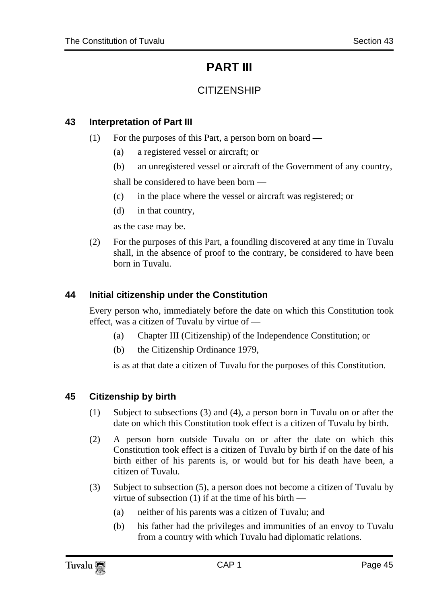# **PART III**

# **CITIZENSHIP**

## **43 Interpretation of Part III**

- (1) For the purposes of this Part, a person born on board
	- (a) a registered vessel or aircraft; or
	- (b) an unregistered vessel or aircraft of the Government of any country,

shall be considered to have been born —

- (c) in the place where the vessel or aircraft was registered; or
- (d) in that country,

as the case may be.

(2) For the purposes of this Part, a foundling discovered at any time in Tuvalu shall, in the absence of proof to the contrary, be considered to have been born in Tuvalu.

## **44 Initial citizenship under the Constitution**

Every person who, immediately before the date on which this Constitution took effect, was a citizen of Tuvalu by virtue of —

- (a) Chapter III (Citizenship) of the Independence Constitution; or
- (b) the Citizenship Ordinance 1979,

is as at that date a citizen of Tuvalu for the purposes of this Constitution.

#### **45 Citizenship by birth**

- (1) Subject to subsections (3) and (4), a person born in Tuvalu on or after the date on which this Constitution took effect is a citizen of Tuvalu by birth.
- (2) A person born outside Tuvalu on or after the date on which this Constitution took effect is a citizen of Tuvalu by birth if on the date of his birth either of his parents is, or would but for his death have been, a citizen of Tuvalu.
- (3) Subject to subsection (5), a person does not become a citizen of Tuvalu by virtue of subsection (1) if at the time of his birth —
	- (a) neither of his parents was a citizen of Tuvalu; and
	- (b) his father had the privileges and immunities of an envoy to Tuvalu from a country with which Tuvalu had diplomatic relations.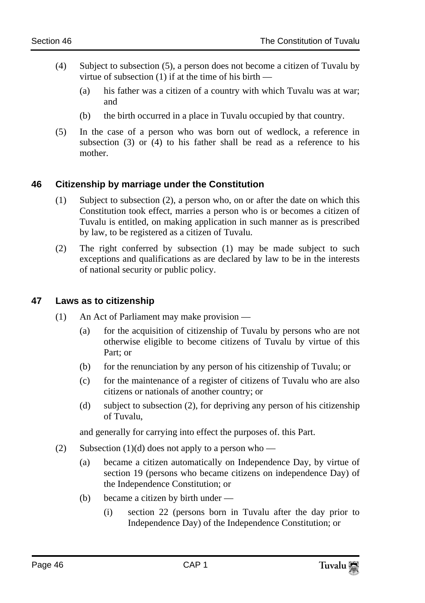- (4) Subject to subsection (5), a person does not become a citizen of Tuvalu by virtue of subsection (1) if at the time of his birth —
	- (a) his father was a citizen of a country with which Tuvalu was at war; and
	- (b) the birth occurred in a place in Tuvalu occupied by that country.
- (5) In the case of a person who was born out of wedlock, a reference in subsection (3) or (4) to his father shall be read as a reference to his mother.

## **46 Citizenship by marriage under the Constitution**

- (1) Subject to subsection (2), a person who, on or after the date on which this Constitution took effect, marries a person who is or becomes a citizen of Tuvalu is entitled, on making application in such manner as is prescribed by law, to be registered as a citizen of Tuvalu.
- (2) The right conferred by subsection (1) may be made subject to such exceptions and qualifications as are declared by law to be in the interests of national security or public policy.

#### **47 Laws as to citizenship**

- (1) An Act of Parliament may make provision
	- (a) for the acquisition of citizenship of Tuvalu by persons who are not otherwise eligible to become citizens of Tuvalu by virtue of this Part; or
	- (b) for the renunciation by any person of his citizenship of Tuvalu; or
	- (c) for the maintenance of a register of citizens of Tuvalu who are also citizens or nationals of another country; or
	- (d) subject to subsection (2), for depriving any person of his citizenship of Tuvalu,

and generally for carrying into effect the purposes of. this Part.

- (2) Subsection  $(1)(d)$  does not apply to a person who
	- (a) became a citizen automatically on Independence Day, by virtue of section 19 (persons who became citizens on independence Day) of the Independence Constitution; or
	- (b) became a citizen by birth under
		- (i) section 22 (persons born in Tuvalu after the day prior to Independence Day) of the Independence Constitution; or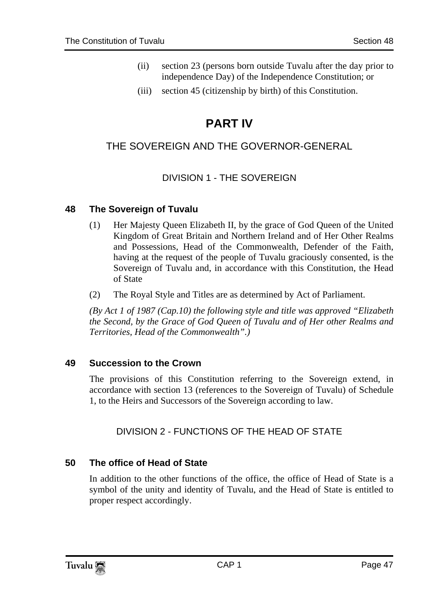- (ii) section 23 (persons born outside Tuvalu after the day prior to independence Day) of the Independence Constitution; or
- (iii) section 45 (citizenship by birth) of this Constitution.

# **PART IV**

# THE SOVEREIGN AND THE GOVERNOR-GENERAL

## DIVISION 1 - THE SOVEREIGN

## **48 The Sovereign of Tuvalu**

- (1) Her Majesty Queen Elizabeth II, by the grace of God Queen of the United Kingdom of Great Britain and Northern Ireland and of Her Other Realms and Possessions, Head of the Commonwealth, Defender of the Faith, having at the request of the people of Tuvalu graciously consented, is the Sovereign of Tuvalu and, in accordance with this Constitution, the Head of State
- (2) The Royal Style and Titles are as determined by Act of Parliament.

*(By Act 1 of 1987 (Cap.10) the following style and title was approved "Elizabeth the Second, by the Grace of God Queen of Tuvalu and of Her other Realms and Territories, Head of the Commonwealth".)* 

## **49 Succession to the Crown**

The provisions of this Constitution referring to the Sovereign extend, in accordance with section 13 (references to the Sovereign of Tuvalu) of Schedule 1, to the Heirs and Successors of the Sovereign according to law.

## DIVISION 2 - FUNCTIONS OF THE HEAD OF STATE

## **50 The office of Head of State**

In addition to the other functions of the office, the office of Head of State is a symbol of the unity and identity of Tuvalu, and the Head of State is entitled to proper respect accordingly.

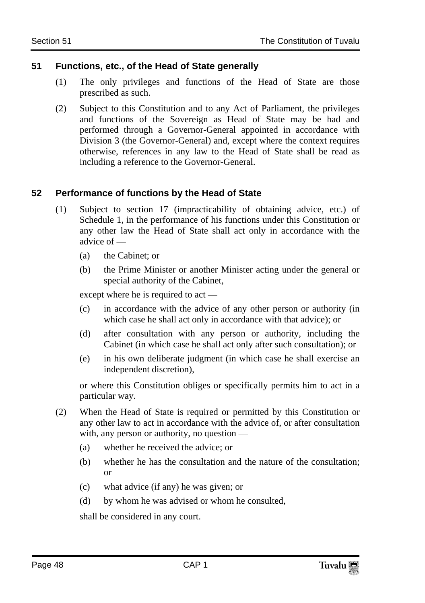#### **51 Functions, etc., of the Head of State generally**

- (1) The only privileges and functions of the Head of State are those prescribed as such.
- (2) Subject to this Constitution and to any Act of Parliament, the privileges and functions of the Sovereign as Head of State may be had and performed through a Governor-General appointed in accordance with Division 3 (the Governor-General) and, except where the context requires otherwise, references in any law to the Head of State shall be read as including a reference to the Governor-General.

## **52 Performance of functions by the Head of State**

- (1) Subject to section 17 (impracticability of obtaining advice, etc.) of Schedule 1, in the performance of his functions under this Constitution or any other law the Head of State shall act only in accordance with the advice of —
	- (a) the Cabinet; or
	- (b) the Prime Minister or another Minister acting under the general or special authority of the Cabinet,

except where he is required to act —

- (c) in accordance with the advice of any other person or authority (in which case he shall act only in accordance with that advice); or
- (d) after consultation with any person or authority, including the Cabinet (in which case he shall act only after such consultation); or
- (e) in his own deliberate judgment (in which case he shall exercise an independent discretion),

or where this Constitution obliges or specifically permits him to act in a particular way.

- (2) When the Head of State is required or permitted by this Constitution or any other law to act in accordance with the advice of, or after consultation with, any person or authority, no question —
	- (a) whether he received the advice; or
	- (b) whether he has the consultation and the nature of the consultation; or
	- (c) what advice (if any) he was given; or
	- (d) by whom he was advised or whom he consulted,

shall be considered in any court.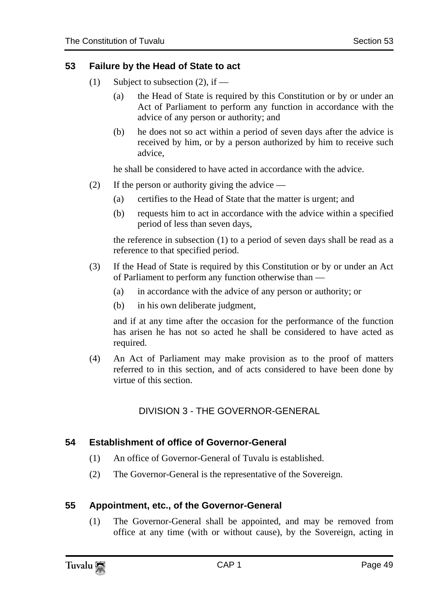#### **53 Failure by the Head of State to act**

- (1) Subject to subsection  $(2)$ , if
	- (a) the Head of State is required by this Constitution or by or under an Act of Parliament to perform any function in accordance with the advice of any person or authority; and
	- (b) he does not so act within a period of seven days after the advice is received by him, or by a person authorized by him to receive such advice,

he shall be considered to have acted in accordance with the advice.

- (2) If the person or authority giving the advice
	- (a) certifies to the Head of State that the matter is urgent; and
	- (b) requests him to act in accordance with the advice within a specified period of less than seven days,

the reference in subsection (1) to a period of seven days shall be read as a reference to that specified period.

- (3) If the Head of State is required by this Constitution or by or under an Act of Parliament to perform any function otherwise than —
	- (a) in accordance with the advice of any person or authority; or
	- (b) in his own deliberate judgment,

and if at any time after the occasion for the performance of the function has arisen he has not so acted he shall be considered to have acted as required.

(4) An Act of Parliament may make provision as to the proof of matters referred to in this section, and of acts considered to have been done by virtue of this section.

## DIVISION 3 - THE GOVERNOR-GENERAL

#### **54 Establishment of office of Governor-General**

- (1) An office of Governor-General of Tuvalu is established.
- (2) The Governor-General is the representative of the Sovereign.

#### **55 Appointment, etc., of the Governor-General**

(1) The Governor-General shall be appointed, and may be removed from office at any time (with or without cause), by the Sovereign, acting in

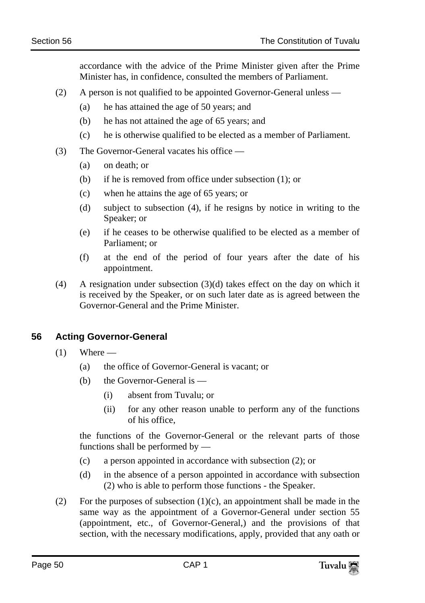accordance with the advice of the Prime Minister given after the Prime Minister has, in confidence, consulted the members of Parliament.

- (2) A person is not qualified to be appointed Governor-General unless
	- (a) he has attained the age of 50 years; and
	- (b) he has not attained the age of 65 years; and
	- (c) he is otherwise qualified to be elected as a member of Parliament.
- (3) The Governor-General vacates his office
	- (a) on death; or
	- (b) if he is removed from office under subsection (1); or
	- (c) when he attains the age of 65 years; or
	- (d) subject to subsection (4), if he resigns by notice in writing to the Speaker; or
	- (e) if he ceases to be otherwise qualified to be elected as a member of Parliament; or
	- (f) at the end of the period of four years after the date of his appointment.
- (4) A resignation under subsection (3)(d) takes effect on the day on which it is received by the Speaker, or on such later date as is agreed between the Governor-General and the Prime Minister.

#### **56 Acting Governor-General**

- $(1)$  Where
	- (a) the office of Governor-General is vacant; or
	- (b) the Governor-General is
		- (i) absent from Tuvalu; or
		- (ii) for any other reason unable to perform any of the functions of his office,

the functions of the Governor-General or the relevant parts of those functions shall be performed by —

- (c) a person appointed in accordance with subsection (2); or
- (d) in the absence of a person appointed in accordance with subsection (2) who is able to perform those functions - the Speaker.
- (2) For the purposes of subsection  $(1)(c)$ , an appointment shall be made in the same way as the appointment of a Governor-General under section 55 (appointment, etc., of Governor-General,) and the provisions of that section, with the necessary modifications, apply, provided that any oath or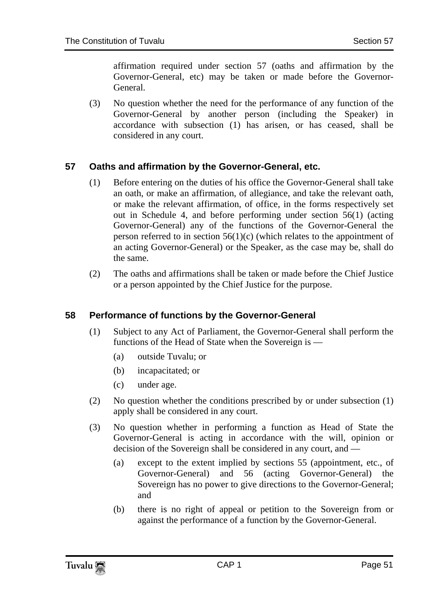affirmation required under section 57 (oaths and affirmation by the Governor-General, etc) may be taken or made before the Governor-General.

(3) No question whether the need for the performance of any function of the Governor-General by another person (including the Speaker) in accordance with subsection (1) has arisen, or has ceased, shall be considered in any court.

#### **57 Oaths and affirmation by the Governor-General, etc.**

- (1) Before entering on the duties of his office the Governor-General shall take an oath, or make an affirmation, of allegiance, and take the relevant oath, or make the relevant affirmation, of office, in the forms respectively set out in Schedule 4, and before performing under section 56(1) (acting Governor-General) any of the functions of the Governor-General the person referred to in section  $56(1)(c)$  (which relates to the appointment of an acting Governor-General) or the Speaker, as the case may be, shall do the same.
- (2) The oaths and affirmations shall be taken or made before the Chief Justice or a person appointed by the Chief Justice for the purpose.

#### **58 Performance of functions by the Governor-General**

- (1) Subject to any Act of Parliament, the Governor-General shall perform the functions of the Head of State when the Sovereign is —
	- (a) outside Tuvalu; or
	- (b) incapacitated; or
	- (c) under age.
- (2) No question whether the conditions prescribed by or under subsection (1) apply shall be considered in any court.
- (3) No question whether in performing a function as Head of State the Governor-General is acting in accordance with the will, opinion or decision of the Sovereign shall be considered in any court, and —
	- (a) except to the extent implied by sections 55 (appointment, etc., of Governor-General) and 56 (acting Governor-General) the Sovereign has no power to give directions to the Governor-General; and
	- (b) there is no right of appeal or petition to the Sovereign from or against the performance of a function by the Governor-General.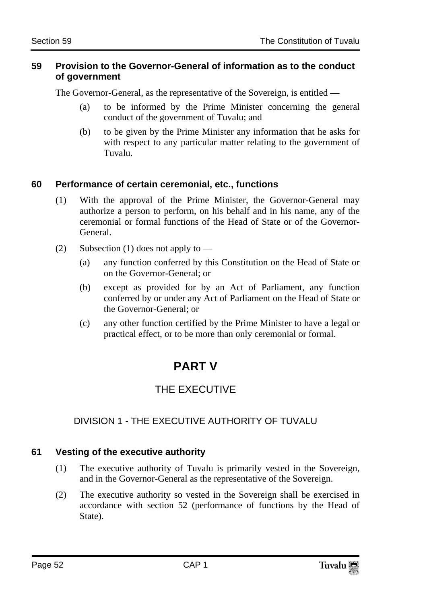#### **59 Provision to the Governor-General of information as to the conduct of government**

The Governor-General, as the representative of the Sovereign, is entitled —

- (a) to be informed by the Prime Minister concerning the general conduct of the government of Tuvalu; and
- (b) to be given by the Prime Minister any information that he asks for with respect to any particular matter relating to the government of Tuvalu.

## **60 Performance of certain ceremonial, etc., functions**

- (1) With the approval of the Prime Minister, the Governor-General may authorize a person to perform, on his behalf and in his name, any of the ceremonial or formal functions of the Head of State or of the Governor-General.
- (2) Subsection (1) does not apply to
	- (a) any function conferred by this Constitution on the Head of State or on the Governor-General; or
	- (b) except as provided for by an Act of Parliament, any function conferred by or under any Act of Parliament on the Head of State or the Governor-General; or
	- (c) any other function certified by the Prime Minister to have a legal or practical effect, or to be more than only ceremonial or formal.

# **PART V**

# THE EXECUTIVE

## DIVISION 1 - THE EXECUTIVE AUTHORITY OF TUVALU

## **61 Vesting of the executive authority**

- (1) The executive authority of Tuvalu is primarily vested in the Sovereign, and in the Governor-General as the representative of the Sovereign.
- (2) The executive authority so vested in the Sovereign shall be exercised in accordance with section 52 (performance of functions by the Head of State).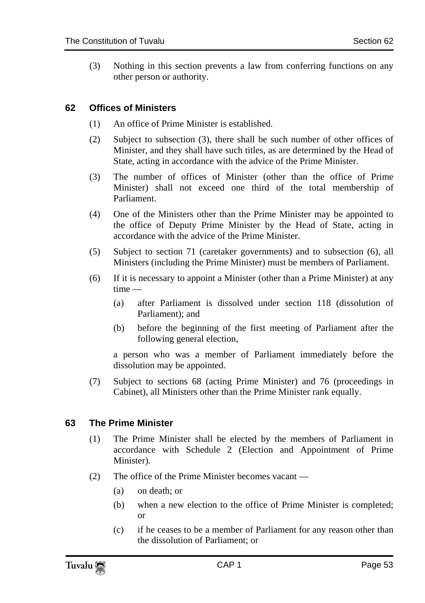(3) Nothing in this section prevents a law from conferring functions on any other person or authority.

#### **62 Offices of Ministers**

- (1) An office of Prime Minister is established.
- (2) Subject to subsection (3), there shall be such number of other offices of Minister, and they shall have such titles, as are determined by the Head of State, acting in accordance with the advice of the Prime Minister.
- (3) The number of offices of Minister (other than the office of Prime Minister) shall not exceed one third of the total membership of Parliament.
- (4) One of the Ministers other than the Prime Minister may be appointed to the office of Deputy Prime Minister by the Head of State, acting in accordance with the advice of the Prime Minister.
- (5) Subject to section 71 (caretaker governments) and to subsection (6), all Ministers (including the Prime Minister) must be members of Parliament.
- (6) If it is necessary to appoint a Minister (other than a Prime Minister) at any time —
	- (a) after Parliament is dissolved under section 118 (dissolution of Parliament); and
	- (b) before the beginning of the first meeting of Parliament after the following general election,

a person who was a member of Parliament immediately before the dissolution may be appointed.

(7) Subject to sections 68 (acting Prime Minister) and 76 (proceedings in Cabinet), all Ministers other than the Prime Minister rank equally.

#### **63 The Prime Minister**

- (1) The Prime Minister shall be elected by the members of Parliament in accordance with Schedule 2 (Election and Appointment of Prime Minister).
- (2) The office of the Prime Minister becomes vacant
	- (a) on death; or
	- (b) when a new election to the office of Prime Minister is completed; or
	- (c) if he ceases to be a member of Parliament for any reason other than the dissolution of Parliament; or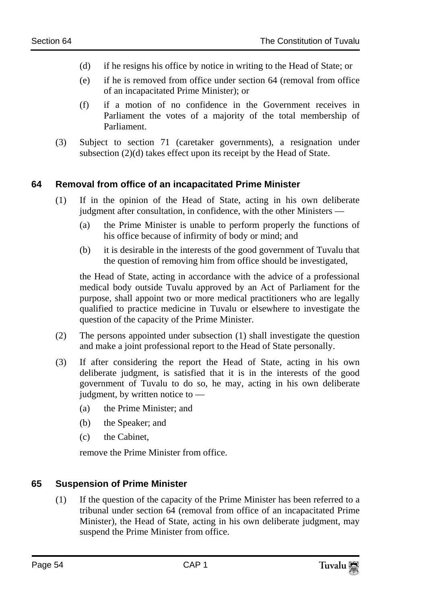- (d) if he resigns his office by notice in writing to the Head of State; or
- (e) if he is removed from office under section 64 (removal from office of an incapacitated Prime Minister); or
- (f) if a motion of no confidence in the Government receives in Parliament the votes of a majority of the total membership of Parliament.
- (3) Subject to section 71 (caretaker governments), a resignation under subsection (2)(d) takes effect upon its receipt by the Head of State.

#### **64 Removal from office of an incapacitated Prime Minister**

- (1) If in the opinion of the Head of State, acting in his own deliberate judgment after consultation, in confidence, with the other Ministers —
	- (a) the Prime Minister is unable to perform properly the functions of his office because of infirmity of body or mind; and
	- (b) it is desirable in the interests of the good government of Tuvalu that the question of removing him from office should be investigated,

the Head of State, acting in accordance with the advice of a professional medical body outside Tuvalu approved by an Act of Parliament for the purpose, shall appoint two or more medical practitioners who are legally qualified to practice medicine in Tuvalu or elsewhere to investigate the question of the capacity of the Prime Minister.

- (2) The persons appointed under subsection (1) shall investigate the question and make a joint professional report to the Head of State personally.
- (3) If after considering the report the Head of State, acting in his own deliberate judgment, is satisfied that it is in the interests of the good government of Tuvalu to do so, he may, acting in his own deliberate judgment, by written notice to —
	- (a) the Prime Minister; and
	- (b) the Speaker; and
	- (c) the Cabinet,

remove the Prime Minister from office.

## **65 Suspension of Prime Minister**

(1) If the question of the capacity of the Prime Minister has been referred to a tribunal under section 64 (removal from office of an incapacitated Prime Minister), the Head of State, acting in his own deliberate judgment, may suspend the Prime Minister from office.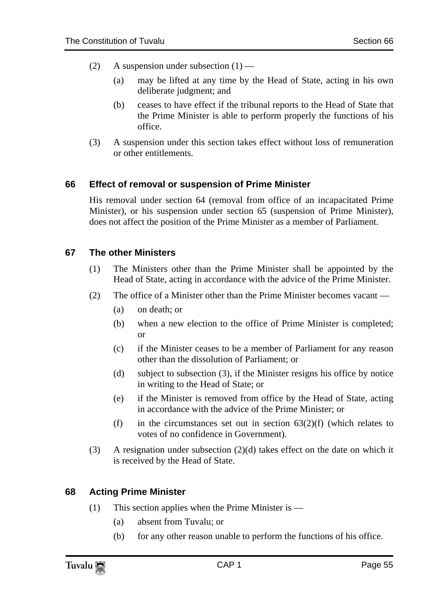- (2) A suspension under subsection  $(1)$ 
	- (a) may be lifted at any time by the Head of State, acting in his own deliberate judgment; and
	- (b) ceases to have effect if the tribunal reports to the Head of State that the Prime Minister is able to perform properly the functions of his office.
- (3) A suspension under this section takes effect without loss of remuneration or other entitlements.

#### **66 Effect of removal or suspension of Prime Minister**

His removal under section 64 (removal from office of an incapacitated Prime Minister), or his suspension under section 65 (suspension of Prime Minister), does not affect the position of the Prime Minister as a member of Parliament.

#### **67 The other Ministers**

- (1) The Ministers other than the Prime Minister shall be appointed by the Head of State, acting in accordance with the advice of the Prime Minister.
- (2) The office of a Minister other than the Prime Minister becomes vacant
	- (a) on death; or
	- (b) when a new election to the office of Prime Minister is completed; or
	- (c) if the Minister ceases to be a member of Parliament for any reason other than the dissolution of Parliament; or
	- (d) subject to subsection (3), if the Minister resigns his office by notice in writing to the Head of State; or
	- (e) if the Minister is removed from office by the Head of State, acting in accordance with the advice of the Prime Minister; or
	- (f) in the circumstances set out in section  $63(2)(f)$  (which relates to votes of no confidence in Government).
- (3) A resignation under subsection  $(2)(d)$  takes effect on the date on which it is received by the Head of State.

## **68 Acting Prime Minister**

- (1) This section applies when the Prime Minister is
	- (a) absent from Tuvalu; or
	- (b) for any other reason unable to perform the functions of his office.

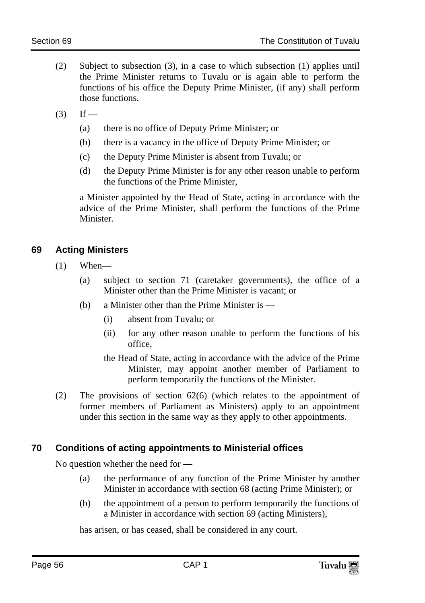- (2) Subject to subsection (3), in a case to which subsection (1) applies until the Prime Minister returns to Tuvalu or is again able to perform the functions of his office the Deputy Prime Minister, (if any) shall perform those functions.
- $(3)$  If
	- (a) there is no office of Deputy Prime Minister; or
	- (b) there is a vacancy in the office of Deputy Prime Minister; or
	- (c) the Deputy Prime Minister is absent from Tuvalu; or
	- (d) the Deputy Prime Minister is for any other reason unable to perform the functions of the Prime Minister,

a Minister appointed by the Head of State, acting in accordance with the advice of the Prime Minister, shall perform the functions of the Prime **Minister** 

## **69 Acting Ministers**

- $(1)$  When—
	- (a) subject to section 71 (caretaker governments), the office of a Minister other than the Prime Minister is vacant; or
	- (b) a Minister other than the Prime Minister is
		- (i) absent from Tuvalu; or
		- (ii) for any other reason unable to perform the functions of his office,
		- the Head of State, acting in accordance with the advice of the Prime Minister, may appoint another member of Parliament to perform temporarily the functions of the Minister.
- (2) The provisions of section 62(6) (which relates to the appointment of former members of Parliament as Ministers) apply to an appointment under this section in the same way as they apply to other appointments.

## **70 Conditions of acting appointments to Ministerial offices**

No question whether the need for —

- (a) the performance of any function of the Prime Minister by another Minister in accordance with section 68 (acting Prime Minister); or
- (b) the appointment of a person to perform temporarily the functions of a Minister in accordance with section 69 (acting Ministers),

has arisen, or has ceased, shall be considered in any court.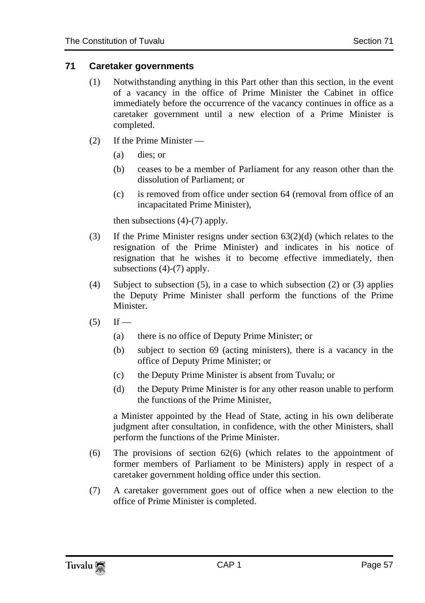#### **71 Caretaker governments**

- (1) Notwithstanding anything in this Part other than this section, in the event of a vacancy in the office of Prime Minister the Cabinet in office immediately before the occurrence of the vacancy continues in office as a caretaker government until a new election of a Prime Minister is completed.
- (2) If the Prime Minister
	- (a) dies; or
	- (b) ceases to be a member of Parliament for any reason other than the dissolution of Parliament; or
	- (c) is removed from office under section 64 (removal from office of an incapacitated Prime Minister),

then subsections (4)-(7) apply.

- (3) If the Prime Minister resigns under section  $63(2)(d)$  (which relates to the resignation of the Prime Minister) and indicates in his notice of resignation that he wishes it to become effective immediately, then subsections (4)-(7) apply.
- (4) Subject to subsection (5), in a case to which subsection (2) or (3) applies the Deputy Prime Minister shall perform the functions of the Prime Minister.
- $(5)$  If
	- (a) there is no office of Deputy Prime Minister; or
	- (b) subject to section 69 (acting ministers), there is a vacancy in the office of Deputy Prime Minister; or
	- (c) the Deputy Prime Minister is absent from Tuvalu; or
	- (d) the Deputy Prime Minister is for any other reason unable to perform the functions of the Prime Minister,

a Minister appointed by the Head of State, acting in his own deliberate judgment after consultation, in confidence, with the other Ministers, shall perform the functions of the Prime Minister.

- (6) The provisions of section 62(6) (which relates to the appointment of former members of Parliament to be Ministers) apply in respect of a caretaker government holding office under this section.
- (7) A caretaker government goes out of office when a new election to the office of Prime Minister is completed.

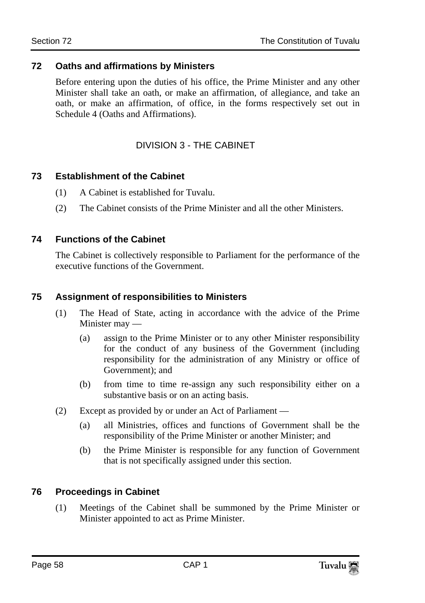#### **72 Oaths and affirmations by Ministers**

Before entering upon the duties of his office, the Prime Minister and any other Minister shall take an oath, or make an affirmation, of allegiance, and take an oath, or make an affirmation, of office, in the forms respectively set out in Schedule 4 (Oaths and Affirmations).

## DIVISION 3 - THE CABINET

#### **73 Establishment of the Cabinet**

- (1) A Cabinet is established for Tuvalu.
- (2) The Cabinet consists of the Prime Minister and all the other Ministers.

#### **74 Functions of the Cabinet**

The Cabinet is collectively responsible to Parliament for the performance of the executive functions of the Government.

#### **75 Assignment of responsibilities to Ministers**

- (1) The Head of State, acting in accordance with the advice of the Prime Minister may —
	- (a) assign to the Prime Minister or to any other Minister responsibility for the conduct of any business of the Government (including responsibility for the administration of any Ministry or office of Government); and
	- (b) from time to time re-assign any such responsibility either on a substantive basis or on an acting basis.
- (2) Except as provided by or under an Act of Parliament
	- (a) all Ministries, offices and functions of Government shall be the responsibility of the Prime Minister or another Minister; and
	- (b) the Prime Minister is responsible for any function of Government that is not specifically assigned under this section.

## **76 Proceedings in Cabinet**

(1) Meetings of the Cabinet shall be summoned by the Prime Minister or Minister appointed to act as Prime Minister.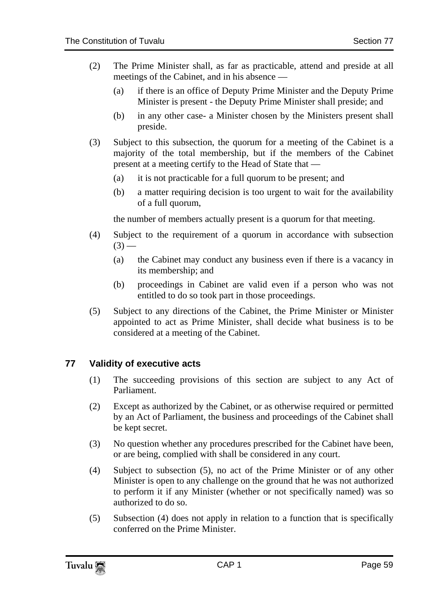- (2) The Prime Minister shall, as far as practicable, attend and preside at all meetings of the Cabinet, and in his absence —
	- (a) if there is an office of Deputy Prime Minister and the Deputy Prime Minister is present - the Deputy Prime Minister shall preside; and
	- (b) in any other case- a Minister chosen by the Ministers present shall preside.
- (3) Subject to this subsection, the quorum for a meeting of the Cabinet is a majority of the total membership, but if the members of the Cabinet present at a meeting certify to the Head of State that —
	- (a) it is not practicable for a full quorum to be present; and
	- (b) a matter requiring decision is too urgent to wait for the availability of a full quorum,

the number of members actually present is a quorum for that meeting.

- (4) Subject to the requirement of a quorum in accordance with subsection  $(3)$  —
	- (a) the Cabinet may conduct any business even if there is a vacancy in its membership; and
	- (b) proceedings in Cabinet are valid even if a person who was not entitled to do so took part in those proceedings.
- (5) Subject to any directions of the Cabinet, the Prime Minister or Minister appointed to act as Prime Minister, shall decide what business is to be considered at a meeting of the Cabinet.

## **77 Validity of executive acts**

- (1) The succeeding provisions of this section are subject to any Act of Parliament.
- (2) Except as authorized by the Cabinet, or as otherwise required or permitted by an Act of Parliament, the business and proceedings of the Cabinet shall be kept secret.
- (3) No question whether any procedures prescribed for the Cabinet have been, or are being, complied with shall be considered in any court.
- (4) Subject to subsection (5), no act of the Prime Minister or of any other Minister is open to any challenge on the ground that he was not authorized to perform it if any Minister (whether or not specifically named) was so authorized to do so.
- (5) Subsection (4) does not apply in relation to a function that is specifically conferred on the Prime Minister.

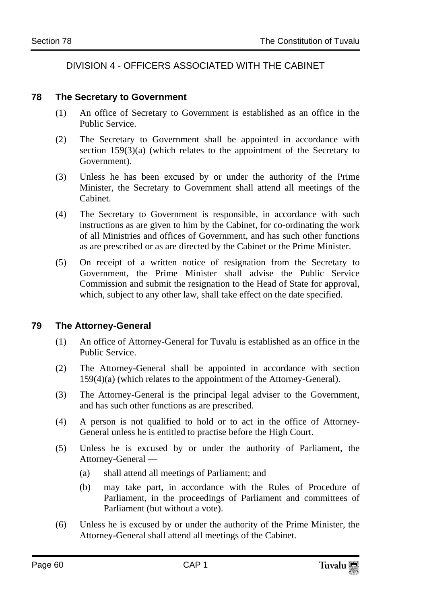DIVISION 4 - OFFICERS ASSOCIATED WITH THE CABINET

#### **78 The Secretary to Government**

- (1) An office of Secretary to Government is established as an office in the Public Service.
- (2) The Secretary to Government shall be appointed in accordance with section  $159(3)(a)$  (which relates to the appointment of the Secretary to Government).
- (3) Unless he has been excused by or under the authority of the Prime Minister, the Secretary to Government shall attend all meetings of the Cabinet.
- (4) The Secretary to Government is responsible, in accordance with such instructions as are given to him by the Cabinet, for co-ordinating the work of all Ministries and offices of Government, and has such other functions as are prescribed or as are directed by the Cabinet or the Prime Minister.
- (5) On receipt of a written notice of resignation from the Secretary to Government, the Prime Minister shall advise the Public Service Commission and submit the resignation to the Head of State for approval, which, subject to any other law, shall take effect on the date specified.

## **79 The Attorney-General**

- (1) An office of Attorney-General for Tuvalu is established as an office in the Public Service.
- (2) The Attorney-General shall be appointed in accordance with section 159(4)(a) (which relates to the appointment of the Attorney-General).
- (3) The Attorney-General is the principal legal adviser to the Government, and has such other functions as are prescribed.
- (4) A person is not qualified to hold or to act in the office of Attorney-General unless he is entitled to practise before the High Court.
- (5) Unless he is excused by or under the authority of Parliament, the Attorney-General —
	- (a) shall attend all meetings of Parliament; and
	- (b) may take part, in accordance with the Rules of Procedure of Parliament, in the proceedings of Parliament and committees of Parliament (but without a vote).
- (6) Unless he is excused by or under the authority of the Prime Minister, the Attorney-General shall attend all meetings of the Cabinet.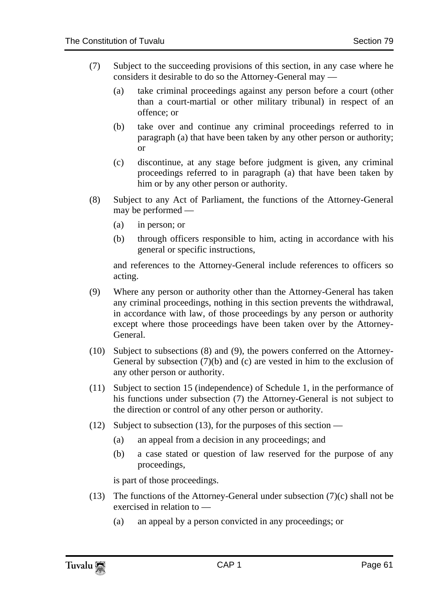- (7) Subject to the succeeding provisions of this section, in any case where he considers it desirable to do so the Attorney-General may —
	- (a) take criminal proceedings against any person before a court (other than a court-martial or other military tribunal) in respect of an offence; or
	- (b) take over and continue any criminal proceedings referred to in paragraph (a) that have been taken by any other person or authority; or
	- (c) discontinue, at any stage before judgment is given, any criminal proceedings referred to in paragraph (a) that have been taken by him or by any other person or authority.
- (8) Subject to any Act of Parliament, the functions of the Attorney-General may be performed —
	- (a) in person; or
	- (b) through officers responsible to him, acting in accordance with his general or specific instructions,

and references to the Attorney-General include references to officers so acting.

- (9) Where any person or authority other than the Attorney-General has taken any criminal proceedings, nothing in this section prevents the withdrawal, in accordance with law, of those proceedings by any person or authority except where those proceedings have been taken over by the Attorney-General.
- (10) Subject to subsections (8) and (9), the powers conferred on the Attorney-General by subsection  $(7)(b)$  and  $(c)$  are vested in him to the exclusion of any other person or authority.
- (11) Subject to section 15 (independence) of Schedule 1, in the performance of his functions under subsection (7) the Attorney-General is not subject to the direction or control of any other person or authority.
- (12) Subject to subsection (13), for the purposes of this section
	- (a) an appeal from a decision in any proceedings; and
	- (b) a case stated or question of law reserved for the purpose of any proceedings,

is part of those proceedings.

- (13) The functions of the Attorney-General under subsection (7)(c) shall not be exercised in relation to —
	- (a) an appeal by a person convicted in any proceedings; or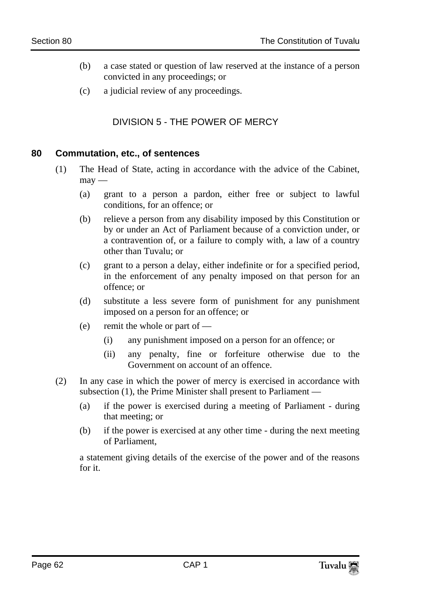- (b) a case stated or question of law reserved at the instance of a person convicted in any proceedings; or
- (c) a judicial review of any proceedings.

## DIVISION 5 - THE POWER OF MERCY

#### **80 Commutation, etc., of sentences**

- (1) The Head of State, acting in accordance with the advice of the Cabinet,  $may$ —
	- (a) grant to a person a pardon, either free or subject to lawful conditions, for an offence; or
	- (b) relieve a person from any disability imposed by this Constitution or by or under an Act of Parliament because of a conviction under, or a contravention of, or a failure to comply with, a law of a country other than Tuvalu; or
	- (c) grant to a person a delay, either indefinite or for a specified period, in the enforcement of any penalty imposed on that person for an offence; or
	- (d) substitute a less severe form of punishment for any punishment imposed on a person for an offence; or
	- (e) remit the whole or part of
		- (i) any punishment imposed on a person for an offence; or
		- (ii) any penalty, fine or forfeiture otherwise due to the Government on account of an offence.
- (2) In any case in which the power of mercy is exercised in accordance with subsection (1), the Prime Minister shall present to Parliament —
	- (a) if the power is exercised during a meeting of Parliament during that meeting; or
	- (b) if the power is exercised at any other time during the next meeting of Parliament,

a statement giving details of the exercise of the power and of the reasons for it.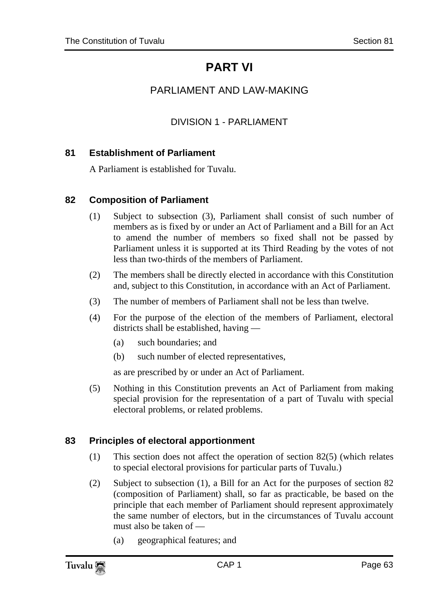# **PART VI**

# PARLIAMENT AND LAW-MAKING

## DIVISION 1 - PARLIAMENT

#### **81 Establishment of Parliament**

A Parliament is established for Tuvalu.

#### **82 Composition of Parliament**

- (1) Subject to subsection (3), Parliament shall consist of such number of members as is fixed by or under an Act of Parliament and a Bill for an Act to amend the number of members so fixed shall not be passed by Parliament unless it is supported at its Third Reading by the votes of not less than two-thirds of the members of Parliament.
- (2) The members shall be directly elected in accordance with this Constitution and, subject to this Constitution, in accordance with an Act of Parliament.
- (3) The number of members of Parliament shall not be less than twelve.
- (4) For the purpose of the election of the members of Parliament, electoral districts shall be established, having —
	- (a) such boundaries; and
	- (b) such number of elected representatives,

as are prescribed by or under an Act of Parliament.

(5) Nothing in this Constitution prevents an Act of Parliament from making special provision for the representation of a part of Tuvalu with special electoral problems, or related problems.

## **83 Principles of electoral apportionment**

- (1) This section does not affect the operation of section 82(5) (which relates to special electoral provisions for particular parts of Tuvalu.)
- (2) Subject to subsection (1), a Bill for an Act for the purposes of section 82 (composition of Parliament) shall, so far as practicable, be based on the principle that each member of Parliament should represent approximately the same number of electors, but in the circumstances of Tuvalu account must also be taken of —
	- (a) geographical features; and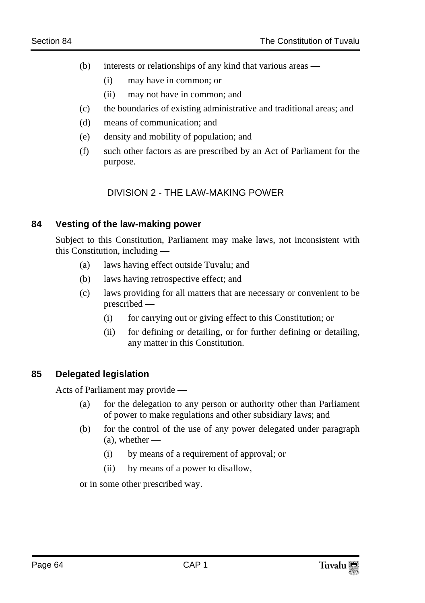- (b) interests or relationships of any kind that various areas
	- (i) may have in common; or
	- (ii) may not have in common; and
- (c) the boundaries of existing administrative and traditional areas; and
- (d) means of communication; and
- (e) density and mobility of population; and
- (f) such other factors as are prescribed by an Act of Parliament for the purpose.

#### DIVISION 2 - THE LAW-MAKING POWER

#### **84 Vesting of the law-making power**

Subject to this Constitution, Parliament may make laws, not inconsistent with this Constitution, including —

- (a) laws having effect outside Tuvalu; and
- (b) laws having retrospective effect; and
- (c) laws providing for all matters that are necessary or convenient to be prescribed —
	- (i) for carrying out or giving effect to this Constitution; or
	- (ii) for defining or detailing, or for further defining or detailing, any matter in this Constitution.

#### **85 Delegated legislation**

Acts of Parliament may provide —

- (a) for the delegation to any person or authority other than Parliament of power to make regulations and other subsidiary laws; and
- (b) for the control of the use of any power delegated under paragraph  $(a)$ , whether —
	- (i) by means of a requirement of approval; or
	- (ii) by means of a power to disallow,

or in some other prescribed way.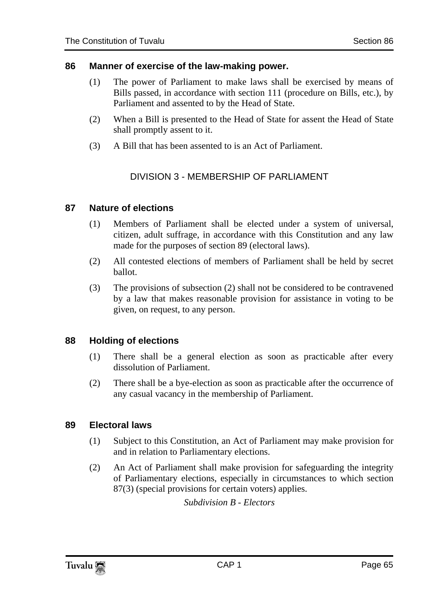#### **86 Manner of exercise of the law-making power.**

- (1) The power of Parliament to make laws shall be exercised by means of Bills passed, in accordance with section 111 (procedure on Bills, etc.), by Parliament and assented to by the Head of State.
- (2) When a Bill is presented to the Head of State for assent the Head of State shall promptly assent to it.
- (3) A Bill that has been assented to is an Act of Parliament.

## DIVISION 3 - MEMBERSHIP OF PARLIAMENT

#### **87 Nature of elections**

- (1) Members of Parliament shall be elected under a system of universal, citizen, adult suffrage, in accordance with this Constitution and any law made for the purposes of section 89 (electoral laws).
- (2) All contested elections of members of Parliament shall be held by secret ballot.
- (3) The provisions of subsection (2) shall not be considered to be contravened by a law that makes reasonable provision for assistance in voting to be given, on request, to any person.

## **88 Holding of elections**

- (1) There shall be a general election as soon as practicable after every dissolution of Parliament.
- (2) There shall be a bye-election as soon as practicable after the occurrence of any casual vacancy in the membership of Parliament.

## **89 Electoral laws**

- (1) Subject to this Constitution, an Act of Parliament may make provision for and in relation to Parliamentary elections.
- (2) An Act of Parliament shall make provision for safeguarding the integrity of Parliamentary elections, especially in circumstances to which section 87(3) (special provisions for certain voters) applies.

*Subdivision B - Electors* 

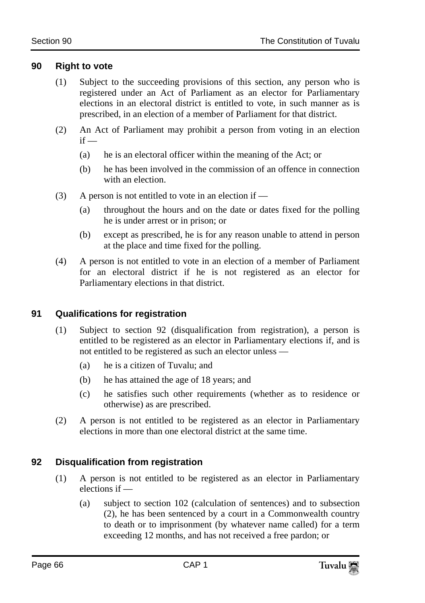#### **90 Right to vote**

- (1) Subject to the succeeding provisions of this section, any person who is registered under an Act of Parliament as an elector for Parliamentary elections in an electoral district is entitled to vote, in such manner as is prescribed, in an election of a member of Parliament for that district.
- (2) An Act of Parliament may prohibit a person from voting in an election  $if -$ 
	- (a) he is an electoral officer within the meaning of the Act; or
	- (b) he has been involved in the commission of an offence in connection with an election.
- (3) A person is not entitled to vote in an election if
	- (a) throughout the hours and on the date or dates fixed for the polling he is under arrest or in prison; or
	- (b) except as prescribed, he is for any reason unable to attend in person at the place and time fixed for the polling.
- (4) A person is not entitled to vote in an election of a member of Parliament for an electoral district if he is not registered as an elector for Parliamentary elections in that district.

#### **91 Qualifications for registration**

- (1) Subject to section 92 (disqualification from registration), a person is entitled to be registered as an elector in Parliamentary elections if, and is not entitled to be registered as such an elector unless —
	- (a) he is a citizen of Tuvalu; and
	- (b) he has attained the age of 18 years; and
	- (c) he satisfies such other requirements (whether as to residence or otherwise) as are prescribed.
- (2) A person is not entitled to be registered as an elector in Parliamentary elections in more than one electoral district at the same time.

#### **92 Disqualification from registration**

- (1) A person is not entitled to be registered as an elector in Parliamentary elections if —
	- (a) subject to section 102 (calculation of sentences) and to subsection (2), he has been sentenced by a court in a Commonwealth country to death or to imprisonment (by whatever name called) for a term exceeding 12 months, and has not received a free pardon; or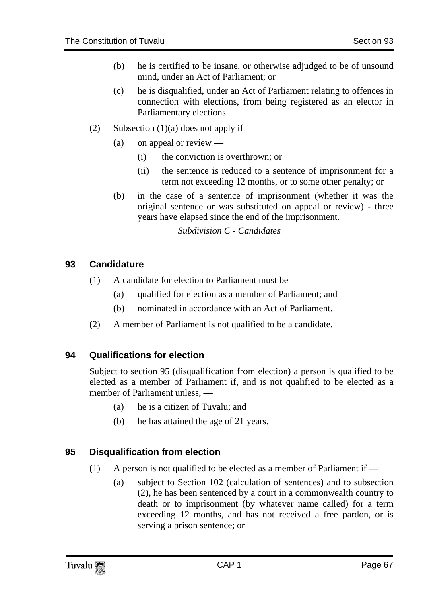- (b) he is certified to be insane, or otherwise adjudged to be of unsound mind, under an Act of Parliament; or
- (c) he is disqualified, under an Act of Parliament relating to offences in connection with elections, from being registered as an elector in Parliamentary elections.
- (2) Subsection (1)(a) does not apply if
	- (a) on appeal or review
		- (i) the conviction is overthrown; or
		- (ii) the sentence is reduced to a sentence of imprisonment for a term not exceeding 12 months, or to some other penalty; or
	- (b) in the case of a sentence of imprisonment (whether it was the original sentence or was substituted on appeal or review) - three years have elapsed since the end of the imprisonment.

*Subdivision C - Candidates* 

#### **93 Candidature**

- $(1)$  A candidate for election to Parliament must be
	- (a) qualified for election as a member of Parliament; and
	- (b) nominated in accordance with an Act of Parliament.
- (2) A member of Parliament is not qualified to be a candidate.

## **94 Qualifications for election**

Subject to section 95 (disqualification from election) a person is qualified to be elected as a member of Parliament if, and is not qualified to be elected as a member of Parliament unless, —

- (a) he is a citizen of Tuvalu; and
- (b) he has attained the age of 21 years.

## **95 Disqualification from election**

- (1) A person is not qualified to be elected as a member of Parliament if  $-$ 
	- (a) subject to Section 102 (calculation of sentences) and to subsection (2), he has been sentenced by a court in a commonwealth country to death or to imprisonment (by whatever name called) for a term exceeding 12 months, and has not received a free pardon, or is serving a prison sentence; or

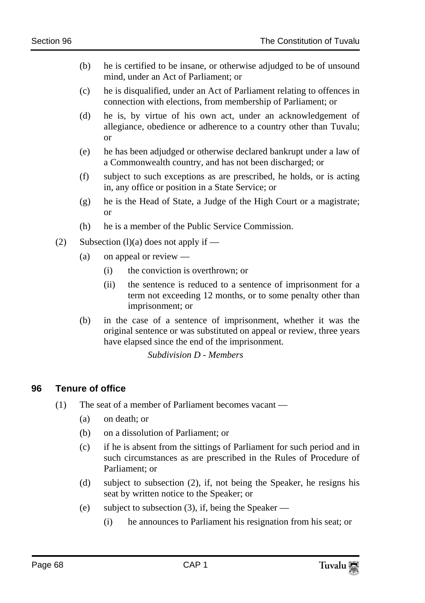- (b) he is certified to be insane, or otherwise adjudged to be of unsound mind, under an Act of Parliament; or
- (c) he is disqualified, under an Act of Parliament relating to offences in connection with elections, from membership of Parliament; or
- (d) he is, by virtue of his own act, under an acknowledgement of allegiance, obedience or adherence to a country other than Tuvalu; or
- (e) he has been adjudged or otherwise declared bankrupt under a law of a Commonwealth country, and has not been discharged; or
- (f) subject to such exceptions as are prescribed, he holds, or is acting in, any office or position in a State Service; or
- (g) he is the Head of State, a Judge of the High Court or a magistrate; or
- (h) he is a member of the Public Service Commission.
- (2) Subsection (l)(a) does not apply if
	- (a) on appeal or review
		- (i) the conviction is overthrown; or
		- (ii) the sentence is reduced to a sentence of imprisonment for a term not exceeding 12 months, or to some penalty other than imprisonment; or
	- (b) in the case of a sentence of imprisonment, whether it was the original sentence or was substituted on appeal or review, three years have elapsed since the end of the imprisonment.

*Subdivision D - Members* 

## **96 Tenure of office**

- (1) The seat of a member of Parliament becomes vacant
	- (a) on death; or
	- (b) on a dissolution of Parliament; or
	- (c) if he is absent from the sittings of Parliament for such period and in such circumstances as are prescribed in the Rules of Procedure of Parliament; or
	- (d) subject to subsection (2), if, not being the Speaker, he resigns his seat by written notice to the Speaker; or
	- (e) subject to subsection (3), if, being the Speaker
		- (i) he announces to Parliament his resignation from his seat; or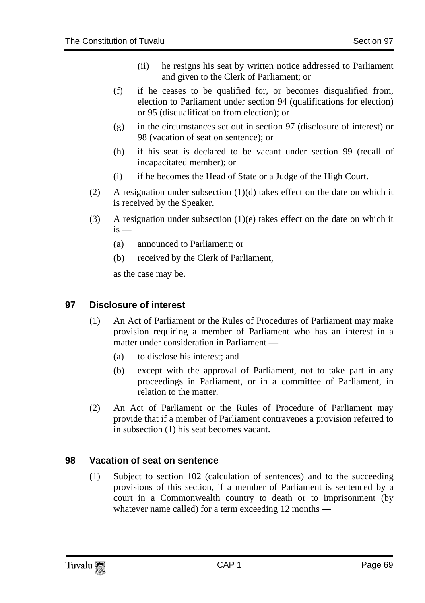- (ii) he resigns his seat by written notice addressed to Parliament and given to the Clerk of Parliament; or
- (f) if he ceases to be qualified for, or becomes disqualified from, election to Parliament under section 94 (qualifications for election) or 95 (disqualification from election); or
- (g) in the circumstances set out in section 97 (disclosure of interest) or 98 (vacation of seat on sentence); or
- (h) if his seat is declared to be vacant under section 99 (recall of incapacitated member); or
- (i) if he becomes the Head of State or a Judge of the High Court.
- (2) A resignation under subsection (1)(d) takes effect on the date on which it is received by the Speaker.
- (3) A resignation under subsection  $(1)(e)$  takes effect on the date on which it  $i<sub>s</sub>$  —
	- (a) announced to Parliament; or
	- (b) received by the Clerk of Parliament,

as the case may be.

## **97 Disclosure of interest**

- (1) An Act of Parliament or the Rules of Procedures of Parliament may make provision requiring a member of Parliament who has an interest in a matter under consideration in Parliament —
	- (a) to disclose his interest; and
	- (b) except with the approval of Parliament, not to take part in any proceedings in Parliament, or in a committee of Parliament, in relation to the matter.
- (2) An Act of Parliament or the Rules of Procedure of Parliament may provide that if a member of Parliament contravenes a provision referred to in subsection (1) his seat becomes vacant.

## **98 Vacation of seat on sentence**

(1) Subject to section 102 (calculation of sentences) and to the succeeding provisions of this section, if a member of Parliament is sentenced by a court in a Commonwealth country to death or to imprisonment (by whatever name called) for a term exceeding 12 months —

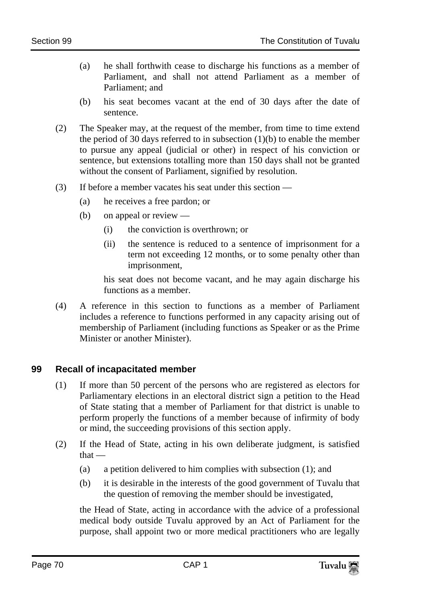- (a) he shall forthwith cease to discharge his functions as a member of Parliament, and shall not attend Parliament as a member of Parliament; and
- (b) his seat becomes vacant at the end of 30 days after the date of sentence.
- (2) The Speaker may, at the request of the member, from time to time extend the period of 30 days referred to in subsection (1)(b) to enable the member to pursue any appeal (judicial or other) in respect of his conviction or sentence, but extensions totalling more than 150 days shall not be granted without the consent of Parliament, signified by resolution.
- (3) If before a member vacates his seat under this section
	- (a) he receives a free pardon; or
	- (b) on appeal or review
		- (i) the conviction is overthrown; or
		- (ii) the sentence is reduced to a sentence of imprisonment for a term not exceeding 12 months, or to some penalty other than imprisonment,

his seat does not become vacant, and he may again discharge his functions as a member.

(4) A reference in this section to functions as a member of Parliament includes a reference to functions performed in any capacity arising out of membership of Parliament (including functions as Speaker or as the Prime Minister or another Minister).

## **99 Recall of incapacitated member**

- (1) If more than 50 percent of the persons who are registered as electors for Parliamentary elections in an electoral district sign a petition to the Head of State stating that a member of Parliament for that district is unable to perform properly the functions of a member because of infirmity of body or mind, the succeeding provisions of this section apply.
- (2) If the Head of State, acting in his own deliberate judgment, is satisfied that —
	- (a) a petition delivered to him complies with subsection (1); and
	- (b) it is desirable in the interests of the good government of Tuvalu that the question of removing the member should be investigated,

the Head of State, acting in accordance with the advice of a professional medical body outside Tuvalu approved by an Act of Parliament for the purpose, shall appoint two or more medical practitioners who are legally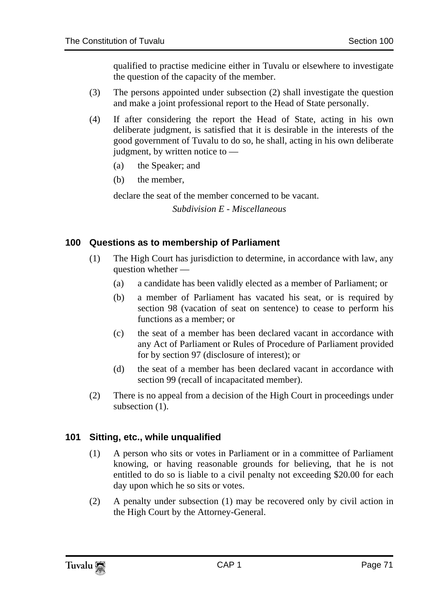qualified to practise medicine either in Tuvalu or elsewhere to investigate the question of the capacity of the member.

- (3) The persons appointed under subsection (2) shall investigate the question and make a joint professional report to the Head of State personally.
- (4) If after considering the report the Head of State, acting in his own deliberate judgment, is satisfied that it is desirable in the interests of the good government of Tuvalu to do so, he shall, acting in his own deliberate judgment, by written notice to —
	- (a) the Speaker; and
	- (b) the member,

declare the seat of the member concerned to be vacant.

*Subdivision E - Miscellaneous* 

## **100 Questions as to membership of Parliament**

- (1) The High Court has jurisdiction to determine, in accordance with law, any question whether —
	- (a) a candidate has been validly elected as a member of Parliament; or
	- (b) a member of Parliament has vacated his seat, or is required by section 98 (vacation of seat on sentence) to cease to perform his functions as a member; or
	- (c) the seat of a member has been declared vacant in accordance with any Act of Parliament or Rules of Procedure of Parliament provided for by section 97 (disclosure of interest); or
	- (d) the seat of a member has been declared vacant in accordance with section 99 (recall of incapacitated member).
- (2) There is no appeal from a decision of the High Court in proceedings under subsection  $(1)$ .

## **101 Sitting, etc., while unqualified**

- (1) A person who sits or votes in Parliament or in a committee of Parliament knowing, or having reasonable grounds for believing, that he is not entitled to do so is liable to a civil penalty not exceeding \$20.00 for each day upon which he so sits or votes.
- (2) A penalty under subsection (1) may be recovered only by civil action in the High Court by the Attorney-General.

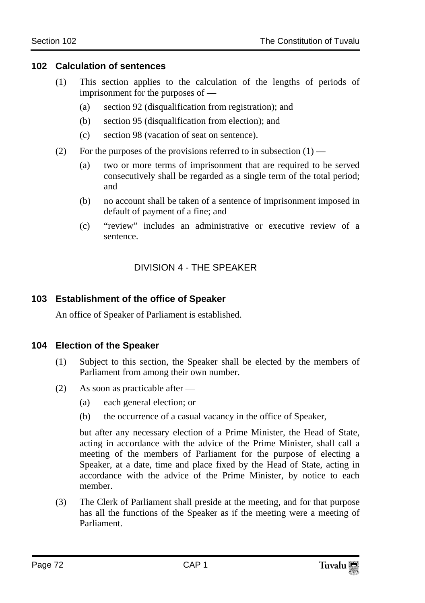#### **102 Calculation of sentences**

- (1) This section applies to the calculation of the lengths of periods of imprisonment for the purposes of —
	- (a) section 92 (disqualification from registration); and
	- (b) section 95 (disqualification from election); and
	- (c) section 98 (vacation of seat on sentence).
- (2) For the purposes of the provisions referred to in subsection  $(1)$ 
	- (a) two or more terms of imprisonment that are required to be served consecutively shall be regarded as a single term of the total period; and
	- (b) no account shall be taken of a sentence of imprisonment imposed in default of payment of a fine; and
	- (c) "review" includes an administrative or executive review of a sentence.

#### DIVISION 4 - THE SPEAKER

#### **103 Establishment of the office of Speaker**

An office of Speaker of Parliament is established.

#### **104 Election of the Speaker**

- (1) Subject to this section, the Speaker shall be elected by the members of Parliament from among their own number.
- (2) As soon as practicable after
	- (a) each general election; or
	- (b) the occurrence of a casual vacancy in the office of Speaker,

but after any necessary election of a Prime Minister, the Head of State, acting in accordance with the advice of the Prime Minister, shall call a meeting of the members of Parliament for the purpose of electing a Speaker, at a date, time and place fixed by the Head of State, acting in accordance with the advice of the Prime Minister, by notice to each member.

(3) The Clerk of Parliament shall preside at the meeting, and for that purpose has all the functions of the Speaker as if the meeting were a meeting of Parliament.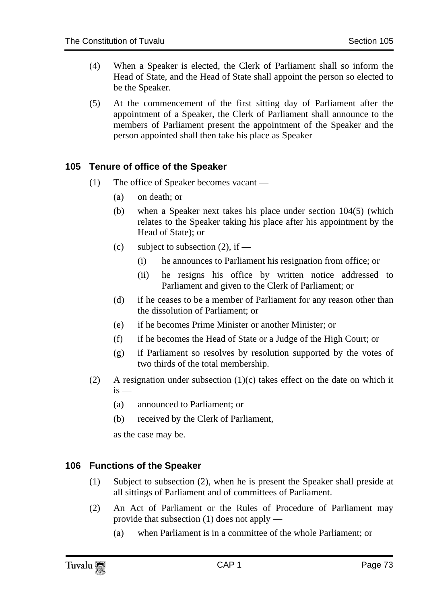- (4) When a Speaker is elected, the Clerk of Parliament shall so inform the Head of State, and the Head of State shall appoint the person so elected to be the Speaker.
- (5) At the commencement of the first sitting day of Parliament after the appointment of a Speaker, the Clerk of Parliament shall announce to the members of Parliament present the appointment of the Speaker and the person appointed shall then take his place as Speaker

## **105 Tenure of office of the Speaker**

- (1) The office of Speaker becomes vacant
	- (a) on death; or
	- (b) when a Speaker next takes his place under section 104(5) (which relates to the Speaker taking his place after his appointment by the Head of State); or
	- (c) subject to subsection  $(2)$ , if
		- (i) he announces to Parliament his resignation from office; or
		- (ii) he resigns his office by written notice addressed to Parliament and given to the Clerk of Parliament; or
	- (d) if he ceases to be a member of Parliament for any reason other than the dissolution of Parliament; or
	- (e) if he becomes Prime Minister or another Minister; or
	- (f) if he becomes the Head of State or a Judge of the High Court; or
	- (g) if Parliament so resolves by resolution supported by the votes of two thirds of the total membership.
- (2) A resignation under subsection (1)(c) takes effect on the date on which it  $i<sub>s</sub>$  —
	- (a) announced to Parliament; or
	- (b) received by the Clerk of Parliament,

as the case may be.

#### **106 Functions of the Speaker**

- (1) Subject to subsection (2), when he is present the Speaker shall preside at all sittings of Parliament and of committees of Parliament.
- (2) An Act of Parliament or the Rules of Procedure of Parliament may provide that subsection (1) does not apply —
	- (a) when Parliament is in a committee of the whole Parliament; or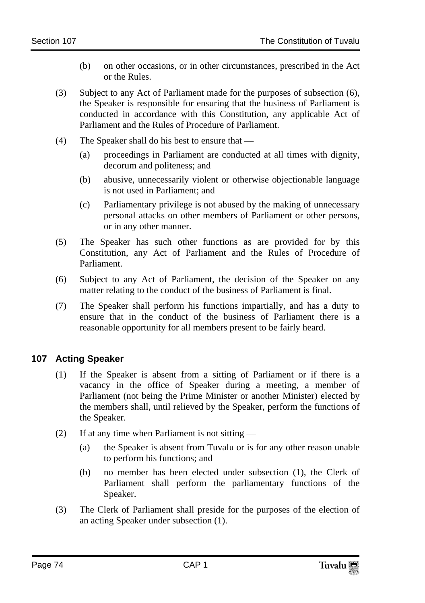- (b) on other occasions, or in other circumstances, prescribed in the Act or the Rules.
- (3) Subject to any Act of Parliament made for the purposes of subsection (6), the Speaker is responsible for ensuring that the business of Parliament is conducted in accordance with this Constitution, any applicable Act of Parliament and the Rules of Procedure of Parliament.
- (4) The Speaker shall do his best to ensure that
	- (a) proceedings in Parliament are conducted at all times with dignity, decorum and politeness; and
	- (b) abusive, unnecessarily violent or otherwise objectionable language is not used in Parliament; and
	- (c) Parliamentary privilege is not abused by the making of unnecessary personal attacks on other members of Parliament or other persons, or in any other manner.
- (5) The Speaker has such other functions as are provided for by this Constitution, any Act of Parliament and the Rules of Procedure of Parliament.
- (6) Subject to any Act of Parliament, the decision of the Speaker on any matter relating to the conduct of the business of Parliament is final.
- (7) The Speaker shall perform his functions impartially, and has a duty to ensure that in the conduct of the business of Parliament there is a reasonable opportunity for all members present to be fairly heard.

# **107 Acting Speaker**

- (1) If the Speaker is absent from a sitting of Parliament or if there is a vacancy in the office of Speaker during a meeting, a member of Parliament (not being the Prime Minister or another Minister) elected by the members shall, until relieved by the Speaker, perform the functions of the Speaker.
- (2) If at any time when Parliament is not sitting
	- (a) the Speaker is absent from Tuvalu or is for any other reason unable to perform his functions; and
	- (b) no member has been elected under subsection (1), the Clerk of Parliament shall perform the parliamentary functions of the Speaker.
- (3) The Clerk of Parliament shall preside for the purposes of the election of an acting Speaker under subsection (1).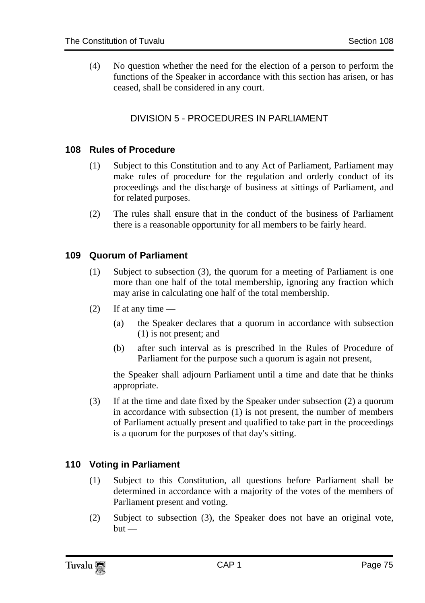(4) No question whether the need for the election of a person to perform the functions of the Speaker in accordance with this section has arisen, or has ceased, shall be considered in any court.

# DIVISION 5 - PROCEDURES IN PARLIAMENT

#### **108 Rules of Procedure**

- (1) Subject to this Constitution and to any Act of Parliament, Parliament may make rules of procedure for the regulation and orderly conduct of its proceedings and the discharge of business at sittings of Parliament, and for related purposes.
- (2) The rules shall ensure that in the conduct of the business of Parliament there is a reasonable opportunity for all members to be fairly heard.

#### **109 Quorum of Parliament**

- (1) Subject to subsection (3), the quorum for a meeting of Parliament is one more than one half of the total membership, ignoring any fraction which may arise in calculating one half of the total membership.
- $(2)$  If at any time
	- (a) the Speaker declares that a quorum in accordance with subsection (1) is not present; and
	- (b) after such interval as is prescribed in the Rules of Procedure of Parliament for the purpose such a quorum is again not present,

the Speaker shall adjourn Parliament until a time and date that he thinks appropriate.

(3) If at the time and date fixed by the Speaker under subsection (2) a quorum in accordance with subsection (1) is not present, the number of members of Parliament actually present and qualified to take part in the proceedings is a quorum for the purposes of that day's sitting.

# **110 Voting in Parliament**

- (1) Subject to this Constitution, all questions before Parliament shall be determined in accordance with a majority of the votes of the members of Parliament present and voting.
- (2) Subject to subsection (3), the Speaker does not have an original vote,  $but -$

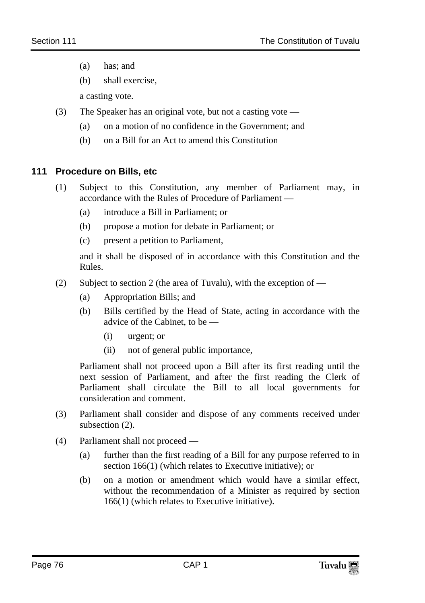- (a) has; and
- (b) shall exercise,

a casting vote.

- (3) The Speaker has an original vote, but not a casting vote
	- (a) on a motion of no confidence in the Government; and
	- (b) on a Bill for an Act to amend this Constitution

#### **111 Procedure on Bills, etc**

- (1) Subject to this Constitution, any member of Parliament may, in accordance with the Rules of Procedure of Parliament —
	- (a) introduce a Bill in Parliament; or
	- (b) propose a motion for debate in Parliament; or
	- (c) present a petition to Parliament,

and it shall be disposed of in accordance with this Constitution and the Rules.

- (2) Subject to section 2 (the area of Tuvalu), with the exception of
	- (a) Appropriation Bills; and
	- (b) Bills certified by the Head of State, acting in accordance with the advice of the Cabinet, to be —
		- (i) urgent; or
		- (ii) not of general public importance,

Parliament shall not proceed upon a Bill after its first reading until the next session of Parliament, and after the first reading the Clerk of Parliament shall circulate the Bill to all local governments for consideration and comment.

- (3) Parliament shall consider and dispose of any comments received under subsection (2).
- (4) Parliament shall not proceed
	- (a) further than the first reading of a Bill for any purpose referred to in section 166(1) (which relates to Executive initiative); or
	- (b) on a motion or amendment which would have a similar effect, without the recommendation of a Minister as required by section 166(1) (which relates to Executive initiative).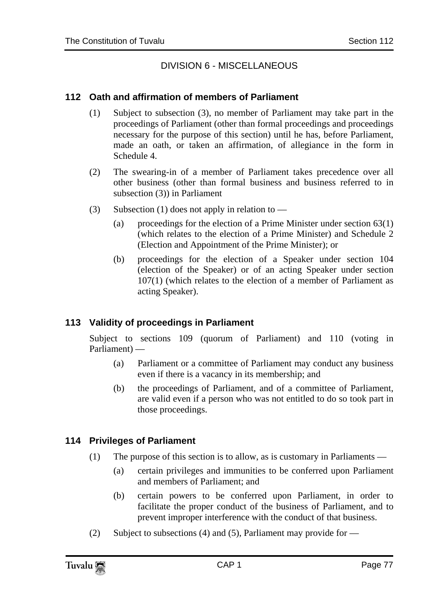# DIVISION 6 - MISCELLANEOUS

### **112 Oath and affirmation of members of Parliament**

- (1) Subject to subsection (3), no member of Parliament may take part in the proceedings of Parliament (other than formal proceedings and proceedings necessary for the purpose of this section) until he has, before Parliament, made an oath, or taken an affirmation, of allegiance in the form in Schedule 4.
- (2) The swearing-in of a member of Parliament takes precedence over all other business (other than formal business and business referred to in subsection (3)) in Parliament
- (3) Subsection (1) does not apply in relation to
	- (a) proceedings for the election of a Prime Minister under section 63(1) (which relates to the election of a Prime Minister) and Schedule 2 (Election and Appointment of the Prime Minister); or
	- (b) proceedings for the election of a Speaker under section 104 (election of the Speaker) or of an acting Speaker under section 107(1) (which relates to the election of a member of Parliament as acting Speaker).

# **113 Validity of proceedings in Parliament**

Subject to sections 109 (quorum of Parliament) and 110 (voting in Parliament) —

- (a) Parliament or a committee of Parliament may conduct any business even if there is a vacancy in its membership; and
- (b) the proceedings of Parliament, and of a committee of Parliament, are valid even if a person who was not entitled to do so took part in those proceedings.

# **114 Privileges of Parliament**

- (1) The purpose of this section is to allow, as is customary in Parliaments
	- (a) certain privileges and immunities to be conferred upon Parliament and members of Parliament; and
	- (b) certain powers to be conferred upon Parliament, in order to facilitate the proper conduct of the business of Parliament, and to prevent improper interference with the conduct of that business.
- (2) Subject to subsections (4) and (5), Parliament may provide for —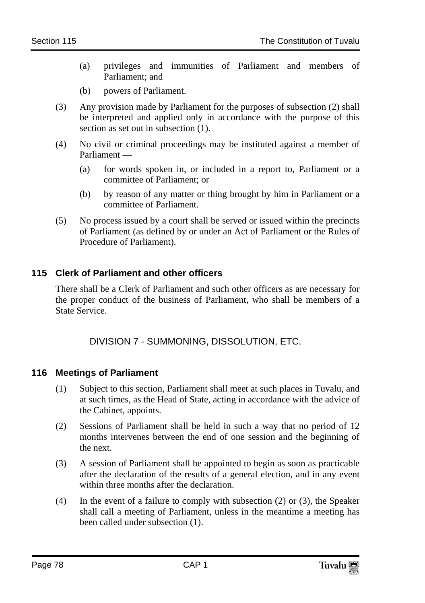- (a) privileges and immunities of Parliament and members of Parliament; and
- (b) powers of Parliament.
- (3) Any provision made by Parliament for the purposes of subsection (2) shall be interpreted and applied only in accordance with the purpose of this section as set out in subsection  $(1)$ .
- (4) No civil or criminal proceedings may be instituted against a member of Parliament —
	- (a) for words spoken in, or included in a report to, Parliament or a committee of Parliament; or
	- (b) by reason of any matter or thing brought by him in Parliament or a committee of Parliament.
- (5) No process issued by a court shall be served or issued within the precincts of Parliament (as defined by or under an Act of Parliament or the Rules of Procedure of Parliament).

# **115 Clerk of Parliament and other officers**

There shall be a Clerk of Parliament and such other officers as are necessary for the proper conduct of the business of Parliament, who shall be members of a State Service.

DIVISION 7 - SUMMONING, DISSOLUTION, ETC.

#### **116 Meetings of Parliament**

- (1) Subject to this section, Parliament shall meet at such places in Tuvalu, and at such times, as the Head of State, acting in accordance with the advice of the Cabinet, appoints.
- (2) Sessions of Parliament shall be held in such a way that no period of 12 months intervenes between the end of one session and the beginning of the next.
- (3) A session of Parliament shall be appointed to begin as soon as practicable after the declaration of the results of a general election, and in any event within three months after the declaration.
- (4) In the event of a failure to comply with subsection (2) or (3), the Speaker shall call a meeting of Parliament, unless in the meantime a meeting has been called under subsection (1).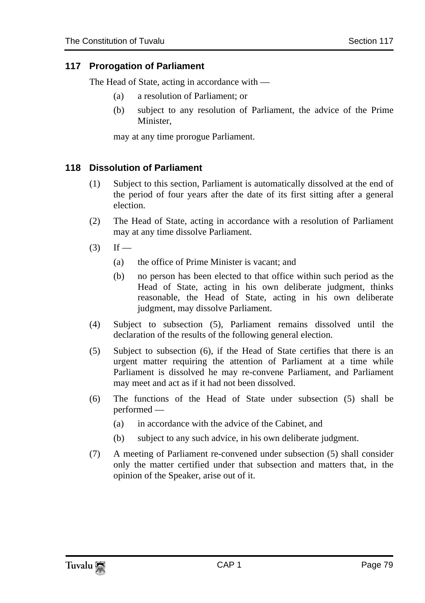## **117 Prorogation of Parliament**

The Head of State, acting in accordance with —

- (a) a resolution of Parliament; or
- (b) subject to any resolution of Parliament, the advice of the Prime Minister,

may at any time prorogue Parliament.

## **118 Dissolution of Parliament**

- (1) Subject to this section, Parliament is automatically dissolved at the end of the period of four years after the date of its first sitting after a general election.
- (2) The Head of State, acting in accordance with a resolution of Parliament may at any time dissolve Parliament.
- $(3)$  If
	- (a) the office of Prime Minister is vacant; and
	- (b) no person has been elected to that office within such period as the Head of State, acting in his own deliberate judgment, thinks reasonable, the Head of State, acting in his own deliberate judgment, may dissolve Parliament.
- (4) Subject to subsection (5), Parliament remains dissolved until the declaration of the results of the following general election.
- (5) Subject to subsection (6), if the Head of State certifies that there is an urgent matter requiring the attention of Parliament at a time while Parliament is dissolved he may re-convene Parliament, and Parliament may meet and act as if it had not been dissolved.
- (6) The functions of the Head of State under subsection (5) shall be performed —
	- (a) in accordance with the advice of the Cabinet, and
	- (b) subject to any such advice, in his own deliberate judgment.
- (7) A meeting of Parliament re-convened under subsection (5) shall consider only the matter certified under that subsection and matters that, in the opinion of the Speaker, arise out of it.

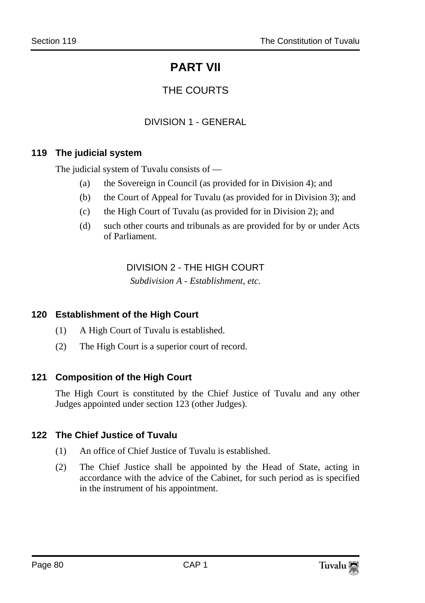# **PART VII**

# THE COURTS

## DIVISION 1 - GENERAL

## **119 The judicial system**

The judicial system of Tuvalu consists of —

- (a) the Sovereign in Council (as provided for in Division 4); and
- (b) the Court of Appeal for Tuvalu (as provided for in Division 3); and
- (c) the High Court of Tuvalu (as provided for in Division 2); and
- (d) such other courts and tribunals as are provided for by or under Acts of Parliament.

#### DIVISION 2 - THE HIGH COURT

*Subdivision A - Establishment, etc.* 

#### **120 Establishment of the High Court**

- (1) A High Court of Tuvalu is established.
- (2) The High Court is a superior court of record.

#### **121 Composition of the High Court**

The High Court is constituted by the Chief Justice of Tuvalu and any other Judges appointed under section 123 (other Judges).

#### **122 The Chief Justice of Tuvalu**

- (1) An office of Chief Justice of Tuvalu is established.
- (2) The Chief Justice shall be appointed by the Head of State, acting in accordance with the advice of the Cabinet, for such period as is specified in the instrument of his appointment.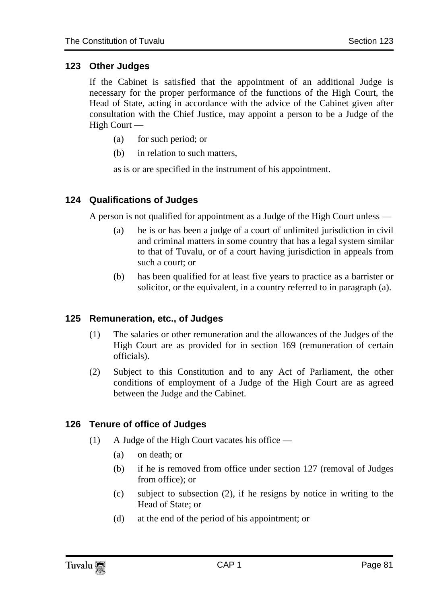### **123 Other Judges**

If the Cabinet is satisfied that the appointment of an additional Judge is necessary for the proper performance of the functions of the High Court, the Head of State, acting in accordance with the advice of the Cabinet given after consultation with the Chief Justice, may appoint a person to be a Judge of the High Court —

- (a) for such period; or
- (b) in relation to such matters,

as is or are specified in the instrument of his appointment.

# **124 Qualifications of Judges**

A person is not qualified for appointment as a Judge of the High Court unless —

- (a) he is or has been a judge of a court of unlimited jurisdiction in civil and criminal matters in some country that has a legal system similar to that of Tuvalu, or of a court having jurisdiction in appeals from such a court; or
- (b) has been qualified for at least five years to practice as a barrister or solicitor, or the equivalent, in a country referred to in paragraph (a).

#### **125 Remuneration, etc., of Judges**

- (1) The salaries or other remuneration and the allowances of the Judges of the High Court are as provided for in section 169 (remuneration of certain officials).
- (2) Subject to this Constitution and to any Act of Parliament, the other conditions of employment of a Judge of the High Court are as agreed between the Judge and the Cabinet.

# **126 Tenure of office of Judges**

- (1) A Judge of the High Court vacates his office
	- (a) on death; or
	- (b) if he is removed from office under section 127 (removal of Judges from office); or
	- (c) subject to subsection (2), if he resigns by notice in writing to the Head of State; or
	- (d) at the end of the period of his appointment; or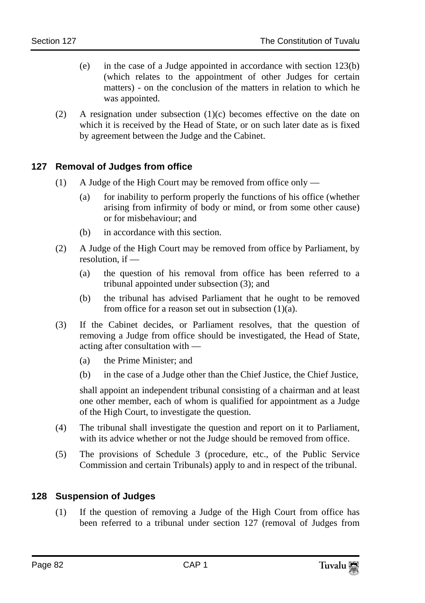- (e) in the case of a Judge appointed in accordance with section 123(b) (which relates to the appointment of other Judges for certain matters) - on the conclusion of the matters in relation to which he was appointed.
- (2) A resignation under subsection (1)(c) becomes effective on the date on which it is received by the Head of State, or on such later date as is fixed by agreement between the Judge and the Cabinet.

## **127 Removal of Judges from office**

- (1) A Judge of the High Court may be removed from office only
	- (a) for inability to perform properly the functions of his office (whether arising from infirmity of body or mind, or from some other cause) or for misbehaviour; and
	- (b) in accordance with this section.
- (2) A Judge of the High Court may be removed from office by Parliament, by resolution, if —
	- (a) the question of his removal from office has been referred to a tribunal appointed under subsection (3); and
	- (b) the tribunal has advised Parliament that he ought to be removed from office for a reason set out in subsection  $(1)(a)$ .
- (3) If the Cabinet decides, or Parliament resolves, that the question of removing a Judge from office should be investigated, the Head of State, acting after consultation with —
	- (a) the Prime Minister; and
	- (b) in the case of a Judge other than the Chief Justice, the Chief Justice,

shall appoint an independent tribunal consisting of a chairman and at least one other member, each of whom is qualified for appointment as a Judge of the High Court, to investigate the question.

- (4) The tribunal shall investigate the question and report on it to Parliament, with its advice whether or not the Judge should be removed from office.
- (5) The provisions of Schedule 3 (procedure, etc., of the Public Service Commission and certain Tribunals) apply to and in respect of the tribunal.

# **128 Suspension of Judges**

(1) If the question of removing a Judge of the High Court from office has been referred to a tribunal under section 127 (removal of Judges from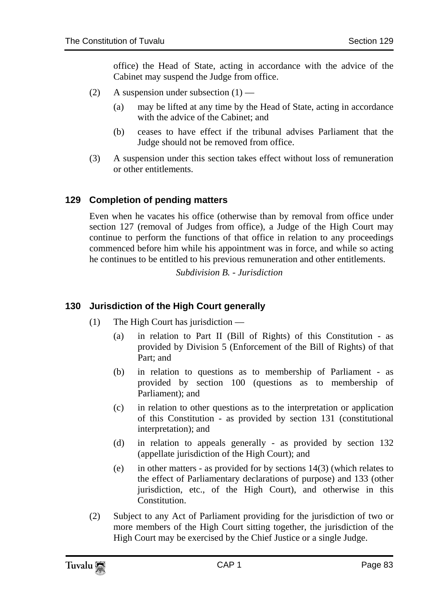office) the Head of State, acting in accordance with the advice of the Cabinet may suspend the Judge from office.

- (2) A suspension under subsection  $(1)$ 
	- (a) may be lifted at any time by the Head of State, acting in accordance with the advice of the Cabinet; and
	- (b) ceases to have effect if the tribunal advises Parliament that the Judge should not be removed from office.
- (3) A suspension under this section takes effect without loss of remuneration or other entitlements.

## **129 Completion of pending matters**

Even when he vacates his office (otherwise than by removal from office under section 127 (removal of Judges from office), a Judge of the High Court may continue to perform the functions of that office in relation to any proceedings commenced before him while his appointment was in force, and while so acting he continues to be entitled to his previous remuneration and other entitlements.

*Subdivision B. - Jurisdiction* 

### **130 Jurisdiction of the High Court generally**

- (1) The High Court has jurisdiction
	- (a) in relation to Part II (Bill of Rights) of this Constitution as provided by Division 5 (Enforcement of the Bill of Rights) of that Part; and
	- (b) in relation to questions as to membership of Parliament as provided by section 100 (questions as to membership of Parliament); and
	- (c) in relation to other questions as to the interpretation or application of this Constitution - as provided by section 131 (constitutional interpretation); and
	- (d) in relation to appeals generally as provided by section 132 (appellate jurisdiction of the High Court); and
	- (e) in other matters as provided for by sections 14(3) (which relates to the effect of Parliamentary declarations of purpose) and 133 (other jurisdiction, etc., of the High Court), and otherwise in this Constitution.
- (2) Subject to any Act of Parliament providing for the jurisdiction of two or more members of the High Court sitting together, the jurisdiction of the High Court may be exercised by the Chief Justice or a single Judge.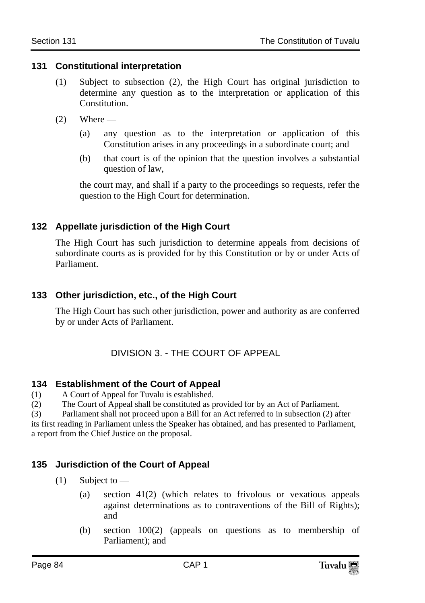#### **131 Constitutional interpretation**

- (1) Subject to subsection (2), the High Court has original jurisdiction to determine any question as to the interpretation or application of this Constitution.
- $(2)$  Where
	- (a) any question as to the interpretation or application of this Constitution arises in any proceedings in a subordinate court; and
	- (b) that court is of the opinion that the question involves a substantial question of law,

the court may, and shall if a party to the proceedings so requests, refer the question to the High Court for determination.

#### **132 Appellate jurisdiction of the High Court**

The High Court has such jurisdiction to determine appeals from decisions of subordinate courts as is provided for by this Constitution or by or under Acts of Parliament.

#### **133 Other jurisdiction, etc., of the High Court**

The High Court has such other jurisdiction, power and authority as are conferred by or under Acts of Parliament.

DIVISION 3. - THE COURT OF APPEAL

#### **134 Establishment of the Court of Appeal**

(1) A Court of Appeal for Tuvalu is established.

(2) The Court of Appeal shall be constituted as provided for by an Act of Parliament.

(3) Parliament shall not proceed upon a Bill for an Act referred to in subsection (2) after its first reading in Parliament unless the Speaker has obtained, and has presented to Parliament, a report from the Chief Justice on the proposal.

#### **135 Jurisdiction of the Court of Appeal**

- $(1)$  Subject to
	- (a) section 41(2) (which relates to frivolous or vexatious appeals against determinations as to contraventions of the Bill of Rights); and
	- (b) section 100(2) (appeals on questions as to membership of Parliament); and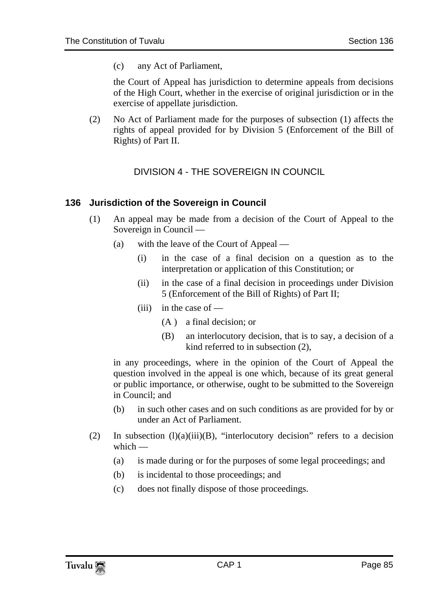(c) any Act of Parliament,

the Court of Appeal has jurisdiction to determine appeals from decisions of the High Court, whether in the exercise of original jurisdiction or in the exercise of appellate jurisdiction.

(2) No Act of Parliament made for the purposes of subsection (1) affects the rights of appeal provided for by Division 5 (Enforcement of the Bill of Rights) of Part II.

DIVISION 4 - THE SOVEREIGN IN COUNCIL

#### **136 Jurisdiction of the Sovereign in Council**

- (1) An appeal may be made from a decision of the Court of Appeal to the Sovereign in Council —
	- (a) with the leave of the Court of Appeal
		- (i) in the case of a final decision on a question as to the interpretation or application of this Constitution; or
		- (ii) in the case of a final decision in proceedings under Division 5 (Enforcement of the Bill of Rights) of Part II;
		- $(iii)$  in the case of
			- (A ) a final decision; or
			- (B) an interlocutory decision, that is to say, a decision of a kind referred to in subsection (2),

in any proceedings, where in the opinion of the Court of Appeal the question involved in the appeal is one which, because of its great general or public importance, or otherwise, ought to be submitted to the Sovereign in Council; and

- (b) in such other cases and on such conditions as are provided for by or under an Act of Parliament.
- (2) In subsection  $(l)(a)(iii)(B)$ , "interlocutory decision" refers to a decision which —
	- (a) is made during or for the purposes of some legal proceedings; and
	- (b) is incidental to those proceedings; and
	- (c) does not finally dispose of those proceedings.

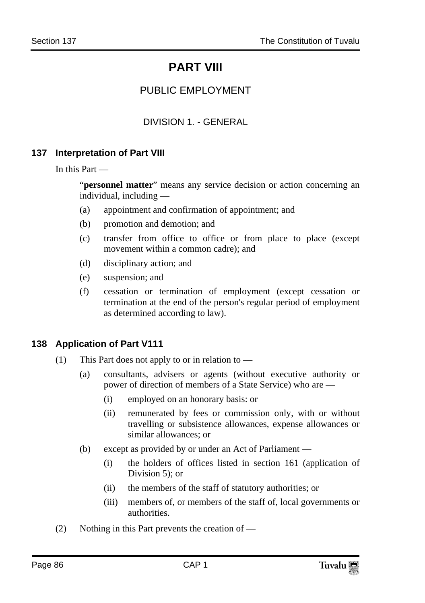# **PART VIII**

# PUBLIC EMPLOYMENT

### DIVISION 1. - GENERAL

## **137 Interpretation of Part VIII**

In this Part —

"**personnel matter**" means any service decision or action concerning an individual, including —

- (a) appointment and confirmation of appointment; and
- (b) promotion and demotion; and
- (c) transfer from office to office or from place to place (except movement within a common cadre); and
- (d) disciplinary action; and
- (e) suspension; and
- (f) cessation or termination of employment (except cessation or termination at the end of the person's regular period of employment as determined according to law).

#### **138 Application of Part V111**

- (1) This Part does not apply to or in relation to
	- (a) consultants, advisers or agents (without executive authority or power of direction of members of a State Service) who are —
		- (i) employed on an honorary basis: or
		- (ii) remunerated by fees or commission only, with or without travelling or subsistence allowances, expense allowances or similar allowances; or
	- (b) except as provided by or under an Act of Parliament
		- (i) the holders of offices listed in section 161 (application of Division 5); or
		- (ii) the members of the staff of statutory authorities; or
		- (iii) members of, or members of the staff of, local governments or authorities.
- (2) Nothing in this Part prevents the creation of —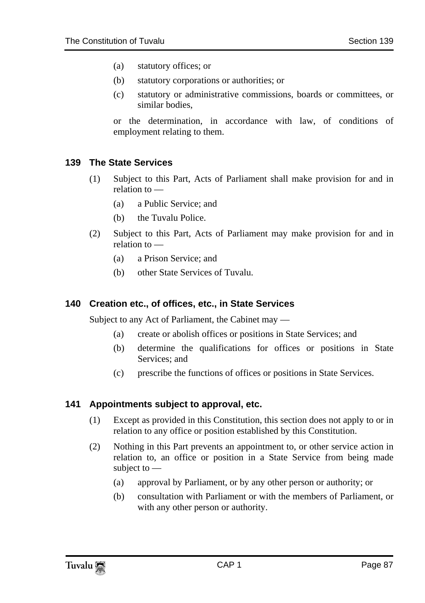- (a) statutory offices; or
- (b) statutory corporations or authorities; or
- (c) statutory or administrative commissions, boards or committees, or similar bodies,

or the determination, in accordance with law, of conditions of employment relating to them.

#### **139 The State Services**

- (1) Subject to this Part, Acts of Parliament shall make provision for and in relation to —
	- (a) a Public Service; and
	- (b) the Tuvalu Police.
- (2) Subject to this Part, Acts of Parliament may make provision for and in relation to —
	- (a) a Prison Service; and
	- (b) other State Services of Tuvalu.

#### **140 Creation etc., of offices, etc., in State Services**

Subject to any Act of Parliament, the Cabinet may —

- (a) create or abolish offices or positions in State Services; and
- (b) determine the qualifications for offices or positions in State Services; and
- (c) prescribe the functions of offices or positions in State Services.

#### **141 Appointments subject to approval, etc.**

- (1) Except as provided in this Constitution, this section does not apply to or in relation to any office or position established by this Constitution.
- (2) Nothing in this Part prevents an appointment to, or other service action in relation to, an office or position in a State Service from being made subject to —
	- (a) approval by Parliament, or by any other person or authority; or
	- (b) consultation with Parliament or with the members of Parliament, or with any other person or authority.

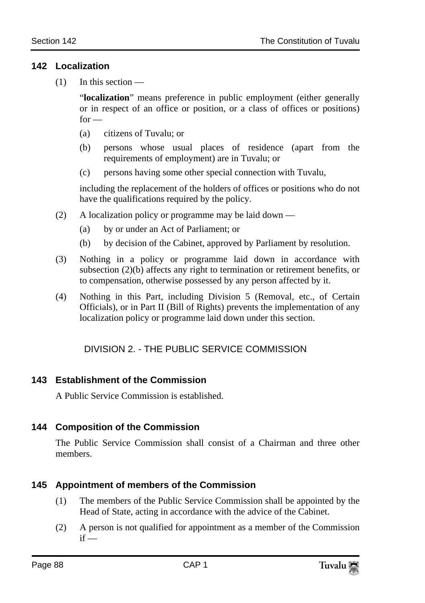#### **142 Localization**

(1) In this section —

"**localization**" means preference in public employment (either generally or in respect of an office or position, or a class of offices or positions)  $for -$ 

- (a) citizens of Tuvalu; or
- (b) persons whose usual places of residence (apart from the requirements of employment) are in Tuvalu; or
- (c) persons having some other special connection with Tuvalu,

including the replacement of the holders of offices or positions who do not have the qualifications required by the policy.

- (2) A localization policy or programme may be laid down
	- (a) by or under an Act of Parliament; or
	- (b) by decision of the Cabinet, approved by Parliament by resolution.
- (3) Nothing in a policy or programme laid down in accordance with subsection (2)(b) affects any right to termination or retirement benefits, or to compensation, otherwise possessed by any person affected by it.
- (4) Nothing in this Part, including Division 5 (Removal, etc., of Certain Officials), or in Part II (Bill of Rights) prevents the implementation of any localization policy or programme laid down under this section.

DIVISION 2. - THE PUBLIC SERVICE COMMISSION

# **143 Establishment of the Commission**

A Public Service Commission is established.

# **144 Composition of the Commission**

The Public Service Commission shall consist of a Chairman and three other members.

#### **145 Appointment of members of the Commission**

- (1) The members of the Public Service Commission shall be appointed by the Head of State, acting in accordance with the advice of the Cabinet.
- (2) A person is not qualified for appointment as a member of the Commission  $if =$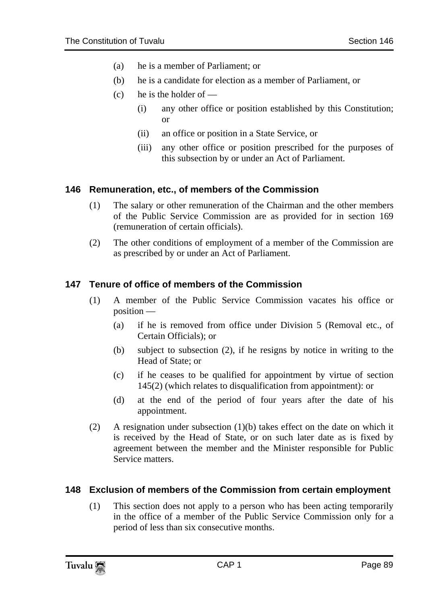- (a) he is a member of Parliament; or
- (b) he is a candidate for election as a member of Parliament, or
- $(c)$  he is the holder of
	- (i) any other office or position established by this Constitution; or
	- (ii) an office or position in a State Service, or
	- (iii) any other office or position prescribed for the purposes of this subsection by or under an Act of Parliament.

#### **146 Remuneration, etc., of members of the Commission**

- (1) The salary or other remuneration of the Chairman and the other members of the Public Service Commission are as provided for in section 169 (remuneration of certain officials).
- (2) The other conditions of employment of a member of the Commission are as prescribed by or under an Act of Parliament.

#### **147 Tenure of office of members of the Commission**

- (1) A member of the Public Service Commission vacates his office or position —
	- (a) if he is removed from office under Division 5 (Removal etc., of Certain Officials); or
	- (b) subject to subsection (2), if he resigns by notice in writing to the Head of State; or
	- (c) if he ceases to be qualified for appointment by virtue of section 145(2) (which relates to disqualification from appointment): or
	- (d) at the end of the period of four years after the date of his appointment.
- (2) A resignation under subsection  $(1)(b)$  takes effect on the date on which it is received by the Head of State, or on such later date as is fixed by agreement between the member and the Minister responsible for Public Service matters.

#### **148 Exclusion of members of the Commission from certain employment**

(1) This section does not apply to a person who has been acting temporarily in the office of a member of the Public Service Commission only for a period of less than six consecutive months.

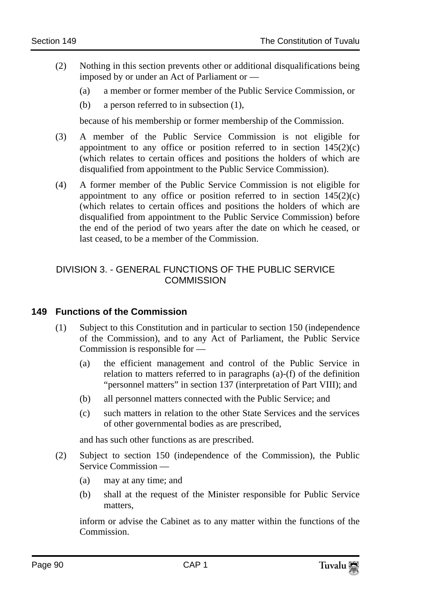- (2) Nothing in this section prevents other or additional disqualifications being imposed by or under an Act of Parliament or —
	- (a) a member or former member of the Public Service Commission, or
	- (b) a person referred to in subsection (1),

because of his membership or former membership of the Commission.

- (3) A member of the Public Service Commission is not eligible for appointment to any office or position referred to in section  $145(2)(c)$ (which relates to certain offices and positions the holders of which are disqualified from appointment to the Public Service Commission).
- (4) A former member of the Public Service Commission is not eligible for appointment to any office or position referred to in section  $145(2)(c)$ (which relates to certain offices and positions the holders of which are disqualified from appointment to the Public Service Commission) before the end of the period of two years after the date on which he ceased, or last ceased, to be a member of the Commission.

#### DIVISION 3. - GENERAL FUNCTIONS OF THE PUBLIC SERVICE **COMMISSION**

#### **149 Functions of the Commission**

- (1) Subject to this Constitution and in particular to section 150 (independence of the Commission), and to any Act of Parliament, the Public Service Commission is responsible for —
	- (a) the efficient management and control of the Public Service in relation to matters referred to in paragraphs (a)-(f) of the definition "personnel matters" in section 137 (interpretation of Part VIII); and
	- (b) all personnel matters connected with the Public Service; and
	- (c) such matters in relation to the other State Services and the services of other governmental bodies as are prescribed,

and has such other functions as are prescribed.

- (2) Subject to section 150 (independence of the Commission), the Public Service Commission —
	- (a) may at any time; and
	- (b) shall at the request of the Minister responsible for Public Service matters,

inform or advise the Cabinet as to any matter within the functions of the **Commission**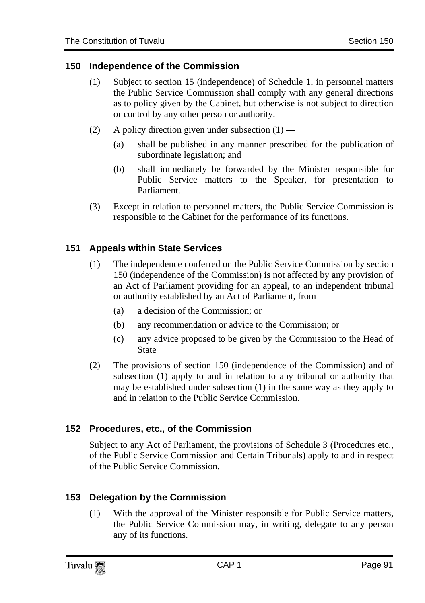#### **150 Independence of the Commission**

- (1) Subject to section 15 (independence) of Schedule 1, in personnel matters the Public Service Commission shall comply with any general directions as to policy given by the Cabinet, but otherwise is not subject to direction or control by any other person or authority.
- (2) A policy direction given under subsection  $(1)$ 
	- (a) shall be published in any manner prescribed for the publication of subordinate legislation; and
	- (b) shall immediately be forwarded by the Minister responsible for Public Service matters to the Speaker, for presentation to Parliament.
- (3) Except in relation to personnel matters, the Public Service Commission is responsible to the Cabinet for the performance of its functions.

# **151 Appeals within State Services**

- (1) The independence conferred on the Public Service Commission by section 150 (independence of the Commission) is not affected by any provision of an Act of Parliament providing for an appeal, to an independent tribunal or authority established by an Act of Parliament, from —
	- (a) a decision of the Commission; or
	- (b) any recommendation or advice to the Commission; or
	- (c) any advice proposed to be given by the Commission to the Head of State
- (2) The provisions of section 150 (independence of the Commission) and of subsection (1) apply to and in relation to any tribunal or authority that may be established under subsection (1) in the same way as they apply to and in relation to the Public Service Commission.

# **152 Procedures, etc., of the Commission**

Subject to any Act of Parliament, the provisions of Schedule 3 (Procedures etc., of the Public Service Commission and Certain Tribunals) apply to and in respect of the Public Service Commission.

# **153 Delegation by the Commission**

(1) With the approval of the Minister responsible for Public Service matters, the Public Service Commission may, in writing, delegate to any person any of its functions.

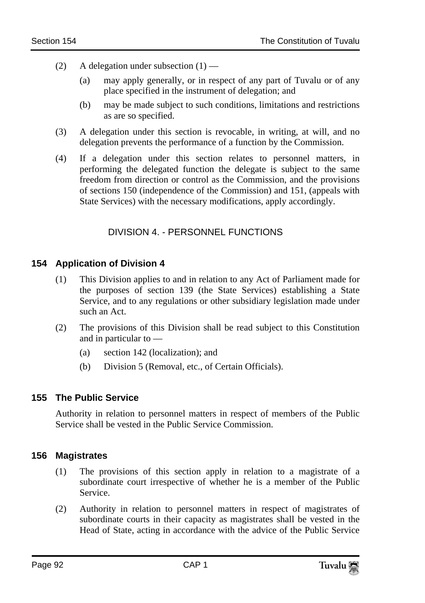- (2) A delegation under subsection  $(1)$ 
	- (a) may apply generally, or in respect of any part of Tuvalu or of any place specified in the instrument of delegation; and
	- (b) may be made subject to such conditions, limitations and restrictions as are so specified.
- (3) A delegation under this section is revocable, in writing, at will, and no delegation prevents the performance of a function by the Commission.
- (4) If a delegation under this section relates to personnel matters, in performing the delegated function the delegate is subject to the same freedom from direction or control as the Commission, and the provisions of sections 150 (independence of the Commission) and 151, (appeals with State Services) with the necessary modifications, apply accordingly.

# DIVISION 4. - PERSONNEL FUNCTIONS

#### **154 Application of Division 4**

- (1) This Division applies to and in relation to any Act of Parliament made for the purposes of section 139 (the State Services) establishing a State Service, and to any regulations or other subsidiary legislation made under such an Act.
- (2) The provisions of this Division shall be read subject to this Constitution and in particular to —
	- (a) section 142 (localization); and
	- (b) Division 5 (Removal, etc., of Certain Officials).

#### **155 The Public Service**

Authority in relation to personnel matters in respect of members of the Public Service shall be vested in the Public Service Commission.

#### **156 Magistrates**

- (1) The provisions of this section apply in relation to a magistrate of a subordinate court irrespective of whether he is a member of the Public Service.
- (2) Authority in relation to personnel matters in respect of magistrates of subordinate courts in their capacity as magistrates shall be vested in the Head of State, acting in accordance with the advice of the Public Service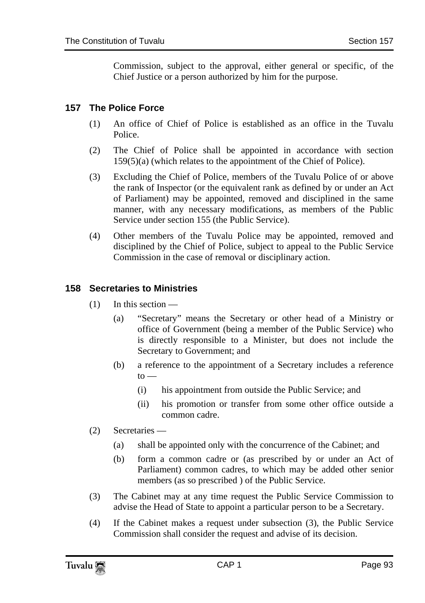Commission, subject to the approval, either general or specific, of the Chief Justice or a person authorized by him for the purpose.

# **157 The Police Force**

- (1) An office of Chief of Police is established as an office in the Tuvalu Police.
- (2) The Chief of Police shall be appointed in accordance with section 159(5)(a) (which relates to the appointment of the Chief of Police).
- (3) Excluding the Chief of Police, members of the Tuvalu Police of or above the rank of Inspector (or the equivalent rank as defined by or under an Act of Parliament) may be appointed, removed and disciplined in the same manner, with any necessary modifications, as members of the Public Service under section 155 (the Public Service).
- (4) Other members of the Tuvalu Police may be appointed, removed and disciplined by the Chief of Police, subject to appeal to the Public Service Commission in the case of removal or disciplinary action.

# **158 Secretaries to Ministries**

- (1) In this section
	- (a) "Secretary" means the Secretary or other head of a Ministry or office of Government (being a member of the Public Service) who is directly responsible to a Minister, but does not include the Secretary to Government; and
	- (b) a reference to the appointment of a Secretary includes a reference  $to -$ 
		- (i) his appointment from outside the Public Service; and
		- (ii) his promotion or transfer from some other office outside a common cadre.
- (2) Secretaries
	- (a) shall be appointed only with the concurrence of the Cabinet; and
	- (b) form a common cadre or (as prescribed by or under an Act of Parliament) common cadres, to which may be added other senior members (as so prescribed ) of the Public Service.
- (3) The Cabinet may at any time request the Public Service Commission to advise the Head of State to appoint a particular person to be a Secretary.
- (4) If the Cabinet makes a request under subsection (3), the Public Service Commission shall consider the request and advise of its decision.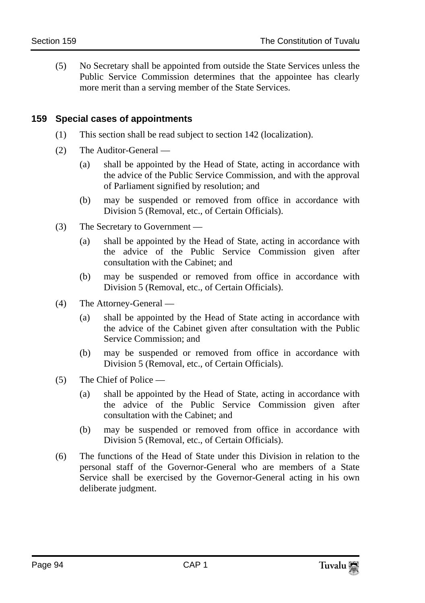(5) No Secretary shall be appointed from outside the State Services unless the Public Service Commission determines that the appointee has clearly more merit than a serving member of the State Services.

#### **159 Special cases of appointments**

- (1) This section shall be read subject to section 142 (localization).
- (2) The Auditor-General
	- (a) shall be appointed by the Head of State, acting in accordance with the advice of the Public Service Commission, and with the approval of Parliament signified by resolution; and
	- (b) may be suspended or removed from office in accordance with Division 5 (Removal, etc., of Certain Officials).
- (3) The Secretary to Government
	- (a) shall be appointed by the Head of State, acting in accordance with the advice of the Public Service Commission given after consultation with the Cabinet; and
	- (b) may be suspended or removed from office in accordance with Division 5 (Removal, etc., of Certain Officials).
- (4) The Attorney-General
	- (a) shall be appointed by the Head of State acting in accordance with the advice of the Cabinet given after consultation with the Public Service Commission; and
	- (b) may be suspended or removed from office in accordance with Division 5 (Removal, etc., of Certain Officials).
- (5) The Chief of Police
	- (a) shall be appointed by the Head of State, acting in accordance with the advice of the Public Service Commission given after consultation with the Cabinet; and
	- (b) may be suspended or removed from office in accordance with Division 5 (Removal, etc., of Certain Officials).
- (6) The functions of the Head of State under this Division in relation to the personal staff of the Governor-General who are members of a State Service shall be exercised by the Governor-General acting in his own deliberate judgment.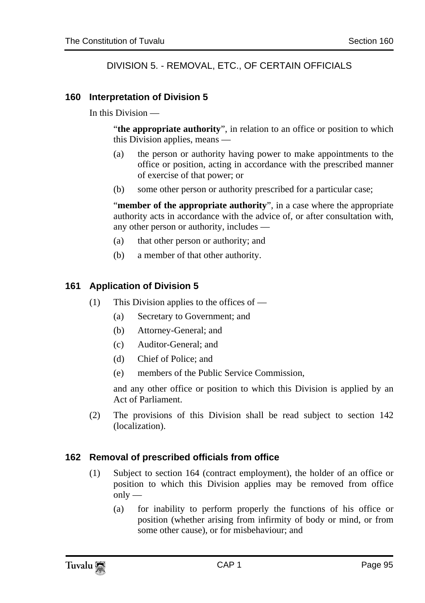# DIVISION 5. - REMOVAL, ETC., OF CERTAIN OFFICIALS

#### **160 Interpretation of Division 5**

In this Division —

"**the appropriate authority**", in relation to an office or position to which this Division applies, means —

- (a) the person or authority having power to make appointments to the office or position, acting in accordance with the prescribed manner of exercise of that power; or
- (b) some other person or authority prescribed for a particular case;

"**member of the appropriate authority**", in a case where the appropriate authority acts in accordance with the advice of, or after consultation with, any other person or authority, includes —

- (a) that other person or authority; and
- (b) a member of that other authority.

## **161 Application of Division 5**

- (1) This Division applies to the offices of
	- (a) Secretary to Government; and
	- (b) Attorney-General; and
	- (c) Auditor-General; and
	- (d) Chief of Police; and
	- (e) members of the Public Service Commission,

and any other office or position to which this Division is applied by an Act of Parliament.

(2) The provisions of this Division shall be read subject to section 142 (localization).

#### **162 Removal of prescribed officials from office**

- (1) Subject to section 164 (contract employment), the holder of an office or position to which this Division applies may be removed from office  $only$  —
	- (a) for inability to perform properly the functions of his office or position (whether arising from infirmity of body or mind, or from some other cause), or for misbehaviour; and

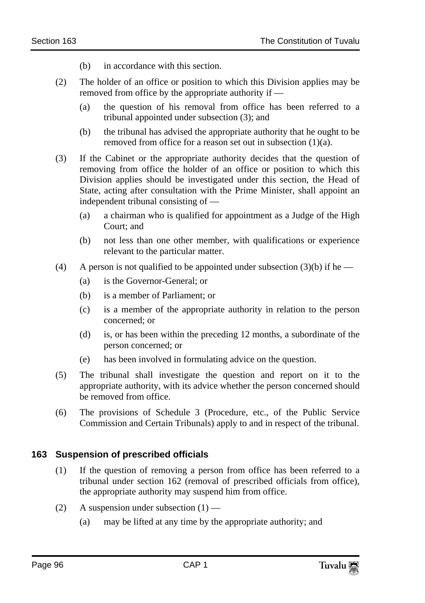- (b) in accordance with this section.
- (2) The holder of an office or position to which this Division applies may be removed from office by the appropriate authority if —
	- (a) the question of his removal from office has been referred to a tribunal appointed under subsection (3); and
	- (b) the tribunal has advised the appropriate authority that he ought to be removed from office for a reason set out in subsection (1)(a).
- (3) If the Cabinet or the appropriate authority decides that the question of removing from office the holder of an office or position to which this Division applies should be investigated under this section, the Head of State, acting after consultation with the Prime Minister, shall appoint an independent tribunal consisting of —
	- (a) a chairman who is qualified for appointment as a Judge of the High Court; and
	- (b) not less than one other member, with qualifications or experience relevant to the particular matter.
- (4) A person is not qualified to be appointed under subsection (3)(b) if he
	- (a) is the Governor-General; or
	- (b) is a member of Parliament; or
	- (c) is a member of the appropriate authority in relation to the person concerned; or
	- (d) is, or has been within the preceding 12 months, a subordinate of the person concerned; or
	- (e) has been involved in formulating advice on the question.
- (5) The tribunal shall investigate the question and report on it to the appropriate authority, with its advice whether the person concerned should be removed from office.
- (6) The provisions of Schedule 3 (Procedure, etc., of the Public Service Commission and Certain Tribunals) apply to and in respect of the tribunal.

#### **163 Suspension of prescribed officials**

- (1) If the question of removing a person from office has been referred to a tribunal under section 162 (removal of prescribed officials from office), the appropriate authority may suspend him from office.
- (2) A suspension under subsection  $(1)$ 
	- (a) may be lifted at any time by the appropriate authority; and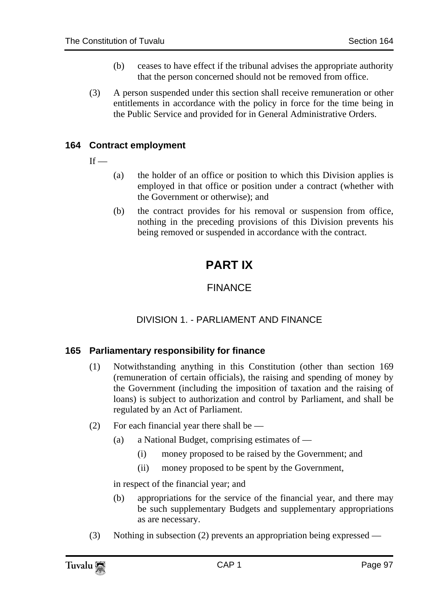- (b) ceases to have effect if the tribunal advises the appropriate authority that the person concerned should not be removed from office.
- (3) A person suspended under this section shall receive remuneration or other entitlements in accordance with the policy in force for the time being in the Public Service and provided for in General Administrative Orders.

### **164 Contract employment**

 $If$  —

- (a) the holder of an office or position to which this Division applies is employed in that office or position under a contract (whether with the Government or otherwise); and
- (b) the contract provides for his removal or suspension from office, nothing in the preceding provisions of this Division prevents his being removed or suspended in accordance with the contract.

# **PART IX**

# FINANCE

# DIVISION 1. - PARLIAMENT AND FINANCE

#### **165 Parliamentary responsibility for finance**

- (1) Notwithstanding anything in this Constitution (other than section 169 (remuneration of certain officials), the raising and spending of money by the Government (including the imposition of taxation and the raising of loans) is subject to authorization and control by Parliament, and shall be regulated by an Act of Parliament.
- (2) For each financial year there shall be
	- (a) a National Budget, comprising estimates of
		- (i) money proposed to be raised by the Government; and
		- (ii) money proposed to be spent by the Government,

in respect of the financial year; and

- (b) appropriations for the service of the financial year, and there may be such supplementary Budgets and supplementary appropriations as are necessary.
- (3) Nothing in subsection (2) prevents an appropriation being expressed —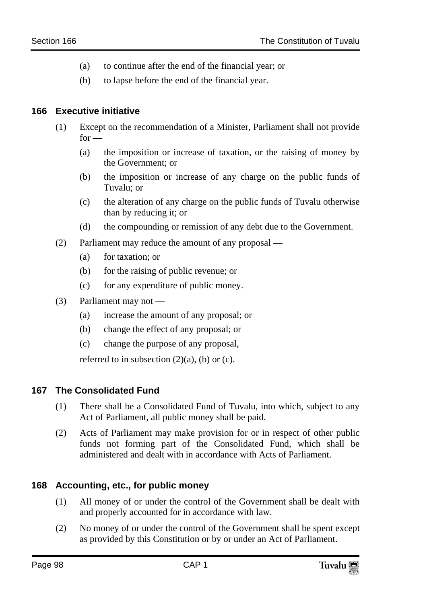- (a) to continue after the end of the financial year; or
- (b) to lapse before the end of the financial year.

#### **166 Executive initiative**

- (1) Except on the recommendation of a Minister, Parliament shall not provide for -
	- (a) the imposition or increase of taxation, or the raising of money by the Government; or
	- (b) the imposition or increase of any charge on the public funds of Tuvalu; or
	- (c) the alteration of any charge on the public funds of Tuvalu otherwise than by reducing it; or
	- (d) the compounding or remission of any debt due to the Government.
- (2) Parliament may reduce the amount of any proposal
	- (a) for taxation; or
	- (b) for the raising of public revenue; or
	- (c) for any expenditure of public money.
- (3) Parliament may not
	- (a) increase the amount of any proposal; or
	- (b) change the effect of any proposal; or
	- (c) change the purpose of any proposal,

referred to in subsection  $(2)(a)$ ,  $(b)$  or  $(c)$ .

#### **167 The Consolidated Fund**

- (1) There shall be a Consolidated Fund of Tuvalu, into which, subject to any Act of Parliament, all public money shall be paid.
- (2) Acts of Parliament may make provision for or in respect of other public funds not forming part of the Consolidated Fund, which shall be administered and dealt with in accordance with Acts of Parliament.

#### **168 Accounting, etc., for public money**

- (1) All money of or under the control of the Government shall be dealt with and properly accounted for in accordance with law.
- (2) No money of or under the control of the Government shall be spent except as provided by this Constitution or by or under an Act of Parliament.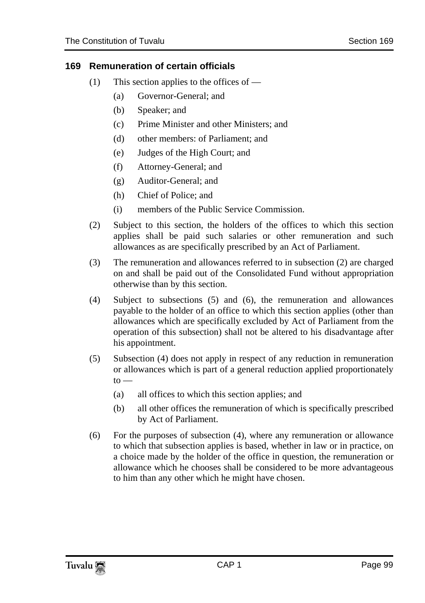#### **169 Remuneration of certain officials**

- (1) This section applies to the offices of
	- (a) Governor-General; and
	- (b) Speaker; and
	- (c) Prime Minister and other Ministers; and
	- (d) other members: of Parliament; and
	- (e) Judges of the High Court; and
	- (f) Attorney-General; and
	- (g) Auditor-General; and
	- (h) Chief of Police; and
	- (i) members of the Public Service Commission.
- (2) Subject to this section, the holders of the offices to which this section applies shall be paid such salaries or other remuneration and such allowances as are specifically prescribed by an Act of Parliament.
- (3) The remuneration and allowances referred to in subsection (2) are charged on and shall be paid out of the Consolidated Fund without appropriation otherwise than by this section.
- (4) Subject to subsections (5) and (6), the remuneration and allowances payable to the holder of an office to which this section applies (other than allowances which are specifically excluded by Act of Parliament from the operation of this subsection) shall not be altered to his disadvantage after his appointment.
- (5) Subsection (4) does not apply in respect of any reduction in remuneration or allowances which is part of a general reduction applied proportionately  $to -$ 
	- (a) all offices to which this section applies; and
	- (b) all other offices the remuneration of which is specifically prescribed by Act of Parliament.
- (6) For the purposes of subsection (4), where any remuneration or allowance to which that subsection applies is based, whether in law or in practice, on a choice made by the holder of the office in question, the remuneration or allowance which he chooses shall be considered to be more advantageous to him than any other which he might have chosen.

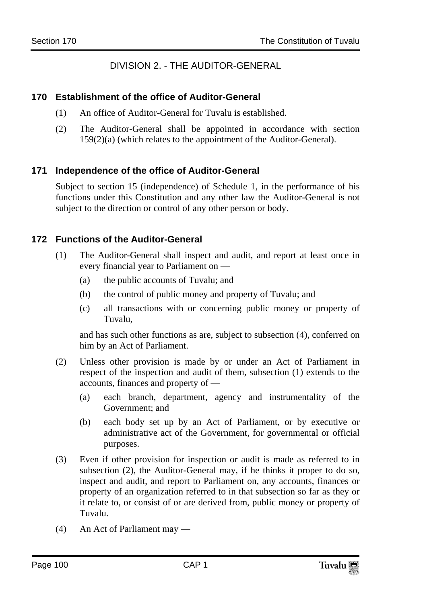# DIVISION 2. - THE AUDITOR-GENERAL

### **170 Establishment of the office of Auditor-General**

- (1) An office of Auditor-General for Tuvalu is established.
- (2) The Auditor-General shall be appointed in accordance with section 159(2)(a) (which relates to the appointment of the Auditor-General).

## **171 Independence of the office of Auditor-General**

Subject to section 15 (independence) of Schedule 1, in the performance of his functions under this Constitution and any other law the Auditor-General is not subject to the direction or control of any other person or body.

## **172 Functions of the Auditor-General**

- (1) The Auditor-General shall inspect and audit, and report at least once in every financial year to Parliament on —
	- (a) the public accounts of Tuvalu; and
	- (b) the control of public money and property of Tuvalu; and
	- (c) all transactions with or concerning public money or property of Tuvalu,

and has such other functions as are, subject to subsection (4), conferred on him by an Act of Parliament.

- (2) Unless other provision is made by or under an Act of Parliament in respect of the inspection and audit of them, subsection (1) extends to the accounts, finances and property of —
	- (a) each branch, department, agency and instrumentality of the Government; and
	- (b) each body set up by an Act of Parliament, or by executive or administrative act of the Government, for governmental or official purposes.
- (3) Even if other provision for inspection or audit is made as referred to in subsection (2), the Auditor-General may, if he thinks it proper to do so, inspect and audit, and report to Parliament on, any accounts, finances or property of an organization referred to in that subsection so far as they or it relate to, or consist of or are derived from, public money or property of Tuvalu.
- (4) An Act of Parliament may —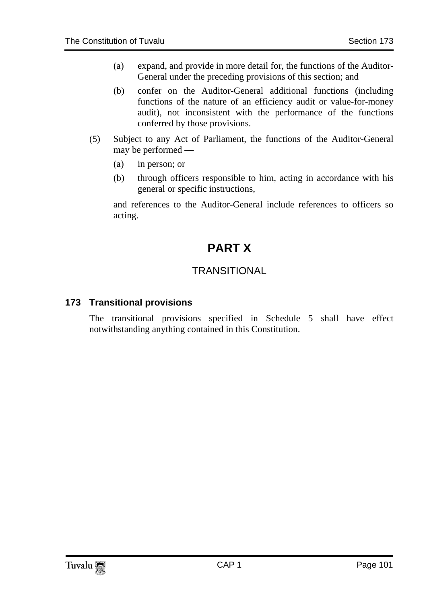- (a) expand, and provide in more detail for, the functions of the Auditor-General under the preceding provisions of this section; and
- (b) confer on the Auditor-General additional functions (including functions of the nature of an efficiency audit or value-for-money audit), not inconsistent with the performance of the functions conferred by those provisions.
- (5) Subject to any Act of Parliament, the functions of the Auditor-General may be performed —
	- (a) in person; or
	- (b) through officers responsible to him, acting in accordance with his general or specific instructions,

and references to the Auditor-General include references to officers so acting.

# **PART X**

# **TRANSITIONAL**

# **173 Transitional provisions**

The transitional provisions specified in Schedule 5 shall have effect notwithstanding anything contained in this Constitution.

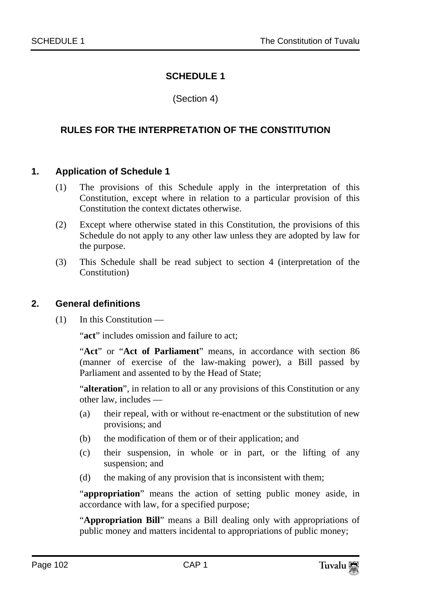# **SCHEDULE 1**

## (Section 4)

# **RULES FOR THE INTERPRETATION OF THE CONSTITUTION**

#### **1. Application of Schedule 1**

- (1) The provisions of this Schedule apply in the interpretation of this Constitution, except where in relation to a particular provision of this Constitution the context dictates otherwise.
- (2) Except where otherwise stated in this Constitution, the provisions of this Schedule do not apply to any other law unless they are adopted by law for the purpose.
- (3) This Schedule shall be read subject to section 4 (interpretation of the Constitution)

#### **2. General definitions**

(1) In this Constitution —

"**act**" includes omission and failure to act:

"**Act**" or "**Act of Parliament**" means, in accordance with section 86 (manner of exercise of the law-making power), a Bill passed by Parliament and assented to by the Head of State;

"alteration", in relation to all or any provisions of this Constitution or any other law, includes —

- (a) their repeal, with or without re-enactment or the substitution of new provisions; and
- (b) the modification of them or of their application; and
- (c) their suspension, in whole or in part, or the lifting of any suspension; and
- (d) the making of any provision that is inconsistent with them;

"**appropriation**" means the action of setting public money aside, in accordance with law, for a specified purpose;

"**Appropriation Bill**" means a Bill dealing only with appropriations of public money and matters incidental to appropriations of public money;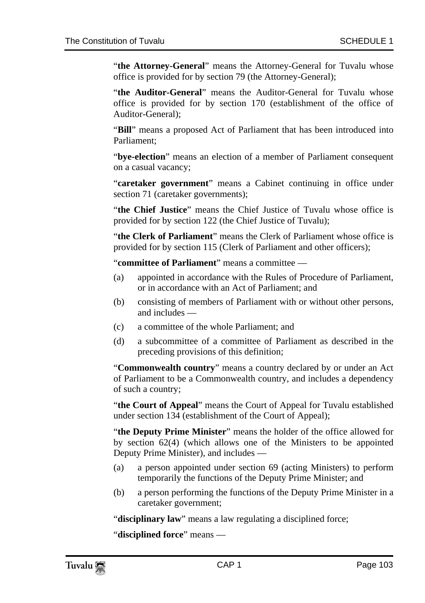"**the Attorney-General**" means the Attorney-General for Tuvalu whose office is provided for by section 79 (the Attorney-General);

"**the Auditor-General**" means the Auditor-General for Tuvalu whose office is provided for by section 170 (establishment of the office of Auditor-General);

"**Bill**" means a proposed Act of Parliament that has been introduced into Parliament;

"**bye-election**" means an election of a member of Parliament consequent on a casual vacancy;

"**caretaker government**" means a Cabinet continuing in office under section 71 (caretaker governments);

"**the Chief Justice**" means the Chief Justice of Tuvalu whose office is provided for by section 122 (the Chief Justice of Tuvalu);

"**the Clerk of Parliament**" means the Clerk of Parliament whose office is provided for by section 115 (Clerk of Parliament and other officers);

"**committee of Parliament**" means a committee —

- (a) appointed in accordance with the Rules of Procedure of Parliament, or in accordance with an Act of Parliament; and
- (b) consisting of members of Parliament with or without other persons, and includes —
- (c) a committee of the whole Parliament; and
- (d) a subcommittee of a committee of Parliament as described in the preceding provisions of this definition;

"**Commonwealth country**" means a country declared by or under an Act of Parliament to be a Commonwealth country, and includes a dependency of such a country;

"**the Court of Appeal**" means the Court of Appeal for Tuvalu established under section 134 (establishment of the Court of Appeal);

"**the Deputy Prime Minister**" means the holder of the office allowed for by section 62(4) (which allows one of the Ministers to be appointed Deputy Prime Minister), and includes —

- (a) a person appointed under section 69 (acting Ministers) to perform temporarily the functions of the Deputy Prime Minister; and
- (b) a person performing the functions of the Deputy Prime Minister in a caretaker government;

"**disciplinary law**" means a law regulating a disciplined force;

"**disciplined force**" means —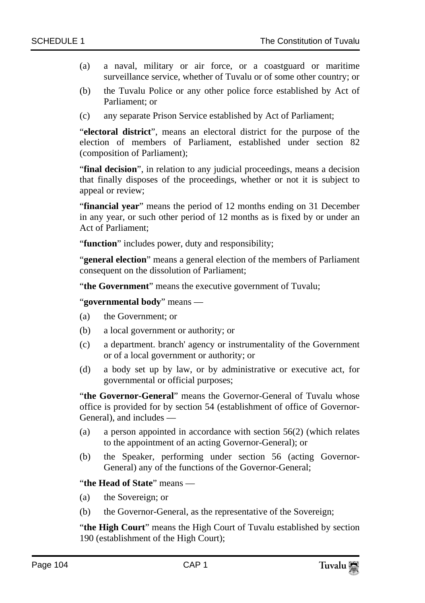- (a) a naval, military or air force, or a coastguard or maritime surveillance service, whether of Tuvalu or of some other country; or
- (b) the Tuvalu Police or any other police force established by Act of Parliament; or
- (c) any separate Prison Service established by Act of Parliament;

"**electoral district**", means an electoral district for the purpose of the election of members of Parliament, established under section 82 (composition of Parliament);

"**final decision**", in relation to any judicial proceedings, means a decision that finally disposes of the proceedings, whether or not it is subject to appeal or review;

"**financial year**" means the period of 12 months ending on 31 December in any year, or such other period of 12 months as is fixed by or under an Act of Parliament;

"**function**" includes power, duty and responsibility;

"**general election**" means a general election of the members of Parliament consequent on the dissolution of Parliament;

"**the Government**" means the executive government of Tuvalu;

"**governmental body**" means —

- (a) the Government; or
- (b) a local government or authority; or
- (c) a department. branch' agency or instrumentality of the Government or of a local government or authority; or
- (d) a body set up by law, or by administrative or executive act, for governmental or official purposes;

"**the Governor-General**" means the Governor-General of Tuvalu whose office is provided for by section 54 (establishment of office of Governor-General), and includes —

- (a) a person appointed in accordance with section 56(2) (which relates to the appointment of an acting Governor-General); or
- (b) the Speaker, performing under section 56 (acting Governor-General) any of the functions of the Governor-General;

"**the Head of State**" means —

- (a) the Sovereign; or
- (b) the Governor-General, as the representative of the Sovereign;

"**the High Court**" means the High Court of Tuvalu established by section 190 (establishment of the High Court);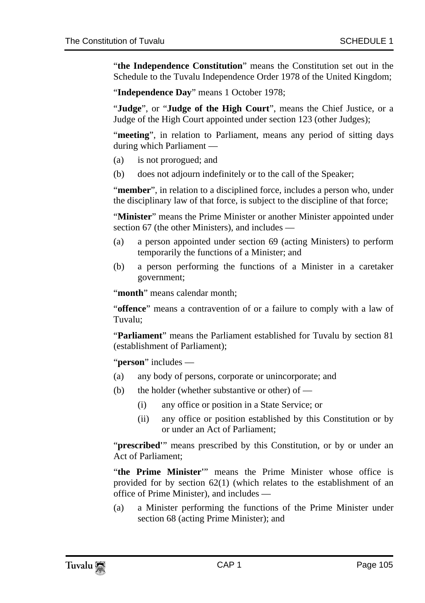"**the Independence Constitution**" means the Constitution set out in the Schedule to the Tuvalu Independence Order 1978 of the United Kingdom;

"**Independence Day**" means 1 October 1978;

"**Judge**", or "**Judge of the High Court**", means the Chief Justice, or a Judge of the High Court appointed under section 123 (other Judges);

"meeting", in relation to Parliament, means any period of sitting days during which Parliament —

- (a) is not prorogued; and
- (b) does not adjourn indefinitely or to the call of the Speaker;

"**member**", in relation to a disciplined force, includes a person who, under the disciplinary law of that force, is subject to the discipline of that force;

"**Minister**" means the Prime Minister or another Minister appointed under section 67 (the other Ministers), and includes —

- (a) a person appointed under section 69 (acting Ministers) to perform temporarily the functions of a Minister; and
- (b) a person performing the functions of a Minister in a caretaker government;

"**month**" means calendar month:

"**offence**" means a contravention of or a failure to comply with a law of Tuvalu;

"**Parliament**" means the Parliament established for Tuvalu by section 81 (establishment of Parliament);

"**person**" includes —

- (a) any body of persons, corporate or unincorporate; and
- (b) the holder (whether substantive or other) of  $-$ 
	- (i) any office or position in a State Service; or
	- (ii) any office or position established by this Constitution or by or under an Act of Parliament;

"**prescribed'**" means prescribed by this Constitution, or by or under an Act of Parliament;

"**the Prime Minister'**" means the Prime Minister whose office is provided for by section 62(1) (which relates to the establishment of an office of Prime Minister), and includes —

(a) a Minister performing the functions of the Prime Minister under section 68 (acting Prime Minister); and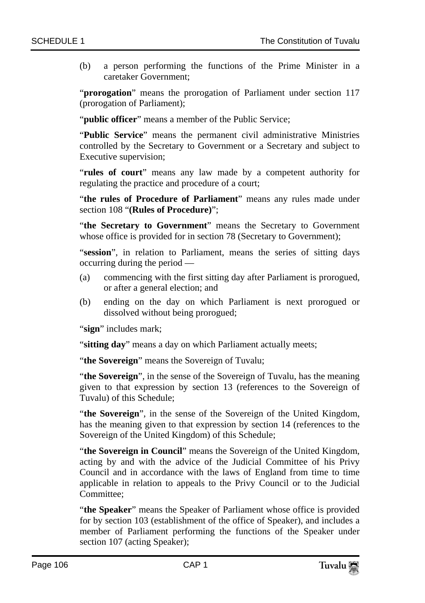(b) a person performing the functions of the Prime Minister in a caretaker Government;

"**prorogation**" means the prorogation of Parliament under section 117 (prorogation of Parliament);

"**public officer**" means a member of the Public Service;

"**Public Service**" means the permanent civil administrative Ministries controlled by the Secretary to Government or a Secretary and subject to Executive supervision;

"**rules of court**" means any law made by a competent authority for regulating the practice and procedure of a court;

"**the rules of Procedure of Parliament**" means any rules made under section 108 "**(Rules of Procedure)**";

"**the Secretary to Government**" means the Secretary to Government whose office is provided for in section 78 (Secretary to Government);

"**session**", in relation to Parliament, means the series of sitting days occurring during the period —

- (a) commencing with the first sitting day after Parliament is prorogued, or after a general election; and
- (b) ending on the day on which Parliament is next prorogued or dissolved without being prorogued;

"sign" includes mark;

"**sitting day**" means a day on which Parliament actually meets;

"**the Sovereign**" means the Sovereign of Tuvalu;

"**the Sovereign**", in the sense of the Sovereign of Tuvalu, has the meaning given to that expression by section 13 (references to the Sovereign of Tuvalu) of this Schedule;

"**the Sovereign**", in the sense of the Sovereign of the United Kingdom, has the meaning given to that expression by section 14 (references to the Sovereign of the United Kingdom) of this Schedule;

"**the Sovereign in Council**" means the Sovereign of the United Kingdom, acting by and with the advice of the Judicial Committee of his Privy Council and in accordance with the laws of England from time to time applicable in relation to appeals to the Privy Council or to the Judicial Committee;

"**the Speaker**" means the Speaker of Parliament whose office is provided for by section 103 (establishment of the office of Speaker), and includes a member of Parliament performing the functions of the Speaker under section 107 (acting Speaker);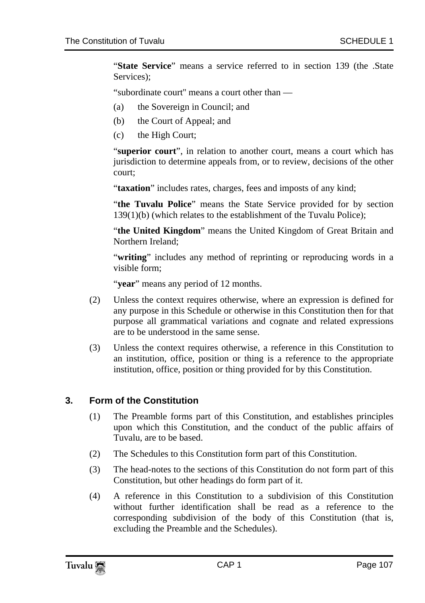"**State Service**" means a service referred to in section 139 (the .State Services);

"subordinate court'' means a court other than —

- (a) the Sovereign in Council; and
- (b) the Court of Appeal; and
- (c) the High Court;

"**superior court**", in relation to another court, means a court which has jurisdiction to determine appeals from, or to review, decisions of the other court;

"**taxation**" includes rates, charges, fees and imposts of any kind;

"**the Tuvalu Police**" means the State Service provided for by section 139(1)(b) (which relates to the establishment of the Tuvalu Police);

"**the United Kingdom**" means the United Kingdom of Great Britain and Northern Ireland;

"**writing**" includes any method of reprinting or reproducing words in a visible form;

"**year**" means any period of 12 months.

- (2) Unless the context requires otherwise, where an expression is defined for any purpose in this Schedule or otherwise in this Constitution then for that purpose all grammatical variations and cognate and related expressions are to be understood in the same sense.
- (3) Unless the context requires otherwise, a reference in this Constitution to an institution, office, position or thing is a reference to the appropriate institution, office, position or thing provided for by this Constitution.

#### **3. Form of the Constitution**

- (1) The Preamble forms part of this Constitution, and establishes principles upon which this Constitution, and the conduct of the public affairs of Tuvalu, are to be based.
- (2) The Schedules to this Constitution form part of this Constitution.
- (3) The head-notes to the sections of this Constitution do not form part of this Constitution, but other headings do form part of it.
- (4) A reference in this Constitution to a subdivision of this Constitution without further identification shall be read as a reference to the corresponding subdivision of the body of this Constitution (that is, excluding the Preamble and the Schedules).

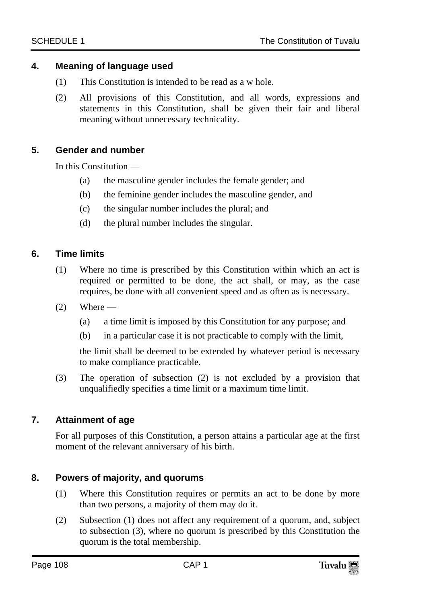#### **4. Meaning of language used**

- (1) This Constitution is intended to be read as a w hole.
- (2) All provisions of this Constitution, and all words, expressions and statements in this Constitution, shall be given their fair and liberal meaning without unnecessary technicality.

#### **5. Gender and number**

In this Constitution —

- (a) the masculine gender includes the female gender; and
- (b) the feminine gender includes the masculine gender, and
- (c) the singular number includes the plural; and
- (d) the plural number includes the singular.

#### **6. Time limits**

- (1) Where no time is prescribed by this Constitution within which an act is required or permitted to be done, the act shall, or may, as the case requires, be done with all convenient speed and as often as is necessary.
- $(2)$  Where
	- (a) a time limit is imposed by this Constitution for any purpose; and
	- (b) in a particular case it is not practicable to comply with the limit,

the limit shall be deemed to be extended by whatever period is necessary to make compliance practicable.

(3) The operation of subsection (2) is not excluded by a provision that unqualifiedly specifies a time limit or a maximum time limit.

#### **7. Attainment of age**

For all purposes of this Constitution, a person attains a particular age at the first moment of the relevant anniversary of his birth.

#### **8. Powers of majority, and quorums**

- (1) Where this Constitution requires or permits an act to be done by more than two persons, a majority of them may do it.
- (2) Subsection (1) does not affect any requirement of a quorum, and, subject to subsection (3), where no quorum is prescribed by this Constitution the quorum is the total membership.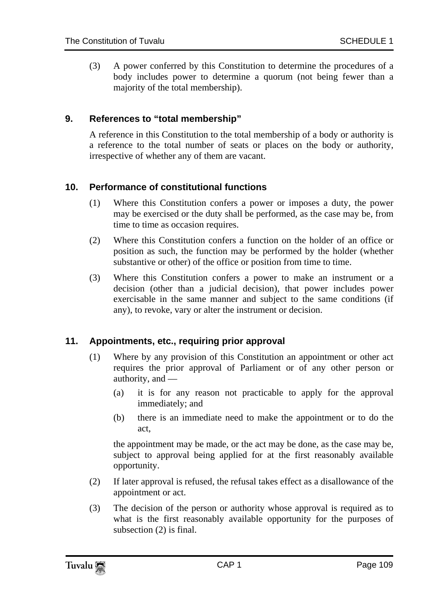(3) A power conferred by this Constitution to determine the procedures of a body includes power to determine a quorum (not being fewer than a majority of the total membership).

## **9. References to "total membership"**

A reference in this Constitution to the total membership of a body or authority is a reference to the total number of seats or places on the body or authority, irrespective of whether any of them are vacant.

## **10. Performance of constitutional functions**

- (1) Where this Constitution confers a power or imposes a duty, the power may be exercised or the duty shall be performed, as the case may be, from time to time as occasion requires.
- (2) Where this Constitution confers a function on the holder of an office or position as such, the function may be performed by the holder (whether substantive or other) of the office or position from time to time.
- (3) Where this Constitution confers a power to make an instrument or a decision (other than a judicial decision), that power includes power exercisable in the same manner and subject to the same conditions (if any), to revoke, vary or alter the instrument or decision.

#### **11. Appointments, etc., requiring prior approval**

- (1) Where by any provision of this Constitution an appointment or other act requires the prior approval of Parliament or of any other person or authority, and —
	- (a) it is for any reason not practicable to apply for the approval immediately; and
	- (b) there is an immediate need to make the appointment or to do the act,

the appointment may be made, or the act may be done, as the case may be, subject to approval being applied for at the first reasonably available opportunity.

- (2) If later approval is refused, the refusal takes effect as a disallowance of the appointment or act.
- (3) The decision of the person or authority whose approval is required as to what is the first reasonably available opportunity for the purposes of subsection (2) is final.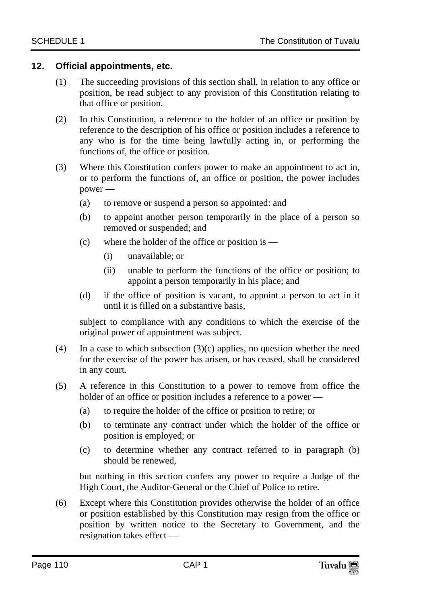#### **12. Official appointments, etc.**

- (1) The succeeding provisions of this section shall, in relation to any office or position, be read subject to any provision of this Constitution relating to that office or position.
- (2) In this Constitution, a reference to the holder of an office or position by reference to the description of his office or position includes a reference to any who is for the time being lawfully acting in, or performing the functions of, the office or position.
- (3) Where this Constitution confers power to make an appointment to act in, or to perform the functions of, an office or position, the power includes power —
	- (a) to remove or suspend a person so appointed: and
	- (b) to appoint another person temporarily in the place of a person so removed or suspended; and
	- (c) where the holder of the office or position is
		- (i) unavailable; or
		- (ii) unable to perform the functions of the office or position; to appoint a person temporarily in his place; and
	- (d) if the office of position is vacant, to appoint a person to act in it until it is filled on a substantive basis,

subject to compliance with any conditions to which the exercise of the original power of appointment was subject.

- (4) In a case to which subsection  $(3)(c)$  applies, no question whether the need for the exercise of the power has arisen, or has ceased, shall be considered in any court.
- (5) A reference in this Constitution to a power to remove from office the holder of an office or position includes a reference to a power —
	- (a) to require the holder of the office or position to retire; or
	- (b) to terminate any contract under which the holder of the office or position is employed; or
	- (c) to determine whether any contract referred to in paragraph (b) should be renewed,

but nothing in this section confers any power to require a Judge of the High Court, the Auditor-General or the Chief of Police to retire.

(6) Except where this Constitution provides otherwise the holder of an office or position established by this Constitution may resign from the office or position by written notice to the Secretary to Government, and the resignation takes effect —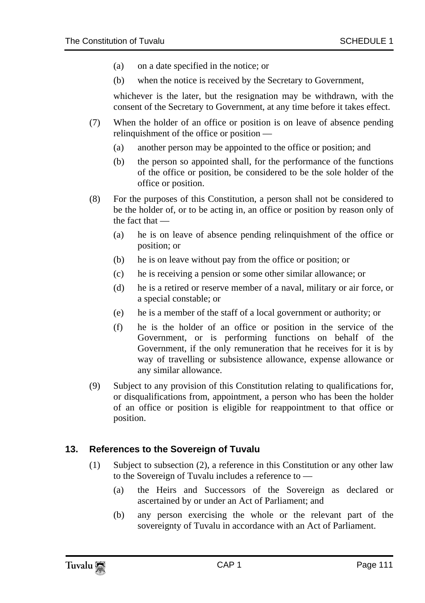- (a) on a date specified in the notice; or
- (b) when the notice is received by the Secretary to Government,

whichever is the later, but the resignation may be withdrawn, with the consent of the Secretary to Government, at any time before it takes effect.

- (7) When the holder of an office or position is on leave of absence pending relinquishment of the office or position —
	- (a) another person may be appointed to the office or position; and
	- (b) the person so appointed shall, for the performance of the functions of the office or position, be considered to be the sole holder of the office or position.
- (8) For the purposes of this Constitution, a person shall not be considered to be the holder of, or to be acting in, an office or position by reason only of the fact that —
	- (a) he is on leave of absence pending relinquishment of the office or position; or
	- (b) he is on leave without pay from the office or position; or
	- (c) he is receiving a pension or some other similar allowance; or
	- (d) he is a retired or reserve member of a naval, military or air force, or a special constable; or
	- (e) he is a member of the staff of a local government or authority; or
	- (f) he is the holder of an office or position in the service of the Government, or is performing functions on behalf of the Government, if the only remuneration that he receives for it is by way of travelling or subsistence allowance, expense allowance or any similar allowance.
- (9) Subject to any provision of this Constitution relating to qualifications for, or disqualifications from, appointment, a person who has been the holder of an office or position is eligible for reappointment to that office or position.

#### **13. References to the Sovereign of Tuvalu**

- (1) Subject to subsection (2), a reference in this Constitution or any other law to the Sovereign of Tuvalu includes a reference to —
	- (a) the Heirs and Successors of the Sovereign as declared or ascertained by or under an Act of Parliament; and
	- (b) any person exercising the whole or the relevant part of the sovereignty of Tuvalu in accordance with an Act of Parliament.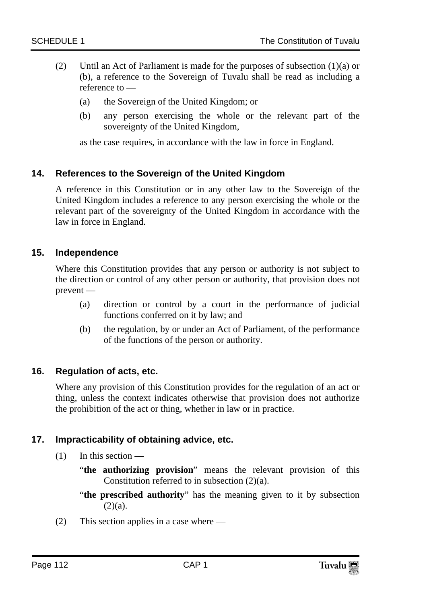- (2) Until an Act of Parliament is made for the purposes of subsection (1)(a) or (b), a reference to the Sovereign of Tuvalu shall be read as including a reference to —
	- (a) the Sovereign of the United Kingdom; or
	- (b) any person exercising the whole or the relevant part of the sovereignty of the United Kingdom,

as the case requires, in accordance with the law in force in England.

#### **14. References to the Sovereign of the United Kingdom**

A reference in this Constitution or in any other law to the Sovereign of the United Kingdom includes a reference to any person exercising the whole or the relevant part of the sovereignty of the United Kingdom in accordance with the law in force in England.

#### **15. Independence**

Where this Constitution provides that any person or authority is not subject to the direction or control of any other person or authority, that provision does not prevent —

- (a) direction or control by a court in the performance of judicial functions conferred on it by law; and
- (b) the regulation, by or under an Act of Parliament, of the performance of the functions of the person or authority.

#### **16. Regulation of acts, etc.**

Where any provision of this Constitution provides for the regulation of an act or thing, unless the context indicates otherwise that provision does not authorize the prohibition of the act or thing, whether in law or in practice.

#### **17. Impracticability of obtaining advice, etc.**

- $(1)$  In this section
	- "**the authorizing provision**" means the relevant provision of this Constitution referred to in subsection (2)(a).
	- "**the prescribed authority**" has the meaning given to it by subsection  $(2)(a)$ .
- (2) This section applies in a case where —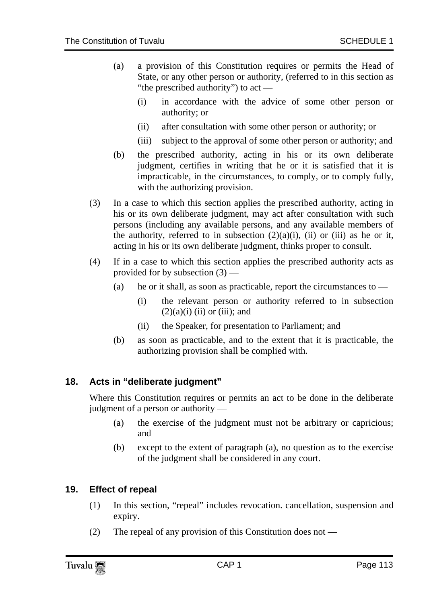- (a) a provision of this Constitution requires or permits the Head of State, or any other person or authority, (referred to in this section as "the prescribed authority") to act —
	- (i) in accordance with the advice of some other person or authority; or
	- (ii) after consultation with some other person or authority; or
	- (iii) subject to the approval of some other person or authority; and
- (b) the prescribed authority, acting in his or its own deliberate judgment, certifies in writing that he or it is satisfied that it is impracticable, in the circumstances, to comply, or to comply fully, with the authorizing provision.
- (3) In a case to which this section applies the prescribed authority, acting in his or its own deliberate judgment, may act after consultation with such persons (including any available persons, and any available members of the authority, referred to in subsection  $(2)(a)(i)$ ,  $(ii)$  or  $(iii)$  as he or it, acting in his or its own deliberate judgment, thinks proper to consult.
- (4) If in a case to which this section applies the prescribed authority acts as provided for by subsection (3) —
	- (a) he or it shall, as soon as practicable, report the circumstances to  $-$ 
		- (i) the relevant person or authority referred to in subsection  $(2)(a)(i)$  (ii) or (iii); and
		- (ii) the Speaker, for presentation to Parliament; and
	- (b) as soon as practicable, and to the extent that it is practicable, the authorizing provision shall be complied with.

## **18. Acts in "deliberate judgment"**

Where this Constitution requires or permits an act to be done in the deliberate judgment of a person or authority —

- (a) the exercise of the judgment must not be arbitrary or capricious; and
- (b) except to the extent of paragraph (a), no question as to the exercise of the judgment shall be considered in any court.

## **19. Effect of repeal**

- (1) In this section, "repeal" includes revocation. cancellation, suspension and expiry.
- (2) The repeal of any provision of this Constitution does not —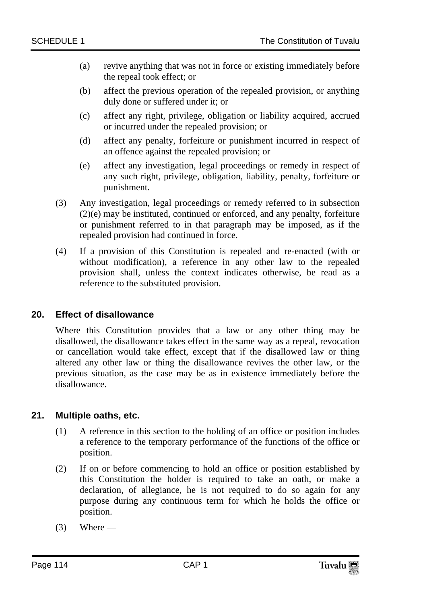- (a) revive anything that was not in force or existing immediately before the repeal took effect; or
- (b) affect the previous operation of the repealed provision, or anything duly done or suffered under it; or
- (c) affect any right, privilege, obligation or liability acquired, accrued or incurred under the repealed provision; or
- (d) affect any penalty, forfeiture or punishment incurred in respect of an offence against the repealed provision; or
- (e) affect any investigation, legal proceedings or remedy in respect of any such right, privilege, obligation, liability, penalty, forfeiture or punishment.
- (3) Any investigation, legal proceedings or remedy referred to in subsection (2)(e) may be instituted, continued or enforced, and any penalty, forfeiture or punishment referred to in that paragraph may be imposed, as if the repealed provision had continued in force.
- (4) If a provision of this Constitution is repealed and re-enacted (with or without modification), a reference in any other law to the repealed provision shall, unless the context indicates otherwise, be read as a reference to the substituted provision.

#### **20. Effect of disallowance**

Where this Constitution provides that a law or any other thing may be disallowed, the disallowance takes effect in the same way as a repeal, revocation or cancellation would take effect, except that if the disallowed law or thing altered any other law or thing the disallowance revives the other law, or the previous situation, as the case may be as in existence immediately before the disallowance.

#### **21. Multiple oaths, etc.**

- (1) A reference in this section to the holding of an office or position includes a reference to the temporary performance of the functions of the office or position.
- (2) If on or before commencing to hold an office or position established by this Constitution the holder is required to take an oath, or make a declaration, of allegiance, he is not required to do so again for any purpose during any continuous term for which he holds the office or position.
- $(3)$  Where —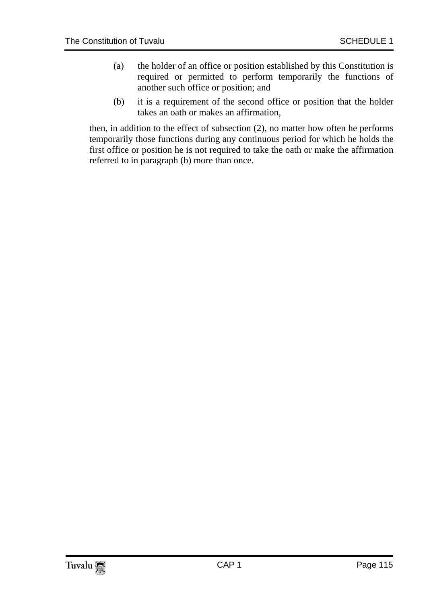- (a) the holder of an office or position established by this Constitution is required or permitted to perform temporarily the functions of another such office or position; and
- (b) it is a requirement of the second office or position that the holder takes an oath or makes an affirmation,

then, in addition to the effect of subsection (2), no matter how often he performs temporarily those functions during any continuous period for which he holds the first office or position he is not required to take the oath or make the affirmation referred to in paragraph (b) more than once.

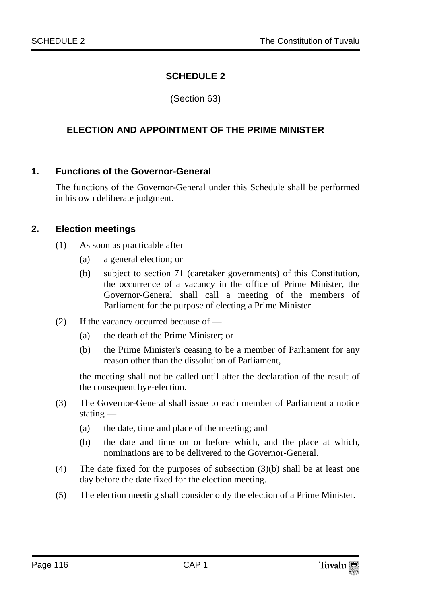## **SCHEDULE 2**

(Section 63)

## **ELECTION AND APPOINTMENT OF THE PRIME MINISTER**

#### **1. Functions of the Governor-General**

The functions of the Governor-General under this Schedule shall be performed in his own deliberate judgment.

#### **2. Election meetings**

- (1) As soon as practicable after
	- (a) a general election; or
	- (b) subject to section 71 (caretaker governments) of this Constitution, the occurrence of a vacancy in the office of Prime Minister, the Governor-General shall call a meeting of the members of Parliament for the purpose of electing a Prime Minister.
- (2) If the vacancy occurred because of
	- (a) the death of the Prime Minister; or
	- (b) the Prime Minister's ceasing to be a member of Parliament for any reason other than the dissolution of Parliament,

the meeting shall not be called until after the declaration of the result of the consequent bye-election.

- (3) The Governor-General shall issue to each member of Parliament a notice stating —
	- (a) the date, time and place of the meeting; and
	- (b) the date and time on or before which, and the place at which, nominations are to be delivered to the Governor-General.
- (4) The date fixed for the purposes of subsection (3)(b) shall be at least one day before the date fixed for the election meeting.
- (5) The election meeting shall consider only the election of a Prime Minister.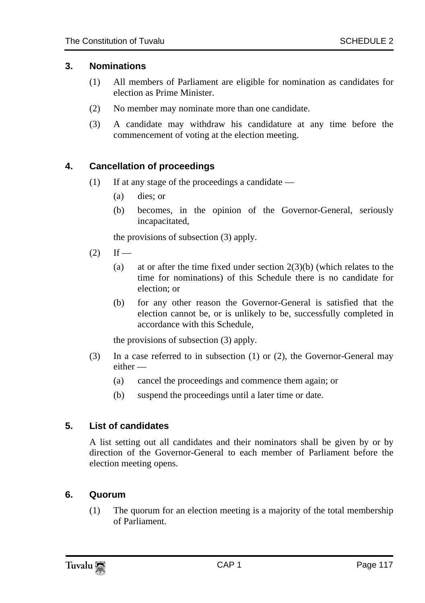#### **3. Nominations**

- (1) All members of Parliament are eligible for nomination as candidates for election as Prime Minister.
- (2) No member may nominate more than one candidate.
- (3) A candidate may withdraw his candidature at any time before the commencement of voting at the election meeting.

## **4. Cancellation of proceedings**

- (1) If at any stage of the proceedings a candidate
	- (a) dies; or
	- (b) becomes, in the opinion of the Governor-General, seriously incapacitated,

the provisions of subsection (3) apply.

- $(2)$  If
	- (a) at or after the time fixed under section  $2(3)(b)$  (which relates to the time for nominations) of this Schedule there is no candidate for election; or
	- (b) for any other reason the Governor-General is satisfied that the election cannot be, or is unlikely to be, successfully completed in accordance with this Schedule,

the provisions of subsection (3) apply.

- (3) In a case referred to in subsection (1) or (2), the Governor-General may either —
	- (a) cancel the proceedings and commence them again; or
	- (b) suspend the proceedings until a later time or date.

## **5. List of candidates**

A list setting out all candidates and their nominators shall be given by or by direction of the Governor-General to each member of Parliament before the election meeting opens.

## **6. Quorum**

(1) The quorum for an election meeting is a majority of the total membership of Parliament.

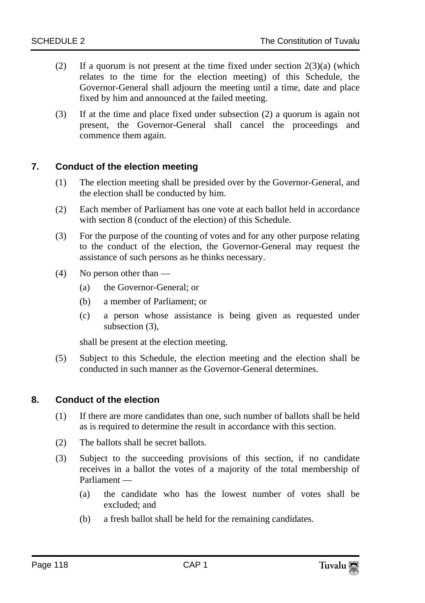- (2) If a quorum is not present at the time fixed under section  $2(3)(a)$  (which relates to the time for the election meeting) of this Schedule, the Governor-General shall adjourn the meeting until a time, date and place fixed by him and announced at the failed meeting.
- (3) If at the time and place fixed under subsection (2) a quorum is again not present, the Governor-General shall cancel the proceedings and commence them again.

#### **7. Conduct of the election meeting**

- (1) The election meeting shall be presided over by the Governor-General, and the election shall be conducted by him.
- (2) Each member of Parliament has one vote at each ballot held in accordance with section 8 (conduct of the election) of this Schedule.
- (3) For the purpose of the counting of votes and for any other purpose relating to the conduct of the election, the Governor-General may request the assistance of such persons as he thinks necessary.
- (4) No person other than
	- (a) the Governor-General; or
	- (b) a member of Parliament; or
	- (c) a person whose assistance is being given as requested under subsection (3),

shall be present at the election meeting.

(5) Subject to this Schedule, the election meeting and the election shall be conducted in such manner as the Governor-General determines.

#### **8. Conduct of the election**

- (1) If there are more candidates than one, such number of ballots shall be held as is required to determine the result in accordance with this section.
- (2) The ballots shall be secret ballots.
- (3) Subject to the succeeding provisions of this section, if no candidate receives in a ballot the votes of a majority of the total membership of Parliament —
	- (a) the candidate who has the lowest number of votes shall be excluded; and
	- (b) a fresh ballot shall be held for the remaining candidates.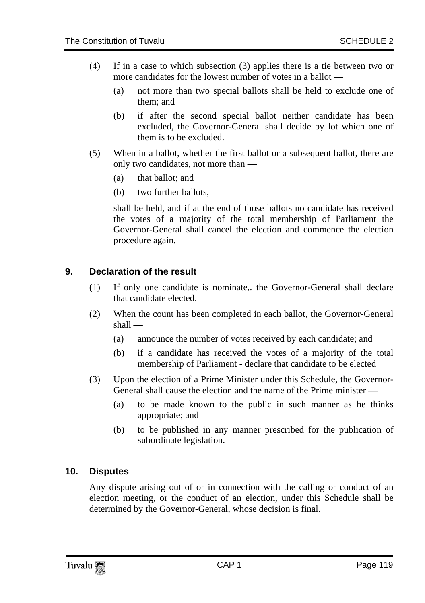- (4) If in a case to which subsection (3) applies there is a tie between two or more candidates for the lowest number of votes in a ballot —
	- (a) not more than two special ballots shall be held to exclude one of them; and
	- (b) if after the second special ballot neither candidate has been excluded, the Governor-General shall decide by lot which one of them is to be excluded.
- (5) When in a ballot, whether the first ballot or a subsequent ballot, there are only two candidates, not more than —
	- (a) that ballot; and
	- (b) two further ballots,

shall be held, and if at the end of those ballots no candidate has received the votes of a majority of the total membership of Parliament the Governor-General shall cancel the election and commence the election procedure again.

## **9. Declaration of the result**

- (1) If only one candidate is nominate,. the Governor-General shall declare that candidate elected.
- (2) When the count has been completed in each ballot, the Governor-General shall —
	- (a) announce the number of votes received by each candidate; and
	- (b) if a candidate has received the votes of a majority of the total membership of Parliament - declare that candidate to be elected
- (3) Upon the election of a Prime Minister under this Schedule, the Governor-General shall cause the election and the name of the Prime minister —
	- (a) to be made known to the public in such manner as he thinks appropriate; and
	- (b) to be published in any manner prescribed for the publication of subordinate legislation.

#### **10. Disputes**

Any dispute arising out of or in connection with the calling or conduct of an election meeting, or the conduct of an election, under this Schedule shall be determined by the Governor-General, whose decision is final.

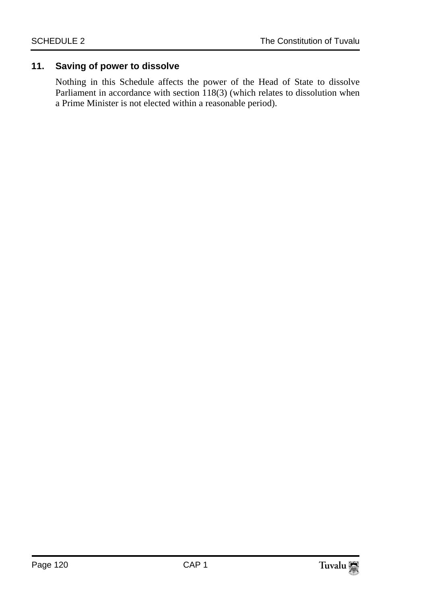## **11. Saving of power to dissolve**

Nothing in this Schedule affects the power of the Head of State to dissolve Parliament in accordance with section 118(3) (which relates to dissolution when a Prime Minister is not elected within a reasonable period).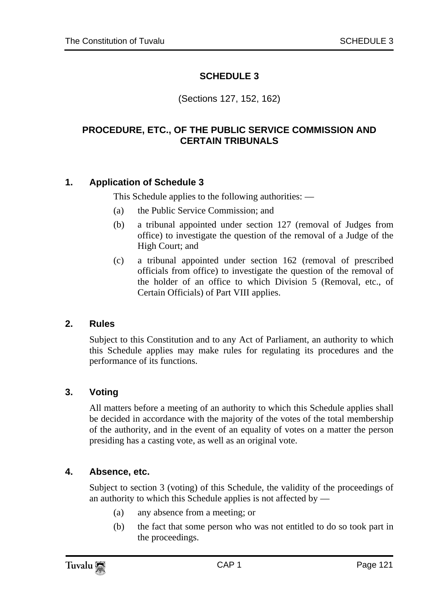## **SCHEDULE 3**

## (Sections 127, 152, 162)

## **PROCEDURE, ETC., OF THE PUBLIC SERVICE COMMISSION AND CERTAIN TRIBUNALS**

## **1. Application of Schedule 3**

This Schedule applies to the following authorities: —

- (a) the Public Service Commission; and
- (b) a tribunal appointed under section 127 (removal of Judges from office) to investigate the question of the removal of a Judge of the High Court; and
- (c) a tribunal appointed under section 162 (removal of prescribed officials from office) to investigate the question of the removal of the holder of an office to which Division 5 (Removal, etc., of Certain Officials) of Part VIII applies.

#### **2. Rules**

Subject to this Constitution and to any Act of Parliament, an authority to which this Schedule applies may make rules for regulating its procedures and the performance of its functions.

## **3. Voting**

All matters before a meeting of an authority to which this Schedule applies shall be decided in accordance with the majority of the votes of the total membership of the authority, and in the event of an equality of votes on a matter the person presiding has a casting vote, as well as an original vote.

#### **4. Absence, etc.**

Subject to section 3 (voting) of this Schedule, the validity of the proceedings of an authority to which this Schedule applies is not affected by —

- (a) any absence from a meeting; or
- (b) the fact that some person who was not entitled to do so took part in the proceedings.

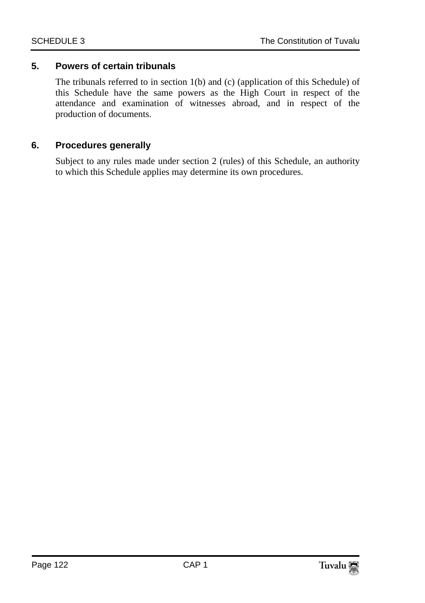### **5. Powers of certain tribunals**

The tribunals referred to in section 1(b) and (c) (application of this Schedule) of this Schedule have the same powers as the High Court in respect of the attendance and examination of witnesses abroad, and in respect of the production of documents.

### **6. Procedures generally**

Subject to any rules made under section 2 (rules) of this Schedule, an authority to which this Schedule applies may determine its own procedures.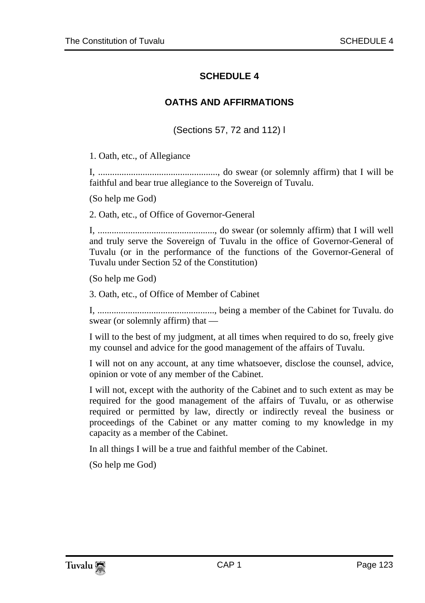## **SCHEDULE 4**

## **OATHS AND AFFIRMATIONS**

(Sections 57, 72 and 112) l

1. Oath, etc., of Allegiance

I, ..................................................., do swear (or solemnly affirm) that I will be faithful and bear true allegiance to the Sovereign of Tuvalu.

(So help me God)

2. Oath, etc., of Office of Governor-General

I, .................................................., do swear (or solemnly affirm) that I will well and truly serve the Sovereign of Tuvalu in the office of Governor-General of Tuvalu (or in the performance of the functions of the Governor-General of Tuvalu under Section 52 of the Constitution)

(So help me God)

3. Oath, etc., of Office of Member of Cabinet

I, .................................................., being a member of the Cabinet for Tuvalu. do swear (or solemnly affirm) that —

I will to the best of my judgment, at all times when required to do so, freely give my counsel and advice for the good management of the affairs of Tuvalu.

I will not on any account, at any time whatsoever, disclose the counsel, advice, opinion or vote of any member of the Cabinet.

I will not, except with the authority of the Cabinet and to such extent as may be required for the good management of the affairs of Tuvalu, or as otherwise required or permitted by law, directly or indirectly reveal the business or proceedings of the Cabinet or any matter coming to my knowledge in my capacity as a member of the Cabinet.

In all things I will be a true and faithful member of the Cabinet.

(So help me God)

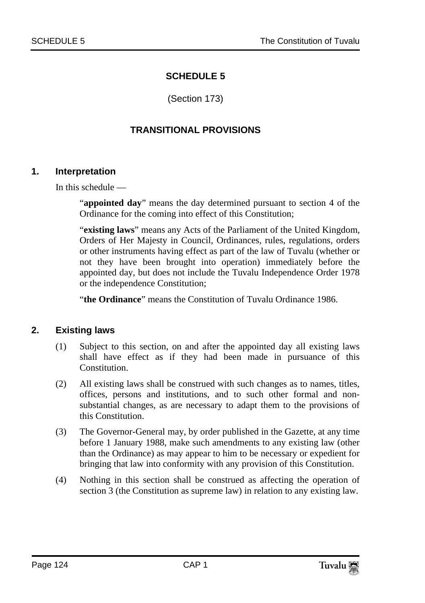## **SCHEDULE 5**

(Section 173)

## **TRANSITIONAL PROVISIONS**

#### **1. Interpretation**

In this schedule —

"**appointed day**" means the day determined pursuant to section 4 of the Ordinance for the coming into effect of this Constitution;

"**existing laws**" means any Acts of the Parliament of the United Kingdom, Orders of Her Majesty in Council, Ordinances, rules, regulations, orders or other instruments having effect as part of the law of Tuvalu (whether or not they have been brought into operation) immediately before the appointed day, but does not include the Tuvalu Independence Order 1978 or the independence Constitution;

"**the Ordinance**" means the Constitution of Tuvalu Ordinance 1986.

#### **2. Existing laws**

- (1) Subject to this section, on and after the appointed day all existing laws shall have effect as if they had been made in pursuance of this Constitution.
- (2) All existing laws shall be construed with such changes as to names, titles, offices, persons and institutions, and to such other formal and nonsubstantial changes, as are necessary to adapt them to the provisions of this Constitution.
- (3) The Governor-General may, by order published in the Gazette, at any time before 1 January 1988, make such amendments to any existing law (other than the Ordinance) as may appear to him to be necessary or expedient for bringing that law into conformity with any provision of this Constitution.
- (4) Nothing in this section shall be construed as affecting the operation of section 3 (the Constitution as supreme law) in relation to any existing law.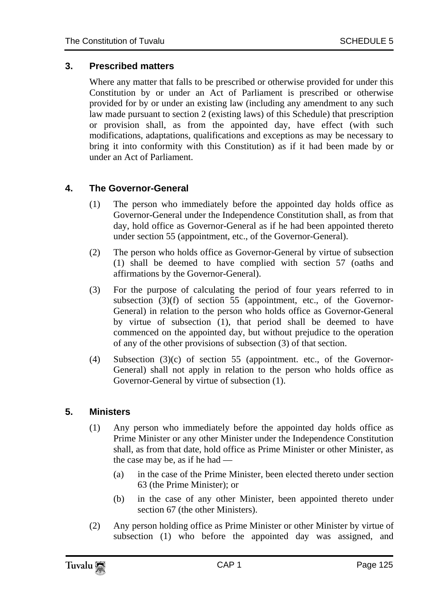#### **3. Prescribed matters**

Where any matter that falls to be prescribed or otherwise provided for under this Constitution by or under an Act of Parliament is prescribed or otherwise provided for by or under an existing law (including any amendment to any such law made pursuant to section 2 (existing laws) of this Schedule) that prescription or provision shall, as from the appointed day, have effect (with such modifications, adaptations, qualifications and exceptions as may be necessary to bring it into conformity with this Constitution) as if it had been made by or under an Act of Parliament.

## **4. The Governor-General**

- (1) The person who immediately before the appointed day holds office as Governor-General under the Independence Constitution shall, as from that day, hold office as Governor-General as if he had been appointed thereto under section 55 (appointment, etc., of the Governor-General).
- (2) The person who holds office as Governor-General by virtue of subsection (1) shall be deemed to have complied with section 57 (oaths and affirmations by the Governor-General).
- (3) For the purpose of calculating the period of four years referred to in subsection (3)(f) of section 55 (appointment, etc., of the Governor-General) in relation to the person who holds office as Governor-General by virtue of subsection (1), that period shall be deemed to have commenced on the appointed day, but without prejudice to the operation of any of the other provisions of subsection (3) of that section.
- (4) Subsection (3)(c) of section 55 (appointment. etc., of the Governor-General) shall not apply in relation to the person who holds office as Governor-General by virtue of subsection (1).

#### **5. Ministers**

- (1) Any person who immediately before the appointed day holds office as Prime Minister or any other Minister under the Independence Constitution shall, as from that date, hold office as Prime Minister or other Minister, as the case may be, as if he had —
	- (a) in the case of the Prime Minister, been elected thereto under section 63 (the Prime Minister); or
	- (b) in the case of any other Minister, been appointed thereto under section 67 (the other Ministers).
- (2) Any person holding office as Prime Minister or other Minister by virtue of subsection (1) who before the appointed day was assigned, and

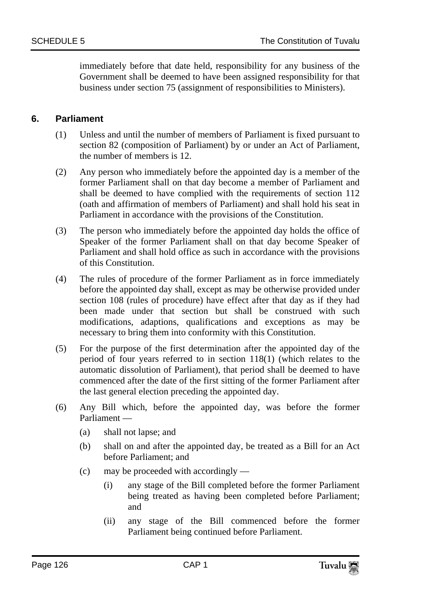immediately before that date held, responsibility for any business of the Government shall be deemed to have been assigned responsibility for that business under section 75 (assignment of responsibilities to Ministers).

#### **6. Parliament**

- (1) Unless and until the number of members of Parliament is fixed pursuant to section 82 (composition of Parliament) by or under an Act of Parliament, the number of members is 12.
- (2) Any person who immediately before the appointed day is a member of the former Parliament shall on that day become a member of Parliament and shall be deemed to have complied with the requirements of section 112 (oath and affirmation of members of Parliament) and shall hold his seat in Parliament in accordance with the provisions of the Constitution.
- (3) The person who immediately before the appointed day holds the office of Speaker of the former Parliament shall on that day become Speaker of Parliament and shall hold office as such in accordance with the provisions of this Constitution.
- (4) The rules of procedure of the former Parliament as in force immediately before the appointed day shall, except as may be otherwise provided under section 108 (rules of procedure) have effect after that day as if they had been made under that section but shall be construed with such modifications, adaptions, qualifications and exceptions as may be necessary to bring them into conformity with this Constitution.
- (5) For the purpose of the first determination after the appointed day of the period of four years referred to in section 118(1) (which relates to the automatic dissolution of Parliament), that period shall be deemed to have commenced after the date of the first sitting of the former Parliament after the last general election preceding the appointed day.
- (6) Any Bill which, before the appointed day, was before the former Parliament —
	- (a) shall not lapse; and
	- (b) shall on and after the appointed day, be treated as a Bill for an Act before Parliament; and
	- (c) may be proceeded with accordingly
		- (i) any stage of the Bill completed before the former Parliament being treated as having been completed before Parliament; and
		- (ii) any stage of the Bill commenced before the former Parliament being continued before Parliament.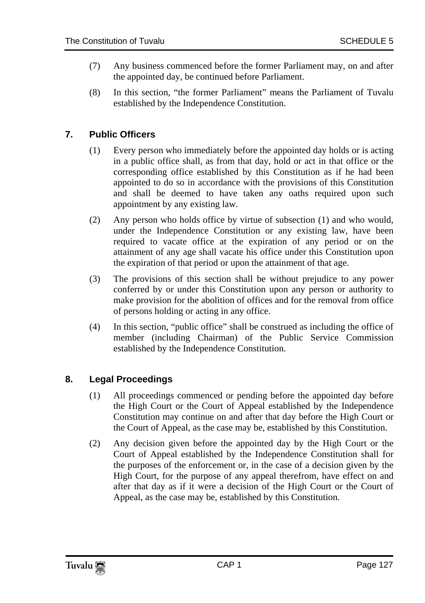- (7) Any business commenced before the former Parliament may, on and after the appointed day, be continued before Parliament.
- (8) In this section, "the former Parliament" means the Parliament of Tuvalu established by the Independence Constitution.

## **7. Public Officers**

- (1) Every person who immediately before the appointed day holds or is acting in a public office shall, as from that day, hold or act in that office or the corresponding office established by this Constitution as if he had been appointed to do so in accordance with the provisions of this Constitution and shall be deemed to have taken any oaths required upon such appointment by any existing law.
- (2) Any person who holds office by virtue of subsection (1) and who would, under the Independence Constitution or any existing law, have been required to vacate office at the expiration of any period or on the attainment of any age shall vacate his office under this Constitution upon the expiration of that period or upon the attainment of that age.
- (3) The provisions of this section shall be without prejudice to any power conferred by or under this Constitution upon any person or authority to make provision for the abolition of offices and for the removal from office of persons holding or acting in any office.
- (4) In this section, "public office" shall be construed as including the office of member (including Chairman) of the Public Service Commission established by the Independence Constitution.

## **8. Legal Proceedings**

- (1) All proceedings commenced or pending before the appointed day before the High Court or the Court of Appeal established by the Independence Constitution may continue on and after that day before the High Court or the Court of Appeal, as the case may be, established by this Constitution.
- (2) Any decision given before the appointed day by the High Court or the Court of Appeal established by the Independence Constitution shall for the purposes of the enforcement or, in the case of a decision given by the High Court, for the purpose of any appeal therefrom, have effect on and after that day as if it were a decision of the High Court or the Court of Appeal, as the case may be, established by this Constitution.

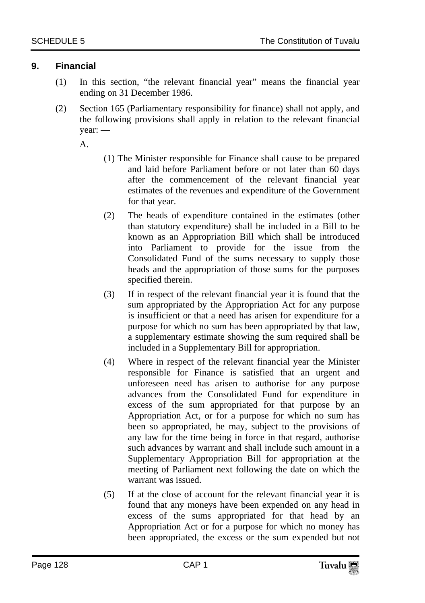## **9. Financial**

- (1) In this section, "the relevant financial year" means the financial year ending on 31 December 1986.
- (2) Section 165 (Parliamentary responsibility for finance) shall not apply, and the following provisions shall apply in relation to the relevant financial year: —

A.

- (1) The Minister responsible for Finance shall cause to be prepared and laid before Parliament before or not later than 60 days after the commencement of the relevant financial year estimates of the revenues and expenditure of the Government for that year.
- (2) The heads of expenditure contained in the estimates (other than statutory expenditure) shall be included in a Bill to be known as an Appropriation Bill which shall be introduced into Parliament to provide for the issue from the Consolidated Fund of the sums necessary to supply those heads and the appropriation of those sums for the purposes specified therein.
- (3) If in respect of the relevant financial year it is found that the sum appropriated by the Appropriation Act for any purpose is insufficient or that a need has arisen for expenditure for a purpose for which no sum has been appropriated by that law, a supplementary estimate showing the sum required shall be included in a Supplementary Bill for appropriation.
- (4) Where in respect of the relevant financial year the Minister responsible for Finance is satisfied that an urgent and unforeseen need has arisen to authorise for any purpose advances from the Consolidated Fund for expenditure in excess of the sum appropriated for that purpose by an Appropriation Act, or for a purpose for which no sum has been so appropriated, he may, subject to the provisions of any law for the time being in force in that regard, authorise such advances by warrant and shall include such amount in a Supplementary Appropriation Bill for appropriation at the meeting of Parliament next following the date on which the warrant was issued.
- (5) If at the close of account for the relevant financial year it is found that any moneys have been expended on any head in excess of the sums appropriated for that head by an Appropriation Act or for a purpose for which no money has been appropriated, the excess or the sum expended but not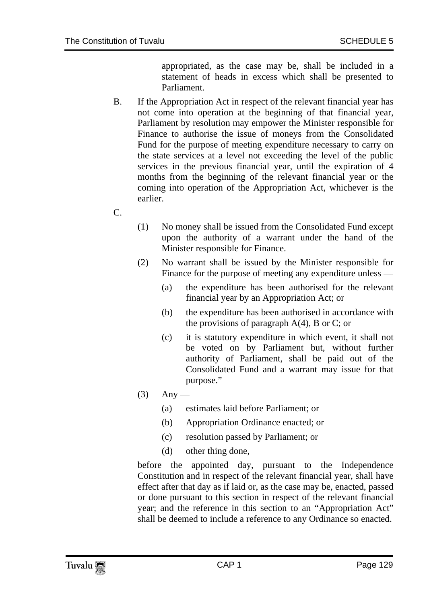appropriated, as the case may be, shall be included in a statement of heads in excess which shall be presented to Parliament.

- B. If the Appropriation Act in respect of the relevant financial year has not come into operation at the beginning of that financial year, Parliament by resolution may empower the Minister responsible for Finance to authorise the issue of moneys from the Consolidated Fund for the purpose of meeting expenditure necessary to carry on the state services at a level not exceeding the level of the public services in the previous financial year, until the expiration of 4 months from the beginning of the relevant financial year or the coming into operation of the Appropriation Act, whichever is the earlier.
- C.
- (1) No money shall be issued from the Consolidated Fund except upon the authority of a warrant under the hand of the Minister responsible for Finance.
- (2) No warrant shall be issued by the Minister responsible for Finance for the purpose of meeting any expenditure unless —
	- (a) the expenditure has been authorised for the relevant financial year by an Appropriation Act; or
	- (b) the expenditure has been authorised in accordance with the provisions of paragraph  $A(4)$ , B or C; or
	- (c) it is statutory expenditure in which event, it shall not be voted on by Parliament but, without further authority of Parliament, shall be paid out of the Consolidated Fund and a warrant may issue for that purpose."
- $(3)$  Any
	- (a) estimates laid before Parliament; or
	- (b) Appropriation Ordinance enacted; or
	- (c) resolution passed by Parliament; or
	- (d) other thing done,

before the appointed day, pursuant to the Independence Constitution and in respect of the relevant financial year, shall have effect after that day as if laid or, as the case may be, enacted, passed or done pursuant to this section in respect of the relevant financial year; and the reference in this section to an "Appropriation Act" shall be deemed to include a reference to any Ordinance so enacted.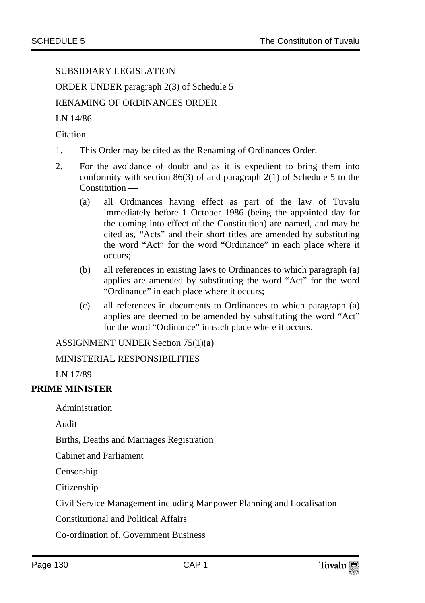#### SUBSIDIARY LEGISLATION

ORDER UNDER paragraph 2(3) of Schedule 5

#### RENAMING OF ORDINANCES ORDER

LN 14/86

**Citation** 

- 1. This Order may be cited as the Renaming of Ordinances Order.
- 2. For the avoidance of doubt and as it is expedient to bring them into conformity with section 86(3) of and paragraph 2(1) of Schedule 5 to the Constitution —
	- (a) all Ordinances having effect as part of the law of Tuvalu immediately before 1 October 1986 (being the appointed day for the coming into effect of the Constitution) are named, and may be cited as, "Acts" and their short titles are amended by substituting the word "Act" for the word "Ordinance" in each place where it occurs;
	- (b) all references in existing laws to Ordinances to which paragraph (a) applies are amended by substituting the word "Act" for the word "Ordinance" in each place where it occurs;
	- (c) all references in documents to Ordinances to which paragraph (a) applies are deemed to be amended by substituting the word "Act" for the word "Ordinance" in each place where it occurs.

ASSIGNMENT UNDER Section 75(1)(a)

#### MINISTERIAL RESPONSIBILITIES

LN 17/89

#### **PRIME MINISTER**

Administration

Audit

Births, Deaths and Marriages Registration

Cabinet and Parliament

Censorship

Citizenship

Civil Service Management including Manpower Planning and Localisation

Constitutional and Political Affairs

Co-ordination of. Government Business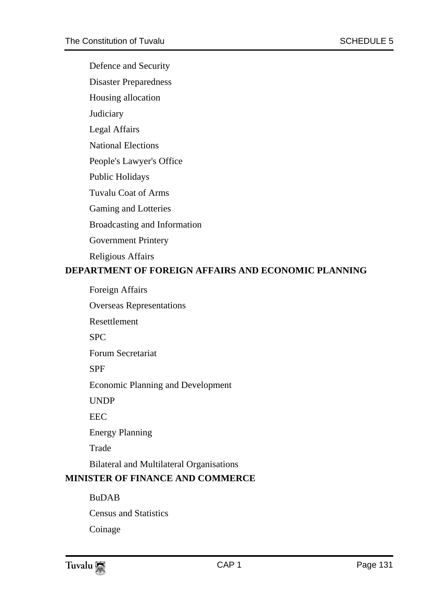Defence and Security

Disaster Preparedness

Housing allocation

**Judiciary** 

Legal Affairs

National Elections

People's Lawyer's Office

Public Holidays

Tuvalu Coat of Arms

Gaming and Lotteries

Broadcasting and Information

Government Printery

Religious Affairs

#### **DEPARTMENT OF FOREIGN AFFAIRS AND ECONOMIC PLANNING**

Foreign Affairs

Overseas Representations

Resettlement

SPC

Forum Secretariat

SPF

Economic Planning and Development

UNDP

EEC

Energy Planning

Trade

Bilateral and Multilateral Organisations

## **MINISTER OF FINANCE AND COMMERCE**

BuDAB

Census and Statistics

Coinage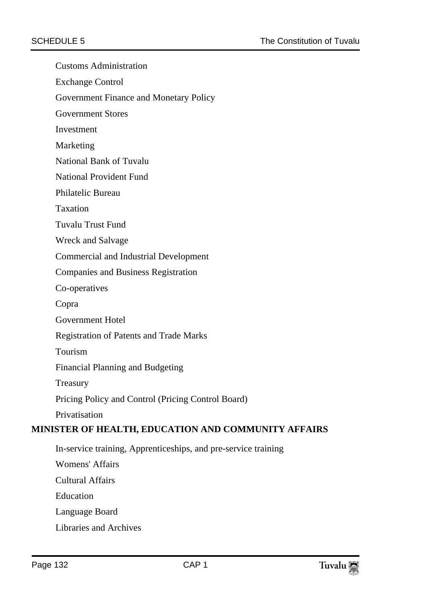Customs Administration

Exchange Control

Government Finance and Monetary Policy

Government Stores

Investment

Marketing

National Bank of Tuvalu

National Provident Fund

Philatelic Bureau

Taxation

Tuvalu Trust Fund

Wreck and Salvage

Commercial and Industrial Development

Companies and Business Registration

Co-operatives

Copra

Government Hotel

Registration of Patents and Trade Marks

Tourism

Financial Planning and Budgeting

Treasury

Pricing Policy and Control (Pricing Control Board)

Privatisation

#### **MINISTER OF HEALTH, EDUCATION AND COMMUNITY AFFAIRS**

In-service training, Apprenticeships, and pre-service training

Womens' Affairs

Cultural Affairs

Education

Language Board

Libraries and Archives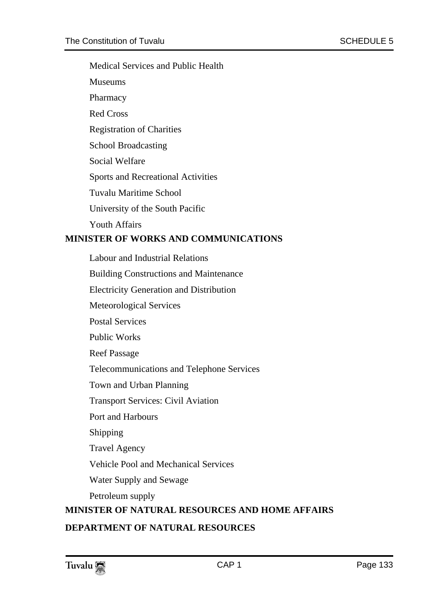Medical Services and Public Health

Museums

Pharmacy

Red Cross

Registration of Charities

School Broadcasting

Social Welfare

Sports and Recreational Activities

Tuvalu Maritime School

University of the South Pacific

Youth Affairs

#### **MINISTER OF WORKS AND COMMUNICATIONS**

Labour and Industrial Relations Building Constructions and Maintenance Electricity Generation and Distribution Meteorological Services Postal Services Public Works Reef Passage Telecommunications and Telephone Services Town and Urban Planning Transport Services: Civil Aviation Port and Harbours Shipping Travel Agency Vehicle Pool and Mechanical Services Water Supply and Sewage Petroleum supply **MINISTER OF NATURAL RESOURCES AND HOME AFFAIRS** 

## **DEPARTMENT OF NATURAL RESOURCES**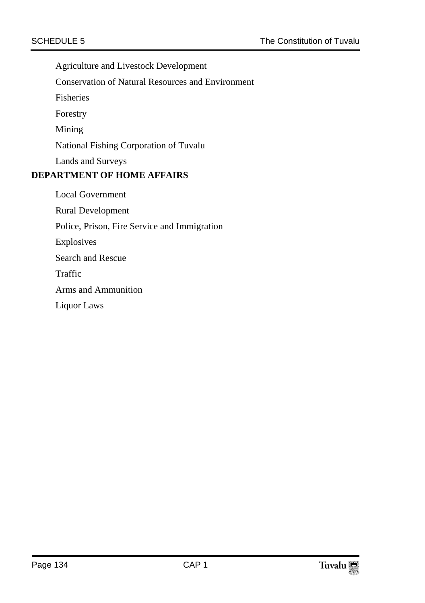Agriculture and Livestock Development

Conservation of Natural Resources and Environment

Fisheries

Forestry

Mining

National Fishing Corporation of Tuvalu

Lands and Surveys

## **DEPARTMENT OF HOME AFFAIRS**

Local Government Rural Development Police, Prison, Fire Service and Immigration Explosives Search and Rescue Traffic Arms and Ammunition Liquor Laws